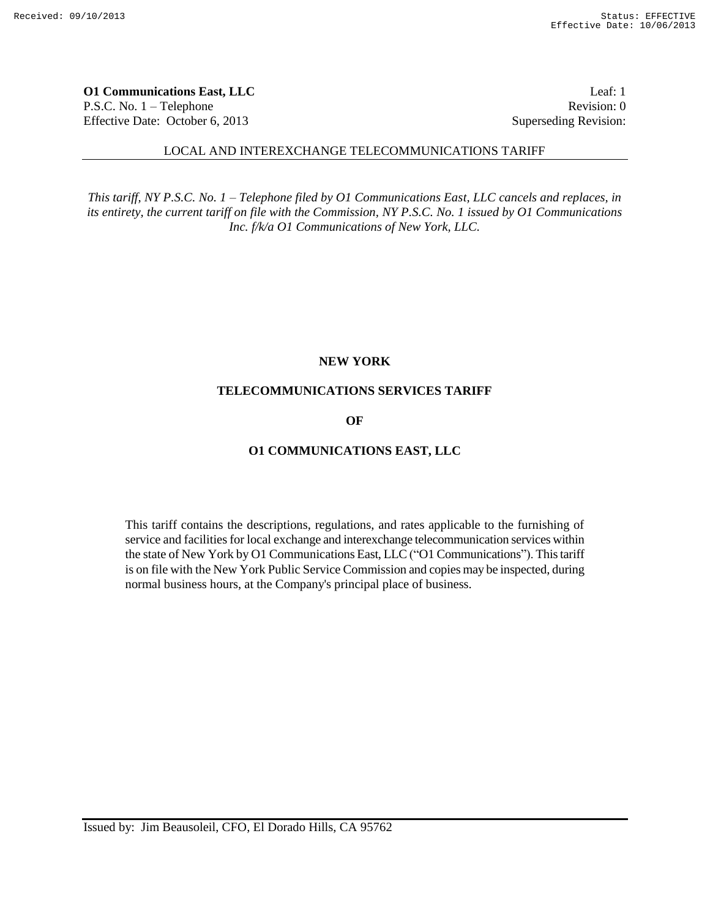**O1 Communications East, LLC** Leaf: 1 P.S.C. No. 1 – Telephone Revision: 0 Effective Date: October 6, 2013 Superseding Revision:

#### LOCAL AND INTEREXCHANGE TELECOMMUNICATIONS TARIFF

*This tariff, NY P.S.C. No. 1 – Telephone filed by O1 Communications East, LLC cancels and replaces, in its entirety, the current tariff on file with the Commission, NY P.S.C. No. 1 issued by O1 Communications Inc. f/k/a O1 Communications of New York, LLC.*

#### **NEW YORK**

#### **TELECOMMUNICATIONS SERVICES TARIFF**

# **OF**

#### **O1 COMMUNICATIONS EAST, LLC**

This tariff contains the descriptions, regulations, and rates applicable to the furnishing of service and facilities for local exchange and interexchange telecommunication services within the state of New York by O1 Communications East, LLC ("O1 Communications"). This tariff is on file with the New York Public Service Commission and copies may be inspected, during normal business hours, at the Company's principal place of business.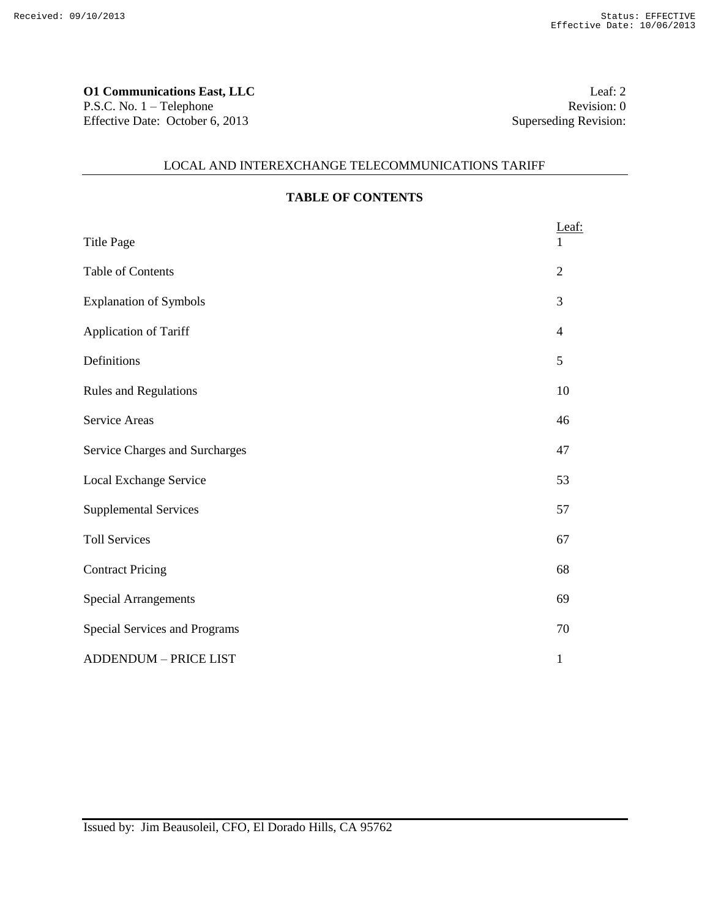**O1 Communications East, LLC** Leaf: 2 P.S.C. No. 1 – Telephone Revision: 0 Effective Date: October 6, 2013 Superseding Revision:

# LOCAL AND INTEREXCHANGE TELECOMMUNICATIONS TARIFF

| <b>TABLE OF CONTENTS</b> |  |
|--------------------------|--|
|                          |  |

|                                | Leaf:          |
|--------------------------------|----------------|
| <b>Title Page</b>              |                |
| <b>Table of Contents</b>       | $\overline{2}$ |
| <b>Explanation of Symbols</b>  | 3              |
| Application of Tariff          | 4              |
| Definitions                    | 5              |
| <b>Rules and Regulations</b>   | 10             |
| <b>Service Areas</b>           | 46             |
| Service Charges and Surcharges | 47             |
| Local Exchange Service         | 53             |
| <b>Supplemental Services</b>   | 57             |
| <b>Toll Services</b>           | 67             |
| <b>Contract Pricing</b>        | 68             |
| <b>Special Arrangements</b>    | 69             |
| Special Services and Programs  | 70             |
| <b>ADDENDUM - PRICE LIST</b>   | 1              |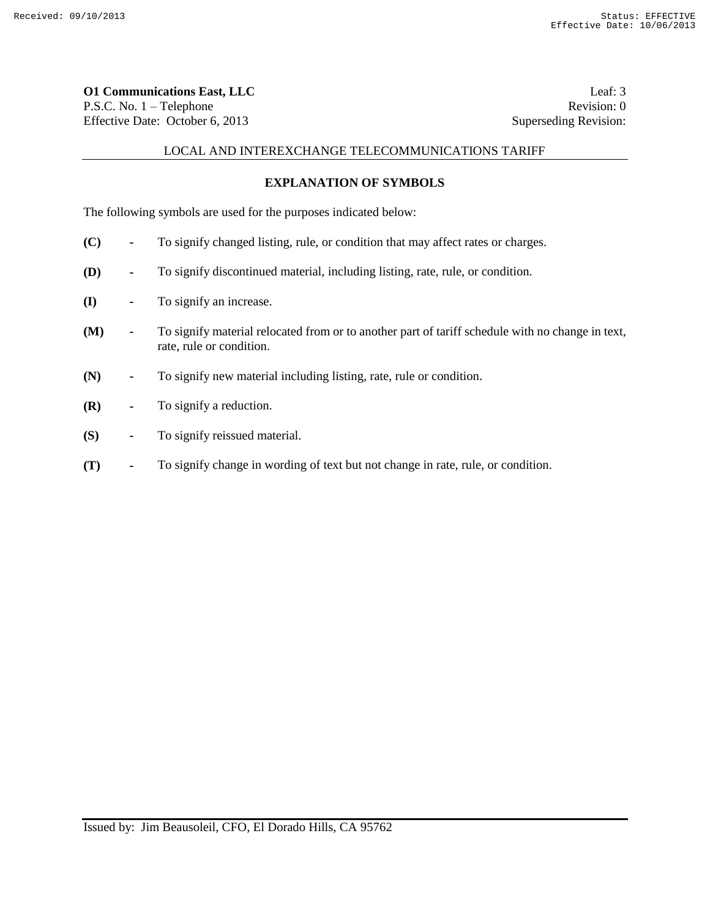**O1 Communications East, LLC** Leaf: 3 P.S.C. No. 1 – Telephone Revision: 0 Effective Date: October 6, 2013 Superseding Revision:

## LOCAL AND INTEREXCHANGE TELECOMMUNICATIONS TARIFF

## **EXPLANATION OF SYMBOLS**

The following symbols are used for the purposes indicated below:

- **(C) -** To signify changed listing, rule, or condition that may affect rates or charges.
- **(D) -** To signify discontinued material, including listing, rate, rule, or condition.
- **(I) -** To signify an increase.
- **(M) -** To signify material relocated from or to another part of tariff schedule with no change in text, rate, rule or condition.
- **(N) -** To signify new material including listing, rate, rule or condition.
- **(R) -** To signify a reduction.
- **(S) -** To signify reissued material.
- **(T) -** To signify change in wording of text but not change in rate, rule, or condition.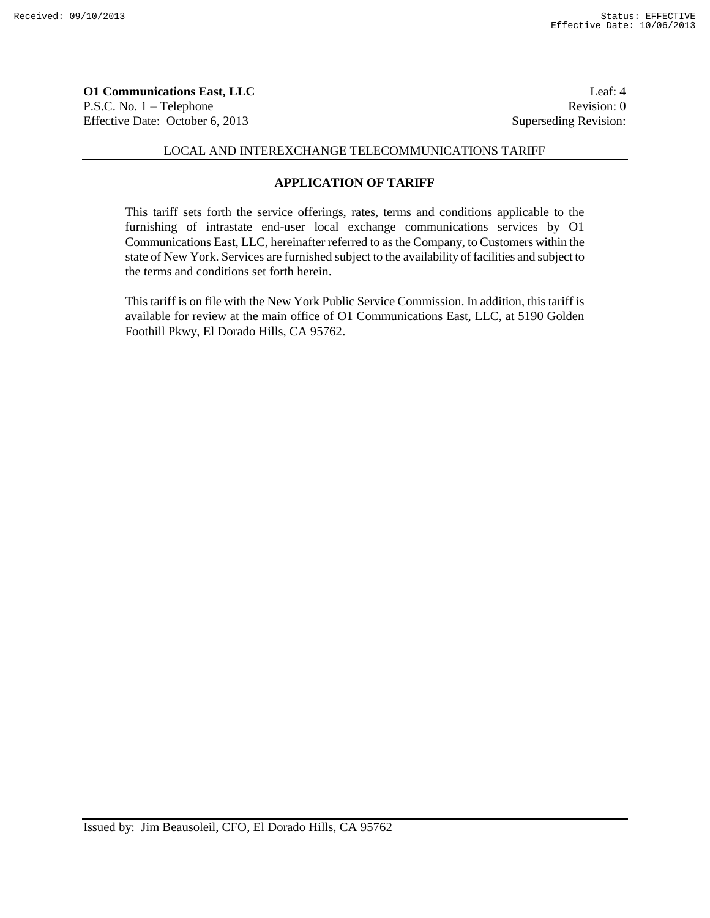**O1 Communications East, LLC** Leaf: 4 P.S.C. No. 1 – Telephone Revision: 0 Effective Date: October 6, 2013 Superseding Revision:

## LOCAL AND INTEREXCHANGE TELECOMMUNICATIONS TARIFF

# **APPLICATION OF TARIFF**

This tariff sets forth the service offerings, rates, terms and conditions applicable to the furnishing of intrastate end-user local exchange communications services by O1 Communications East, LLC, hereinafter referred to as the Company, to Customers within the state of New York. Services are furnished subject to the availability of facilities and subject to the terms and conditions set forth herein.

This tariff is on file with the New York Public Service Commission. In addition, this tariff is available for review at the main office of O1 Communications East, LLC, at 5190 Golden Foothill Pkwy, El Dorado Hills, CA 95762.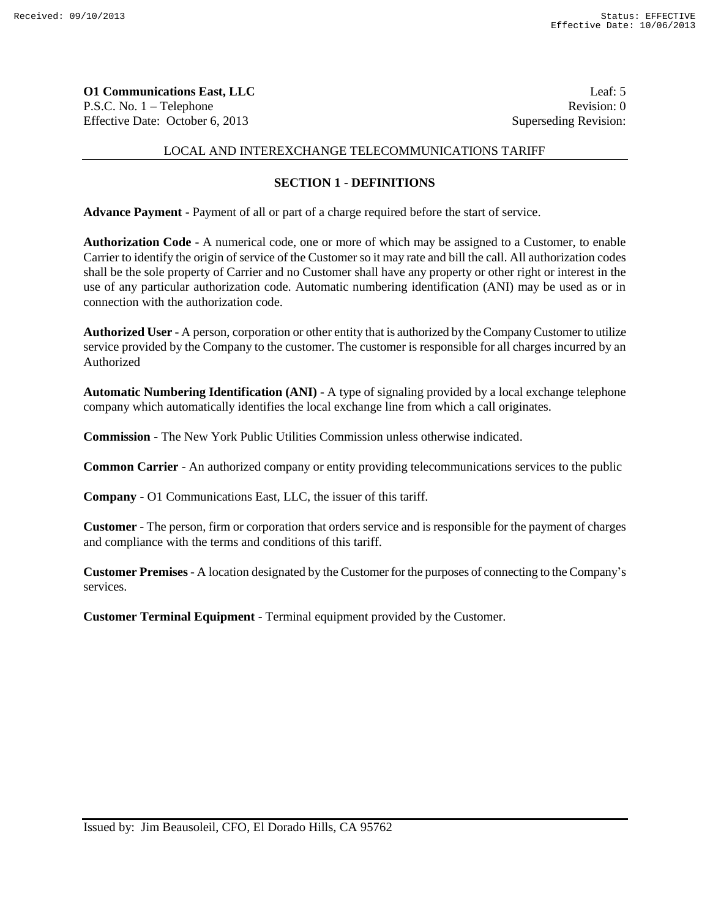**O1 Communications East, LLC** Leaf: 5 P.S.C. No. 1 – Telephone Revision: 0 Effective Date: October 6, 2013 Superseding Revision:

# LOCAL AND INTEREXCHANGE TELECOMMUNICATIONS TARIFF

## **SECTION 1 - DEFINITIONS**

**Advance Payment** - Payment of all or part of a charge required before the start of service.

**Authorization Code** - A numerical code, one or more of which may be assigned to a Customer, to enable Carrier to identify the origin of service of the Customer so it may rate and bill the call. All authorization codes shall be the sole property of Carrier and no Customer shall have any property or other right or interest in the use of any particular authorization code. Automatic numbering identification (ANI) may be used as or in connection with the authorization code.

**Authorized User** - A person, corporation or other entity that is authorized by the Company Customer to utilize service provided by the Company to the customer. The customer is responsible for all charges incurred by an Authorized

**Automatic Numbering Identification (ANI)** - A type of signaling provided by a local exchange telephone company which automatically identifies the local exchange line from which a call originates.

**Commission -** The New York Public Utilities Commission unless otherwise indicated.

**Common Carrier** - An authorized company or entity providing telecommunications services to the public

**Company -** O1 Communications East, LLC, the issuer of this tariff.

**Customer** - The person, firm or corporation that orders service and is responsible for the payment of charges and compliance with the terms and conditions of this tariff.

**Customer Premises** - A location designated by the Customer for the purposes of connecting to the Company's services.

**Customer Terminal Equipment** - Terminal equipment provided by the Customer.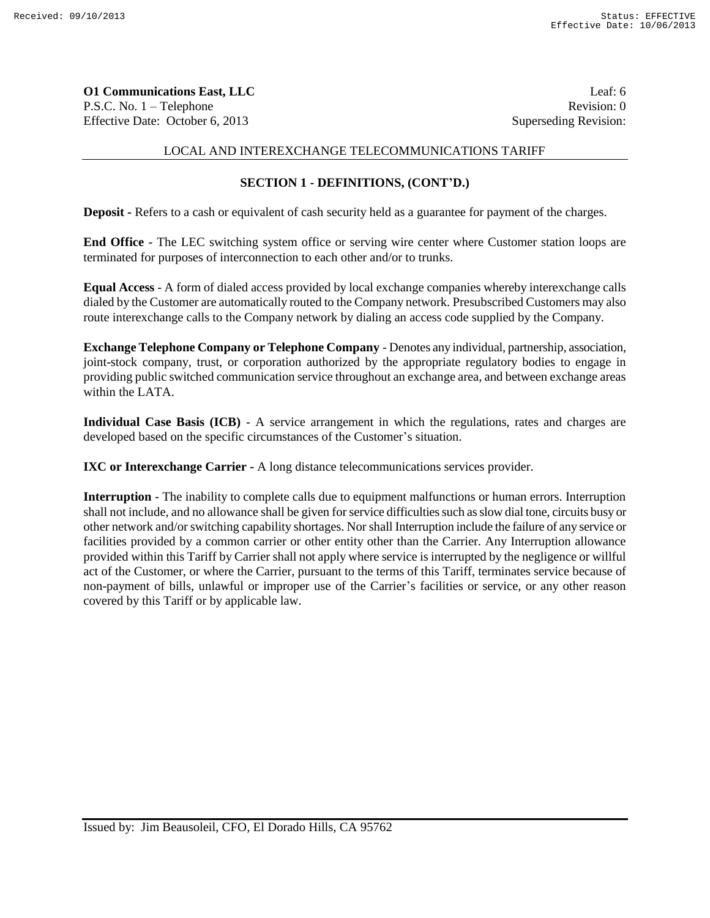**O1 Communications East, LLC** Leaf: 6 P.S.C. No. 1 – Telephone Revision: 0 Effective Date: October 6, 2013 Superseding Revision:

## LOCAL AND INTEREXCHANGE TELECOMMUNICATIONS TARIFF

# **SECTION 1 - DEFINITIONS, (CONT'D.)**

**Deposit -** Refers to a cash or equivalent of cash security held as a guarantee for payment of the charges.

**End Office** - The LEC switching system office or serving wire center where Customer station loops are terminated for purposes of interconnection to each other and/or to trunks.

**Equal Access** - A form of dialed access provided by local exchange companies whereby interexchange calls dialed by the Customer are automatically routed to the Company network. Presubscribed Customers may also route interexchange calls to the Company network by dialing an access code supplied by the Company.

**Exchange Telephone Company or Telephone Company** - Denotes any individual, partnership, association, joint-stock company, trust, or corporation authorized by the appropriate regulatory bodies to engage in providing public switched communication service throughout an exchange area, and between exchange areas within the LATA.

**Individual Case Basis (ICB)** - A service arrangement in which the regulations, rates and charges are developed based on the specific circumstances of the Customer's situation.

**IXC or Interexchange Carrier -** A long distance telecommunications services provider.

**Interruption** - The inability to complete calls due to equipment malfunctions or human errors. Interruption shall not include, and no allowance shall be given for service difficulties such as slow dial tone, circuits busy or other network and/or switching capability shortages. Nor shall Interruption include the failure of any service or facilities provided by a common carrier or other entity other than the Carrier. Any Interruption allowance provided within this Tariff by Carrier shall not apply where service is interrupted by the negligence or willful act of the Customer, or where the Carrier, pursuant to the terms of this Tariff, terminates service because of non-payment of bills, unlawful or improper use of the Carrier's facilities or service, or any other reason covered by this Tariff or by applicable law.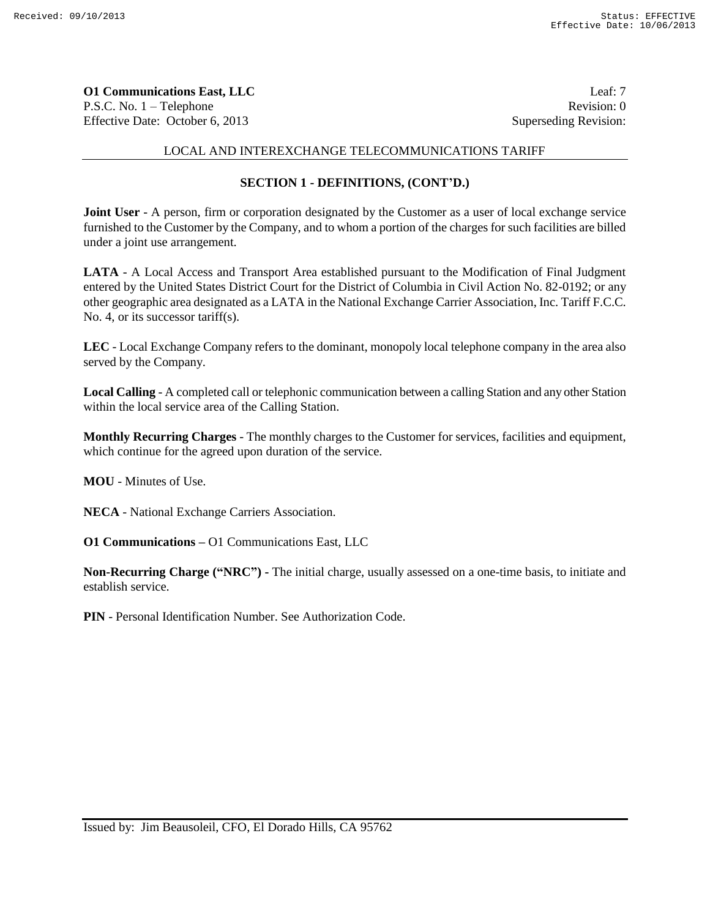**O1 Communications East, LLC** Leaf: 7 P.S.C. No. 1 – Telephone Revision: 0 Effective Date: October 6, 2013 Superseding Revision:

## LOCAL AND INTEREXCHANGE TELECOMMUNICATIONS TARIFF

# **SECTION 1 - DEFINITIONS, (CONT'D.)**

**Joint User** - A person, firm or corporation designated by the Customer as a user of local exchange service furnished to the Customer by the Company, and to whom a portion of the charges for such facilities are billed under a joint use arrangement.

**LATA** - A Local Access and Transport Area established pursuant to the Modification of Final Judgment entered by the United States District Court for the District of Columbia in Civil Action No. 82-0192; or any other geographic area designated as a LATA in the National Exchange Carrier Association, Inc. Tariff F.C.C. No. 4, or its successor tariff(s).

**LEC** - Local Exchange Company refers to the dominant, monopoly local telephone company in the area also served by the Company.

**Local Calling** - A completed call or telephonic communication between a calling Station and any other Station within the local service area of the Calling Station.

**Monthly Recurring Charges** - The monthly charges to the Customer for services, facilities and equipment, which continue for the agreed upon duration of the service.

**MOU** - Minutes of Use.

**NECA** - National Exchange Carriers Association.

**O1 Communications –** O1 Communications East, LLC

**Non-Recurring Charge ("NRC") -** The initial charge, usually assessed on a one-time basis, to initiate and establish service.

**PIN** - Personal Identification Number. See Authorization Code.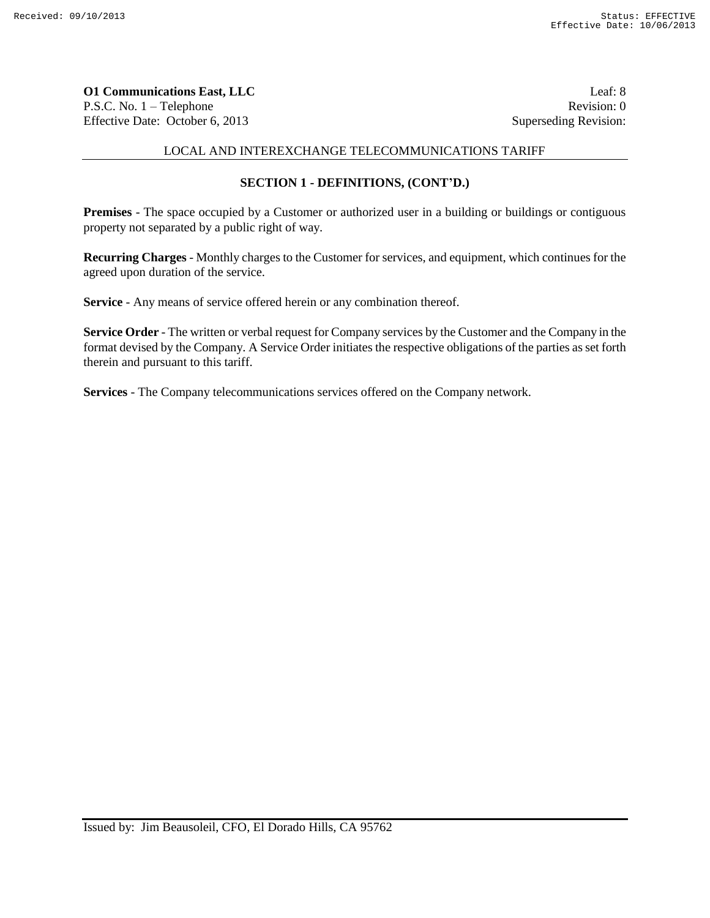**O1 Communications East, LLC** Leaf: 8 P.S.C. No. 1 – Telephone Revision: 0 Effective Date: October 6, 2013 Superseding Revision:

# LOCAL AND INTEREXCHANGE TELECOMMUNICATIONS TARIFF

# **SECTION 1 - DEFINITIONS, (CONT'D.)**

**Premises** - The space occupied by a Customer or authorized user in a building or buildings or contiguous property not separated by a public right of way.

**Recurring Charges** - Monthly charges to the Customer for services, and equipment, which continues for the agreed upon duration of the service.

**Service** - Any means of service offered herein or any combination thereof.

**Service Order** - The written or verbal request for Company services by the Customer and the Company in the format devised by the Company. A Service Order initiates the respective obligations of the parties as set forth therein and pursuant to this tariff.

**Services** - The Company telecommunications services offered on the Company network.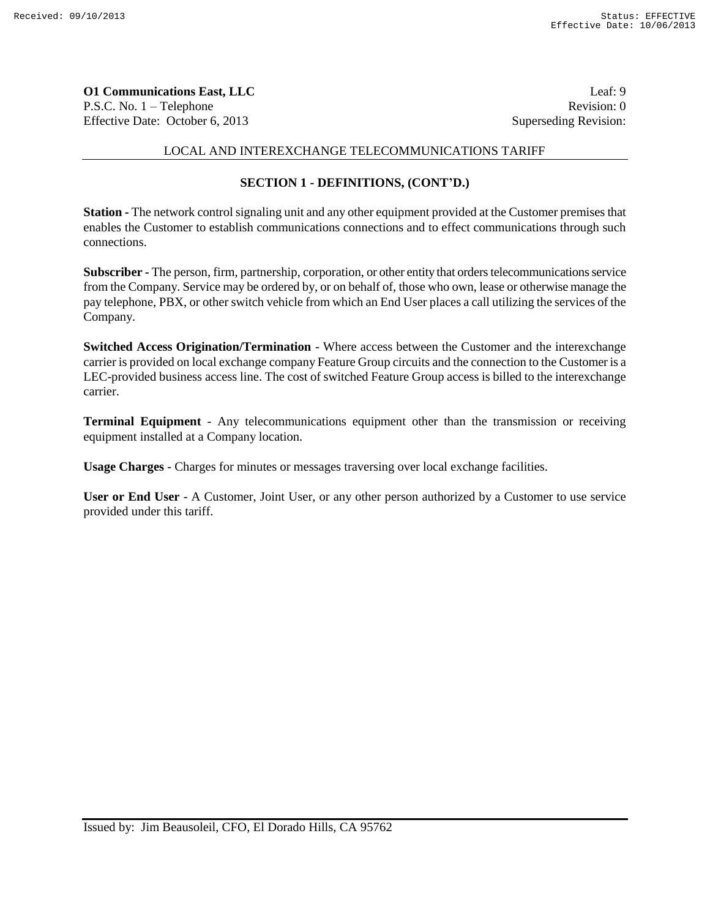**O1 Communications East, LLC** Leaf: 9 P.S.C. No. 1 – Telephone Revision: 0 Effective Date: October 6, 2013 Superseding Revision:

## LOCAL AND INTEREXCHANGE TELECOMMUNICATIONS TARIFF

# **SECTION 1 - DEFINITIONS, (CONT'D.)**

**Station -** The network control signaling unit and any other equipment provided at the Customer premises that enables the Customer to establish communications connections and to effect communications through such connections.

**Subscriber -** The person, firm, partnership, corporation, or other entity that orders telecommunications service from the Company. Service may be ordered by, or on behalf of, those who own, lease or otherwise manage the pay telephone, PBX, or other switch vehicle from which an End User places a call utilizing the services of the Company.

**Switched Access Origination/Termination** - Where access between the Customer and the interexchange carrier is provided on local exchange company Feature Group circuits and the connection to the Customer is a LEC-provided business access line. The cost of switched Feature Group access is billed to the interexchange carrier.

**Terminal Equipment** - Any telecommunications equipment other than the transmission or receiving equipment installed at a Company location.

**Usage Charges** - Charges for minutes or messages traversing over local exchange facilities.

**User or End User** - A Customer, Joint User, or any other person authorized by a Customer to use service provided under this tariff.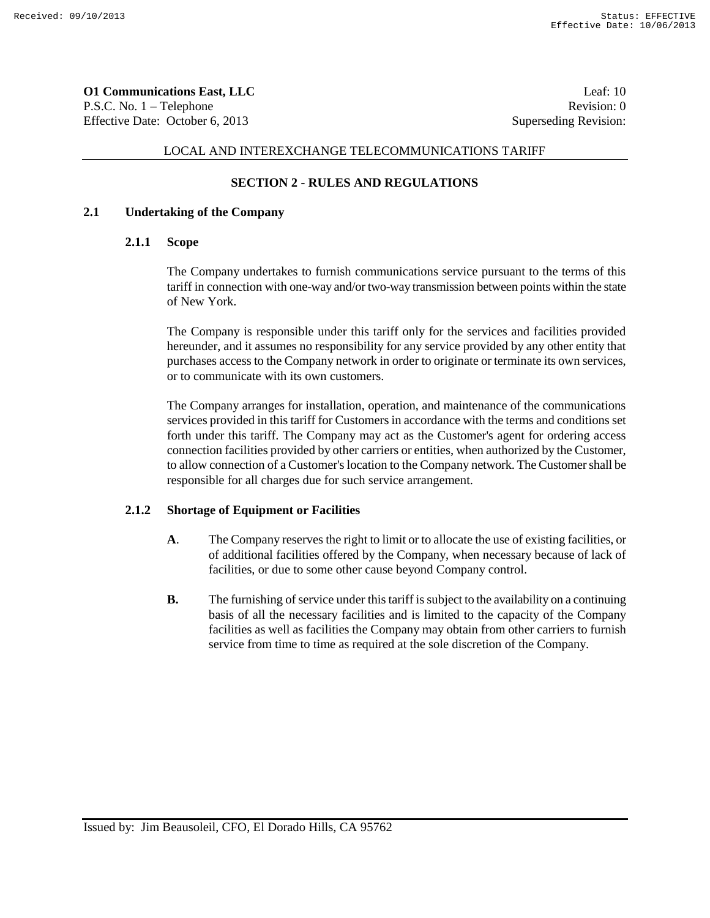**O1 Communications East, LLC** Leaf: 10 P.S.C. No. 1 – Telephone Revision: 0 Effective Date: October 6, 2013 Superseding Revision:

### LOCAL AND INTEREXCHANGE TELECOMMUNICATIONS TARIFF

## **SECTION 2 - RULES AND REGULATIONS**

### **2.1 Undertaking of the Company**

#### **2.1.1 Scope**

The Company undertakes to furnish communications service pursuant to the terms of this tariff in connection with one-way and/or two-way transmission between points within the state of New York.

The Company is responsible under this tariff only for the services and facilities provided hereunder, and it assumes no responsibility for any service provided by any other entity that purchases access to the Company network in order to originate or terminate its own services, or to communicate with its own customers.

The Company arranges for installation, operation, and maintenance of the communications services provided in this tariff for Customers in accordance with the terms and conditions set forth under this tariff. The Company may act as the Customer's agent for ordering access connection facilities provided by other carriers or entities, when authorized by the Customer, to allow connection of a Customer's location to the Company network. The Customer shall be responsible for all charges due for such service arrangement.

## **2.1.2 Shortage of Equipment or Facilities**

- **A**. The Company reserves the right to limit or to allocate the use of existing facilities, or of additional facilities offered by the Company, when necessary because of lack of facilities, or due to some other cause beyond Company control.
- **B.** The furnishing of service under this tariff is subject to the availability on a continuing basis of all the necessary facilities and is limited to the capacity of the Company facilities as well as facilities the Company may obtain from other carriers to furnish service from time to time as required at the sole discretion of the Company.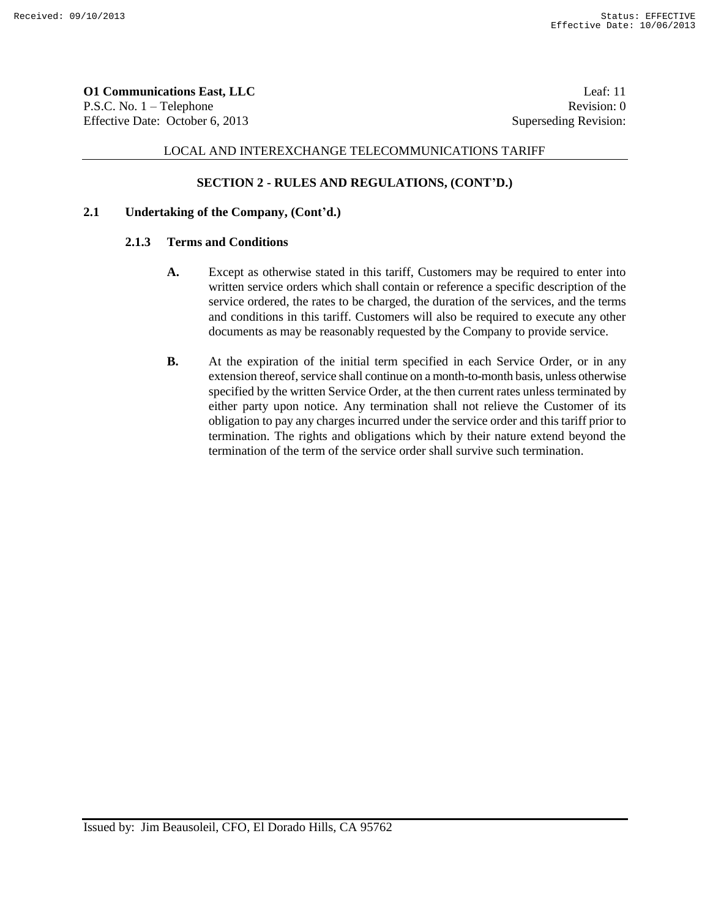**O1 Communications East, LLC** Leaf: 11 P.S.C. No. 1 – Telephone Revision: 0 Effective Date: October 6, 2013 Superseding Revision:

# LOCAL AND INTEREXCHANGE TELECOMMUNICATIONS TARIFF

# **SECTION 2 - RULES AND REGULATIONS, (CONT'D.)**

## **2.1 Undertaking of the Company, (Cont'd.)**

## **2.1.3 Terms and Conditions**

- **A.** Except as otherwise stated in this tariff, Customers may be required to enter into written service orders which shall contain or reference a specific description of the service ordered, the rates to be charged, the duration of the services, and the terms and conditions in this tariff. Customers will also be required to execute any other documents as may be reasonably requested by the Company to provide service.
- **B.** At the expiration of the initial term specified in each Service Order, or in any extension thereof, service shall continue on a month-to-month basis, unless otherwise specified by the written Service Order, at the then current rates unless terminated by either party upon notice. Any termination shall not relieve the Customer of its obligation to pay any charges incurred under the service order and this tariff prior to termination. The rights and obligations which by their nature extend beyond the termination of the term of the service order shall survive such termination.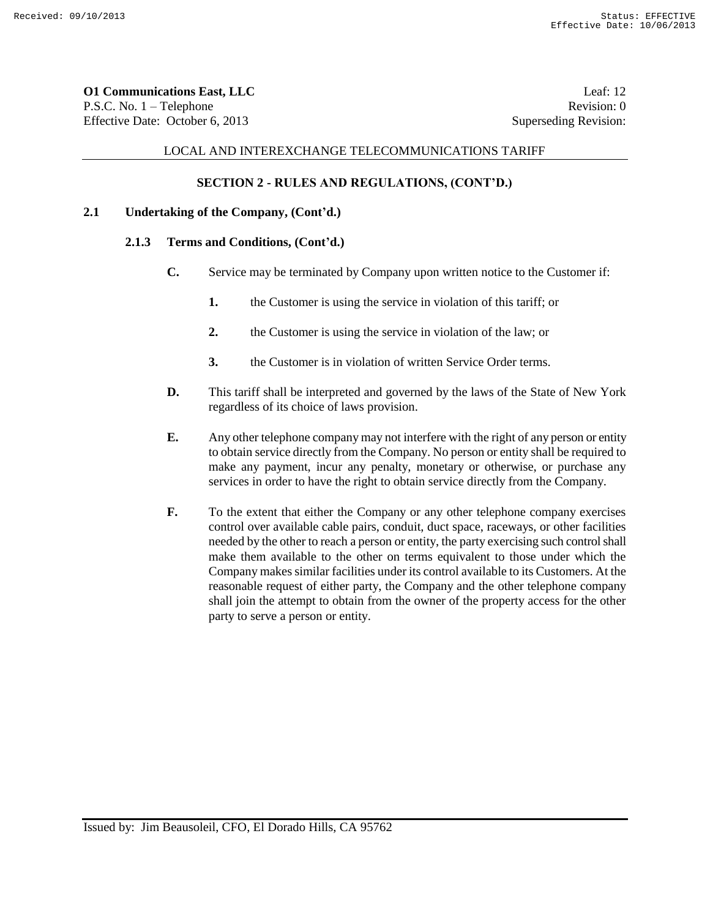**O1 Communications East, LLC** Leaf: 12 P.S.C. No. 1 – Telephone Revision: 0 Effective Date: October 6, 2013 Superseding Revision:

### LOCAL AND INTEREXCHANGE TELECOMMUNICATIONS TARIFF

# **SECTION 2 - RULES AND REGULATIONS, (CONT'D.)**

## **2.1 Undertaking of the Company, (Cont'd.)**

#### **2.1.3 Terms and Conditions, (Cont'd.)**

- **C.** Service may be terminated by Company upon written notice to the Customer if:
	- **1.** the Customer is using the service in violation of this tariff; or
	- **2.** the Customer is using the service in violation of the law; or
	- **3.** the Customer is in violation of written Service Order terms.
- **D.** This tariff shall be interpreted and governed by the laws of the State of New York regardless of its choice of laws provision.
- **E.** Any other telephone company may not interfere with the right of any person or entity to obtain service directly from the Company. No person or entity shall be required to make any payment, incur any penalty, monetary or otherwise, or purchase any services in order to have the right to obtain service directly from the Company.
- **F.** To the extent that either the Company or any other telephone company exercises control over available cable pairs, conduit, duct space, raceways, or other facilities needed by the other to reach a person or entity, the party exercising such control shall make them available to the other on terms equivalent to those under which the Company makes similar facilities under its control available to its Customers. At the reasonable request of either party, the Company and the other telephone company shall join the attempt to obtain from the owner of the property access for the other party to serve a person or entity.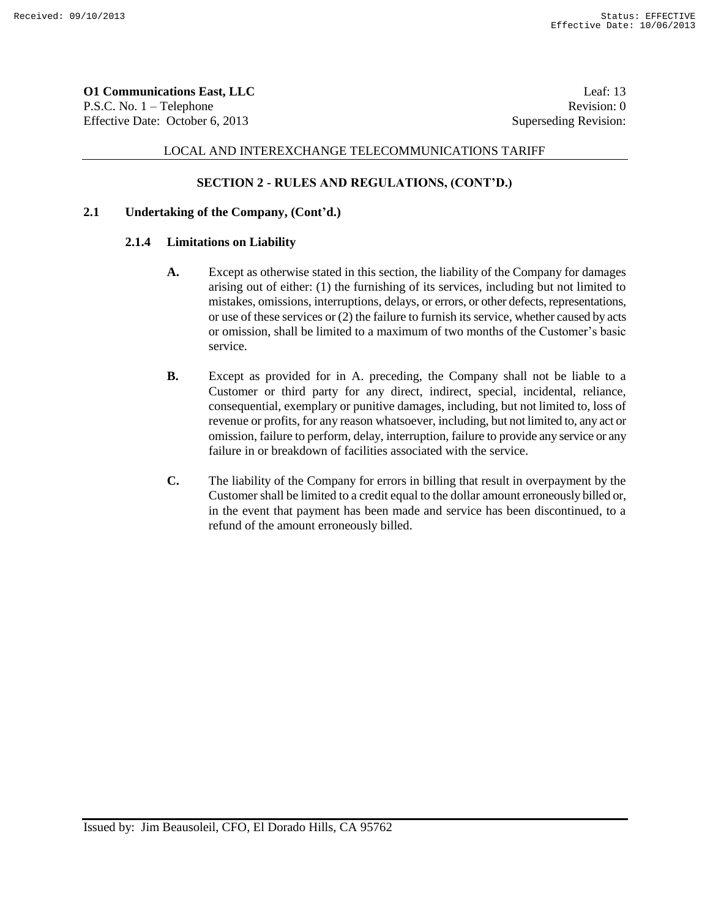**O1 Communications East, LLC** Leaf: 13 P.S.C. No. 1 – Telephone Revision: 0 Effective Date: October 6, 2013 Superseding Revision:

# LOCAL AND INTEREXCHANGE TELECOMMUNICATIONS TARIFF

### **SECTION 2 - RULES AND REGULATIONS, (CONT'D.)**

## **2.1 Undertaking of the Company, (Cont'd.)**

#### **2.1.4 Limitations on Liability**

- **A.** Except as otherwise stated in this section, the liability of the Company for damages arising out of either: (1) the furnishing of its services, including but not limited to mistakes, omissions, interruptions, delays, or errors, or other defects, representations, or use of these services or (2) the failure to furnish its service, whether caused by acts or omission, shall be limited to a maximum of two months of the Customer's basic service.
- **B.** Except as provided for in A. preceding, the Company shall not be liable to a Customer or third party for any direct, indirect, special, incidental, reliance, consequential, exemplary or punitive damages, including, but not limited to, loss of revenue or profits, for any reason whatsoever, including, but not limited to, any act or omission, failure to perform, delay, interruption, failure to provide any service or any failure in or breakdown of facilities associated with the service.
- **C.** The liability of the Company for errors in billing that result in overpayment by the Customer shall be limited to a credit equal to the dollar amount erroneously billed or, in the event that payment has been made and service has been discontinued, to a refund of the amount erroneously billed.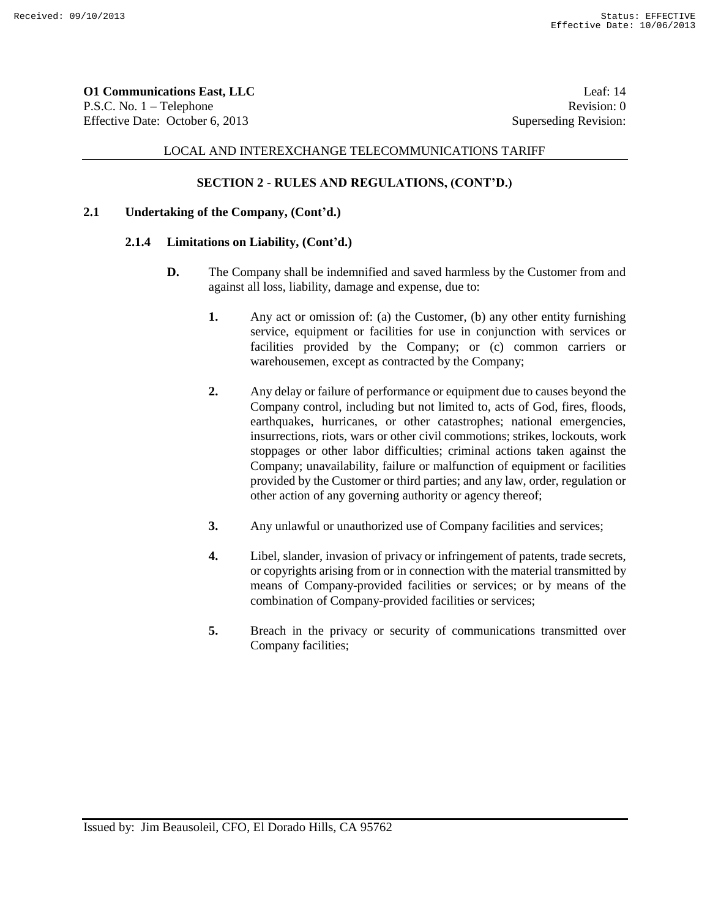**O1 Communications East, LLC** Leaf: 14 P.S.C. No. 1 – Telephone Revision: 0 Effective Date: October 6, 2013 Superseding Revision:

## LOCAL AND INTEREXCHANGE TELECOMMUNICATIONS TARIFF

# **SECTION 2 - RULES AND REGULATIONS, (CONT'D.)**

### **2.1 Undertaking of the Company, (Cont'd.)**

### **2.1.4 Limitations on Liability, (Cont'd.)**

- **D.** The Company shall be indemnified and saved harmless by the Customer from and against all loss, liability, damage and expense, due to:
	- **1.** Any act or omission of: (a) the Customer, (b) any other entity furnishing service, equipment or facilities for use in conjunction with services or facilities provided by the Company; or (c) common carriers or warehousemen, except as contracted by the Company;
	- **2.** Any delay or failure of performance or equipment due to causes beyond the Company control, including but not limited to, acts of God, fires, floods, earthquakes, hurricanes, or other catastrophes; national emergencies, insurrections, riots, wars or other civil commotions; strikes, lockouts, work stoppages or other labor difficulties; criminal actions taken against the Company; unavailability, failure or malfunction of equipment or facilities provided by the Customer or third parties; and any law, order, regulation or other action of any governing authority or agency thereof;
	- **3.** Any unlawful or unauthorized use of Company facilities and services;
	- **4.** Libel, slander, invasion of privacy or infringement of patents, trade secrets, or copyrights arising from or in connection with the material transmitted by means of Company-provided facilities or services; or by means of the combination of Company-provided facilities or services;
	- **5.** Breach in the privacy or security of communications transmitted over Company facilities;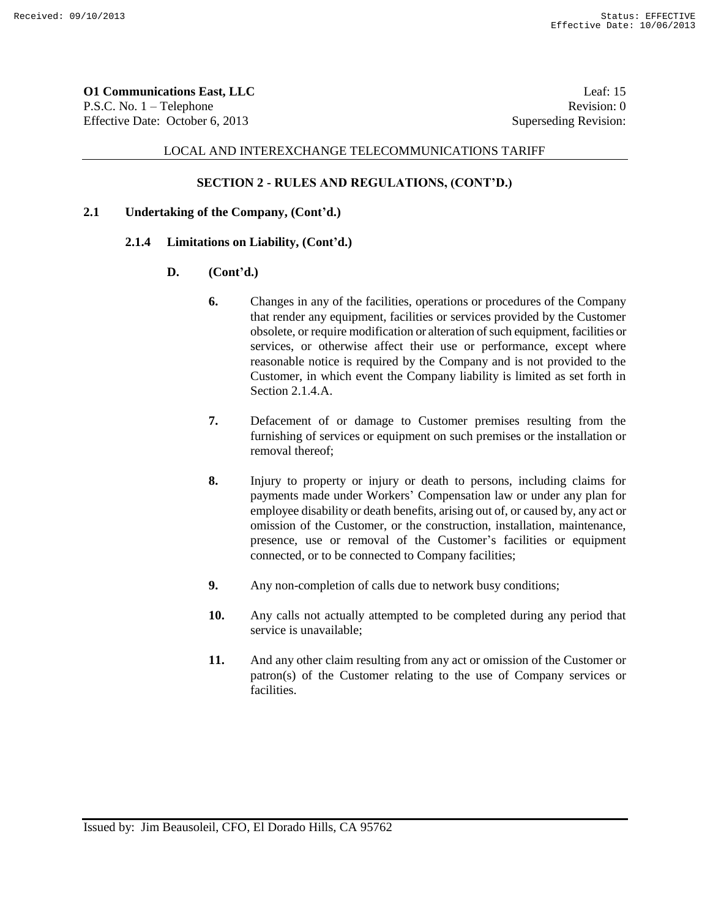**O1 Communications East, LLC** Leaf: 15 P.S.C. No. 1 – Telephone Revision: 0 Effective Date: October 6, 2013 Superseding Revision:

### LOCAL AND INTEREXCHANGE TELECOMMUNICATIONS TARIFF

### **SECTION 2 - RULES AND REGULATIONS, (CONT'D.)**

### **2.1 Undertaking of the Company, (Cont'd.)**

#### **2.1.4 Limitations on Liability, (Cont'd.)**

- **D. (Cont'd.)**
	- **6.** Changes in any of the facilities, operations or procedures of the Company that render any equipment, facilities or services provided by the Customer obsolete, or require modification or alteration of such equipment, facilities or services, or otherwise affect their use or performance, except where reasonable notice is required by the Company and is not provided to the Customer, in which event the Company liability is limited as set forth in Section 2.1.4.A.
	- **7.** Defacement of or damage to Customer premises resulting from the furnishing of services or equipment on such premises or the installation or removal thereof;
	- **8.** Injury to property or injury or death to persons, including claims for payments made under Workers' Compensation law or under any plan for employee disability or death benefits, arising out of, or caused by, any act or omission of the Customer, or the construction, installation, maintenance, presence, use or removal of the Customer's facilities or equipment connected, or to be connected to Company facilities;
	- **9.** Any non-completion of calls due to network busy conditions;
	- **10.** Any calls not actually attempted to be completed during any period that service is unavailable;
	- **11.** And any other claim resulting from any act or omission of the Customer or patron(s) of the Customer relating to the use of Company services or facilities.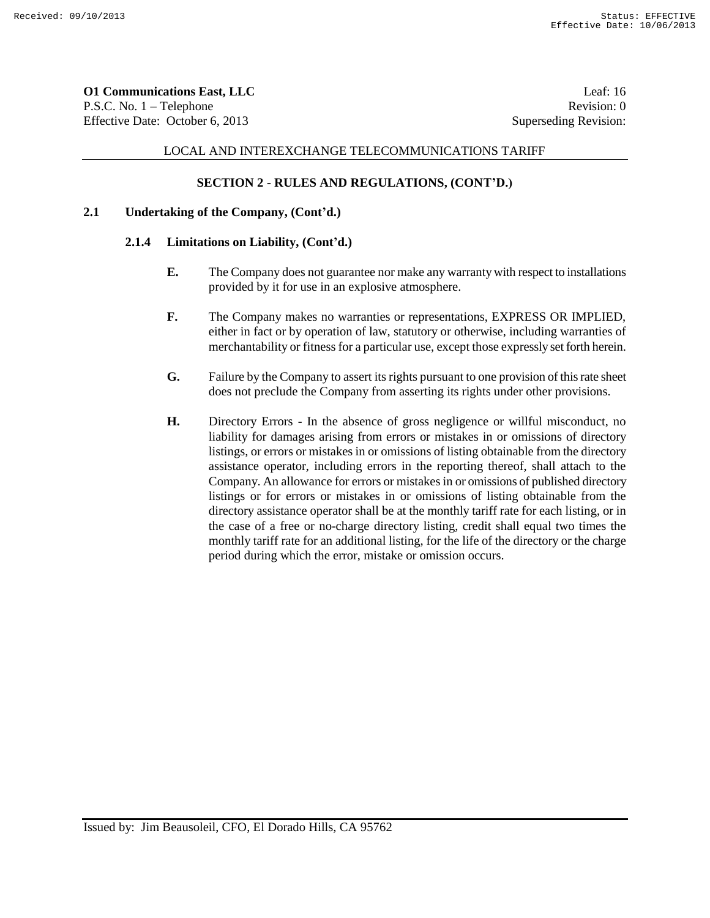**O1 Communications East, LLC** Leaf: 16 P.S.C. No. 1 – Telephone Revision: 0 Effective Date: October 6, 2013 Superseding Revision:

## LOCAL AND INTEREXCHANGE TELECOMMUNICATIONS TARIFF

## **SECTION 2 - RULES AND REGULATIONS, (CONT'D.)**

## **2.1 Undertaking of the Company, (Cont'd.)**

#### **2.1.4 Limitations on Liability, (Cont'd.)**

- **E.** The Company does not guarantee nor make any warranty with respect to installations provided by it for use in an explosive atmosphere.
- **F.** The Company makes no warranties or representations, EXPRESS OR IMPLIED, either in fact or by operation of law, statutory or otherwise, including warranties of merchantability or fitness for a particular use, except those expressly set forth herein.
- **G.** Failure by the Company to assert its rights pursuant to one provision of this rate sheet does not preclude the Company from asserting its rights under other provisions.
- **H.** Directory Errors In the absence of gross negligence or willful misconduct, no liability for damages arising from errors or mistakes in or omissions of directory listings, or errors or mistakes in or omissions of listing obtainable from the directory assistance operator, including errors in the reporting thereof, shall attach to the Company. An allowance for errors or mistakes in or omissions of published directory listings or for errors or mistakes in or omissions of listing obtainable from the directory assistance operator shall be at the monthly tariff rate for each listing, or in the case of a free or no-charge directory listing, credit shall equal two times the monthly tariff rate for an additional listing, for the life of the directory or the charge period during which the error, mistake or omission occurs.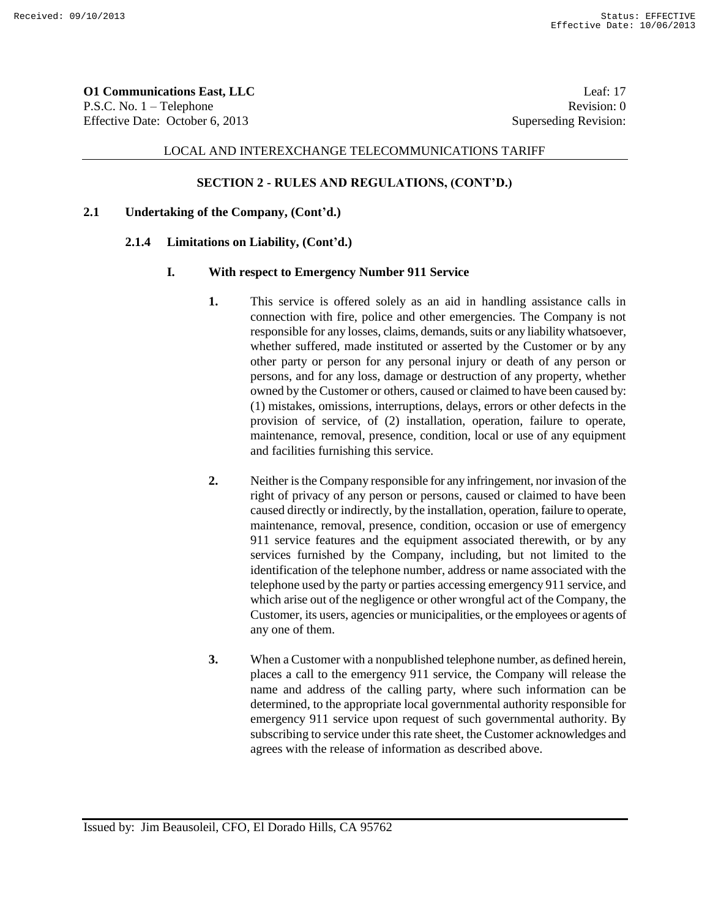**O1 Communications East, LLC** Leaf: 17 P.S.C. No. 1 – Telephone Revision: 0 Effective Date: October 6, 2013 Superseding Revision:

### LOCAL AND INTEREXCHANGE TELECOMMUNICATIONS TARIFF

### **SECTION 2 - RULES AND REGULATIONS, (CONT'D.)**

### **2.1 Undertaking of the Company, (Cont'd.)**

#### **2.1.4 Limitations on Liability, (Cont'd.)**

#### **I. With respect to Emergency Number 911 Service**

- **1.** This service is offered solely as an aid in handling assistance calls in connection with fire, police and other emergencies. The Company is not responsible for any losses, claims, demands, suits or any liability whatsoever, whether suffered, made instituted or asserted by the Customer or by any other party or person for any personal injury or death of any person or persons, and for any loss, damage or destruction of any property, whether owned by the Customer or others, caused or claimed to have been caused by: (1) mistakes, omissions, interruptions, delays, errors or other defects in the provision of service, of (2) installation, operation, failure to operate, maintenance, removal, presence, condition, local or use of any equipment and facilities furnishing this service.
- **2.** Neither is the Company responsible for any infringement, nor invasion of the right of privacy of any person or persons, caused or claimed to have been caused directly or indirectly, by the installation, operation, failure to operate, maintenance, removal, presence, condition, occasion or use of emergency 911 service features and the equipment associated therewith, or by any services furnished by the Company, including, but not limited to the identification of the telephone number, address or name associated with the telephone used by the party or parties accessing emergency 911 service, and which arise out of the negligence or other wrongful act of the Company, the Customer, its users, agencies or municipalities, or the employees or agents of any one of them.
- **3.** When a Customer with a nonpublished telephone number, as defined herein, places a call to the emergency 911 service, the Company will release the name and address of the calling party, where such information can be determined, to the appropriate local governmental authority responsible for emergency 911 service upon request of such governmental authority. By subscribing to service under this rate sheet, the Customer acknowledges and agrees with the release of information as described above.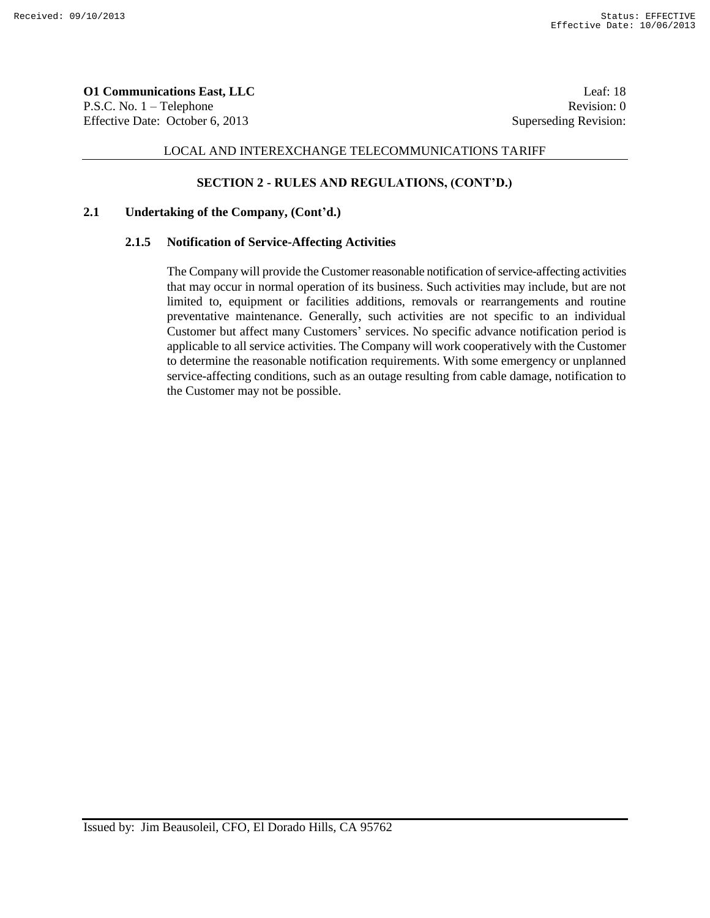**O1 Communications East, LLC** Leaf: 18 P.S.C. No. 1 – Telephone Revision: 0 Effective Date: October 6, 2013 Superseding Revision:

## LOCAL AND INTEREXCHANGE TELECOMMUNICATIONS TARIFF

### **SECTION 2 - RULES AND REGULATIONS, (CONT'D.)**

### **2.1 Undertaking of the Company, (Cont'd.)**

#### **2.1.5 Notification of Service-Affecting Activities**

The Company will provide the Customer reasonable notification of service-affecting activities that may occur in normal operation of its business. Such activities may include, but are not limited to, equipment or facilities additions, removals or rearrangements and routine preventative maintenance. Generally, such activities are not specific to an individual Customer but affect many Customers' services. No specific advance notification period is applicable to all service activities. The Company will work cooperatively with the Customer to determine the reasonable notification requirements. With some emergency or unplanned service-affecting conditions, such as an outage resulting from cable damage, notification to the Customer may not be possible.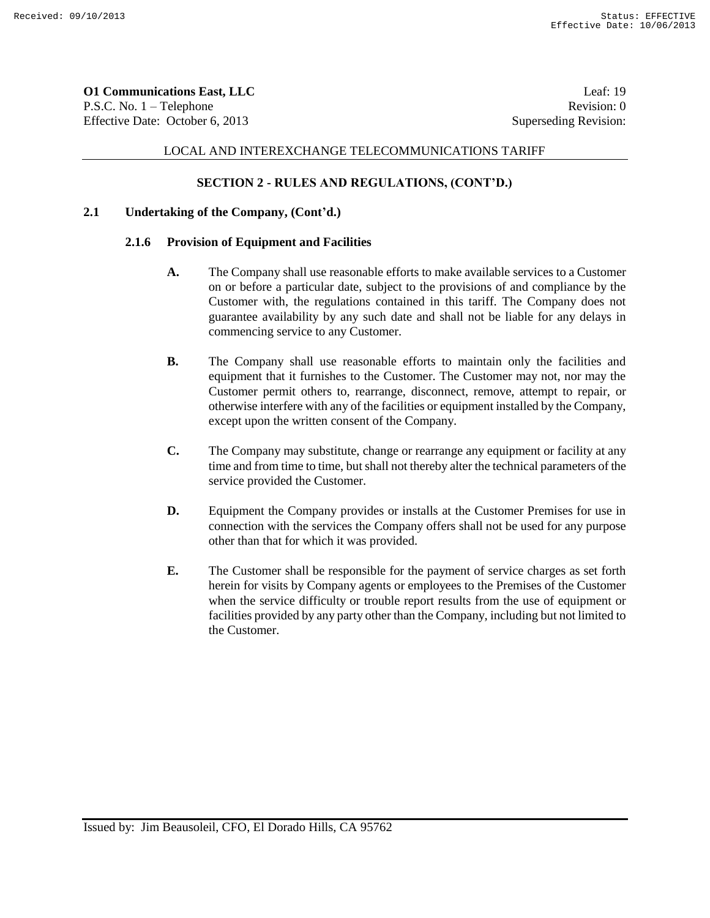**O1 Communications East, LLC** Leaf: 19 P.S.C. No. 1 – Telephone Revision: 0 Effective Date: October 6, 2013 Superseding Revision:

## LOCAL AND INTEREXCHANGE TELECOMMUNICATIONS TARIFF

### **SECTION 2 - RULES AND REGULATIONS, (CONT'D.)**

### **2.1 Undertaking of the Company, (Cont'd.)**

#### **2.1.6 Provision of Equipment and Facilities**

- **A.** The Company shall use reasonable efforts to make available services to a Customer on or before a particular date, subject to the provisions of and compliance by the Customer with, the regulations contained in this tariff. The Company does not guarantee availability by any such date and shall not be liable for any delays in commencing service to any Customer.
- **B.** The Company shall use reasonable efforts to maintain only the facilities and equipment that it furnishes to the Customer. The Customer may not, nor may the Customer permit others to, rearrange, disconnect, remove, attempt to repair, or otherwise interfere with any of the facilities or equipment installed by the Company, except upon the written consent of the Company.
- **C.** The Company may substitute, change or rearrange any equipment or facility at any time and from time to time, but shall not thereby alter the technical parameters of the service provided the Customer.
- **D.** Equipment the Company provides or installs at the Customer Premises for use in connection with the services the Company offers shall not be used for any purpose other than that for which it was provided.
- **E.** The Customer shall be responsible for the payment of service charges as set forth herein for visits by Company agents or employees to the Premises of the Customer when the service difficulty or trouble report results from the use of equipment or facilities provided by any party other than the Company, including but not limited to the Customer.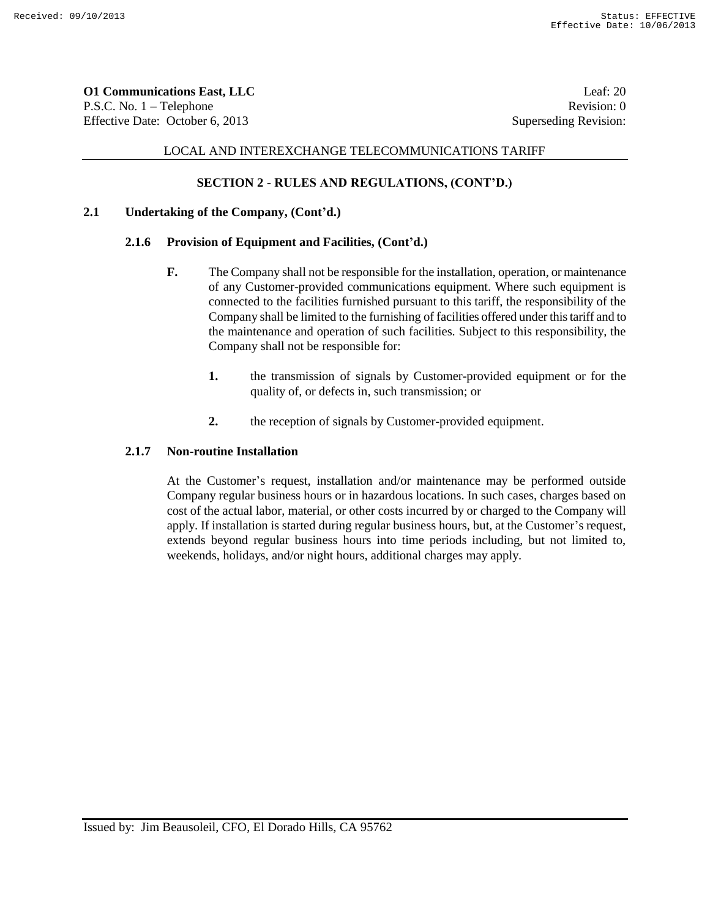**O1 Communications East, LLC** Leaf: 20 P.S.C. No. 1 – Telephone Revision: 0 Effective Date: October 6, 2013 Superseding Revision:

## LOCAL AND INTEREXCHANGE TELECOMMUNICATIONS TARIFF

# **SECTION 2 - RULES AND REGULATIONS, (CONT'D.)**

## **2.1 Undertaking of the Company, (Cont'd.)**

## **2.1.6 Provision of Equipment and Facilities, (Cont'd.)**

- **F.** The Company shall not be responsible for the installation, operation, or maintenance of any Customer-provided communications equipment. Where such equipment is connected to the facilities furnished pursuant to this tariff, the responsibility of the Company shall be limited to the furnishing of facilities offered under this tariff and to the maintenance and operation of such facilities. Subject to this responsibility, the Company shall not be responsible for:
	- **1.** the transmission of signals by Customer-provided equipment or for the quality of, or defects in, such transmission; or
	- **2.** the reception of signals by Customer-provided equipment.

## **2.1.7 Non-routine Installation**

At the Customer's request, installation and/or maintenance may be performed outside Company regular business hours or in hazardous locations. In such cases, charges based on cost of the actual labor, material, or other costs incurred by or charged to the Company will apply. If installation is started during regular business hours, but, at the Customer's request, extends beyond regular business hours into time periods including, but not limited to, weekends, holidays, and/or night hours, additional charges may apply.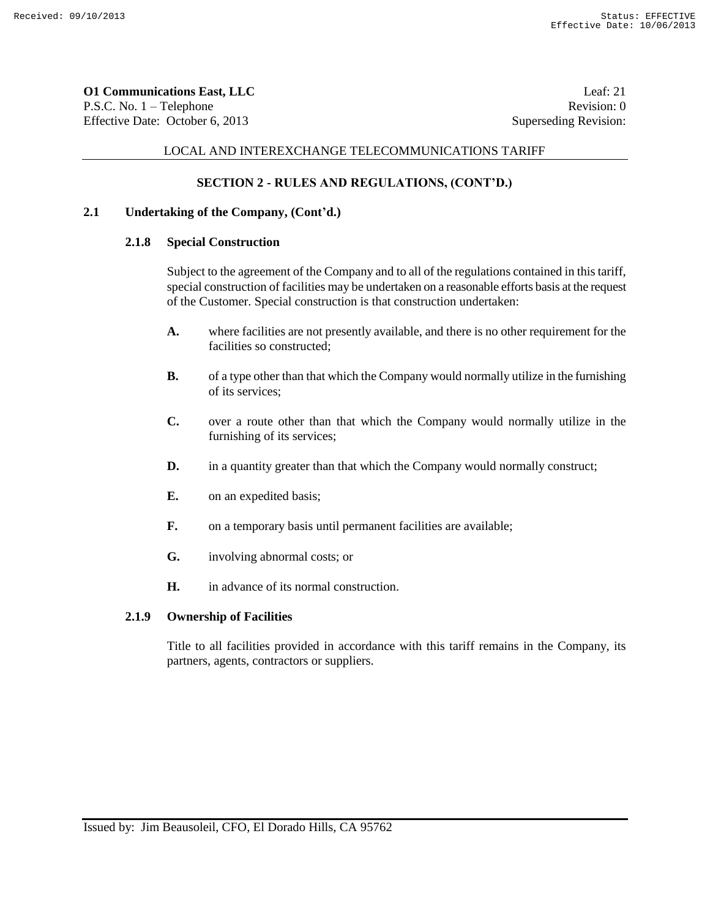**O1 Communications East, LLC** Leaf: 21 P.S.C. No. 1 – Telephone Revision: 0 Effective Date: October 6, 2013 Superseding Revision:

### LOCAL AND INTEREXCHANGE TELECOMMUNICATIONS TARIFF

# **SECTION 2 - RULES AND REGULATIONS, (CONT'D.)**

## **2.1 Undertaking of the Company, (Cont'd.)**

# **2.1.8 Special Construction**

Subject to the agreement of the Company and to all of the regulations contained in this tariff, special construction of facilities may be undertaken on a reasonable efforts basis at the request of the Customer. Special construction is that construction undertaken:

- **A.** where facilities are not presently available, and there is no other requirement for the facilities so constructed;
- **B.** of a type other than that which the Company would normally utilize in the furnishing of its services;
- **C.** over a route other than that which the Company would normally utilize in the furnishing of its services;
- **D.** in a quantity greater than that which the Company would normally construct;
- **E.** on an expedited basis;
- **F.** on a temporary basis until permanent facilities are available;
- **G.** involving abnormal costs; or
- **H.** in advance of its normal construction.

### **2.1.9 Ownership of Facilities**

Title to all facilities provided in accordance with this tariff remains in the Company, its partners, agents, contractors or suppliers.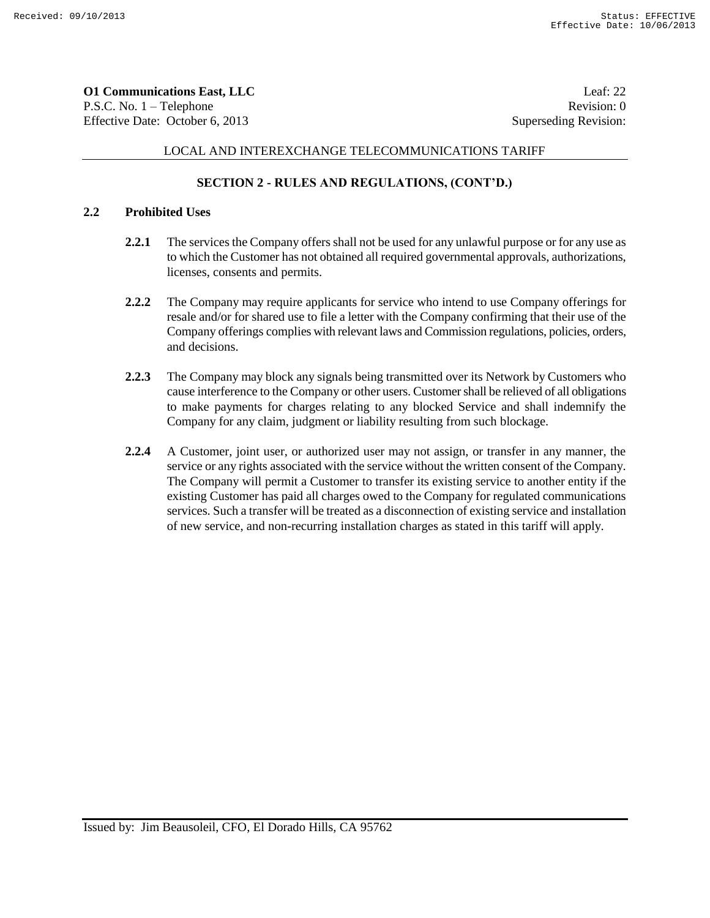**O1 Communications East, LLC** Leaf: 22 P.S.C. No. 1 – Telephone Revision: 0 Effective Date: October 6, 2013 Superseding Revision:

# LOCAL AND INTEREXCHANGE TELECOMMUNICATIONS TARIFF

# **SECTION 2 - RULES AND REGULATIONS, (CONT'D.)**

## **2.2 Prohibited Uses**

- **2.2.1** The services the Company offers shall not be used for any unlawful purpose or for any use as to which the Customer has not obtained all required governmental approvals, authorizations, licenses, consents and permits.
- **2.2.2** The Company may require applicants for service who intend to use Company offerings for resale and/or for shared use to file a letter with the Company confirming that their use of the Company offerings complies with relevant laws and Commission regulations, policies, orders, and decisions.
- **2.2.3** The Company may block any signals being transmitted over its Network by Customers who cause interference to the Company or other users. Customer shall be relieved of all obligations to make payments for charges relating to any blocked Service and shall indemnify the Company for any claim, judgment or liability resulting from such blockage.
- **2.2.4** A Customer, joint user, or authorized user may not assign, or transfer in any manner, the service or any rights associated with the service without the written consent of the Company. The Company will permit a Customer to transfer its existing service to another entity if the existing Customer has paid all charges owed to the Company for regulated communications services. Such a transfer will be treated as a disconnection of existing service and installation of new service, and non-recurring installation charges as stated in this tariff will apply.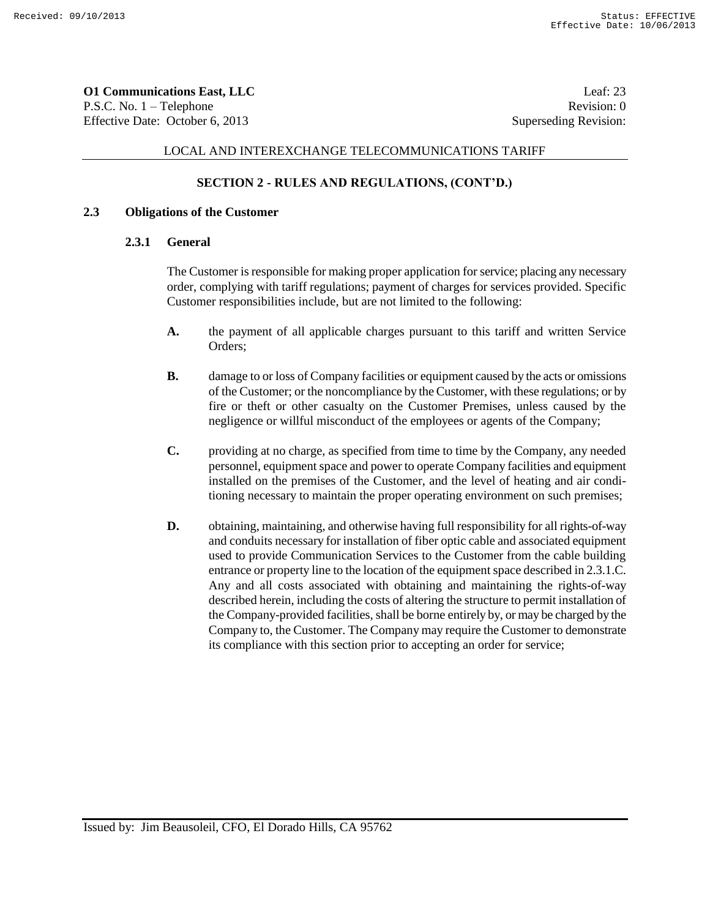**O1 Communications East, LLC** Leaf: 23 P.S.C. No. 1 – Telephone Revision: 0 Effective Date: October 6, 2013 Superseding Revision:

### LOCAL AND INTEREXCHANGE TELECOMMUNICATIONS TARIFF

## **SECTION 2 - RULES AND REGULATIONS, (CONT'D.)**

## **2.3 Obligations of the Customer**

#### **2.3.1 General**

The Customer is responsible for making proper application for service; placing any necessary order, complying with tariff regulations; payment of charges for services provided. Specific Customer responsibilities include, but are not limited to the following:

- **A.** the payment of all applicable charges pursuant to this tariff and written Service Orders;
- **B.** damage to or loss of Company facilities or equipment caused by the acts or omissions of the Customer; or the noncompliance by the Customer, with these regulations; or by fire or theft or other casualty on the Customer Premises, unless caused by the negligence or willful misconduct of the employees or agents of the Company;
- **C.** providing at no charge, as specified from time to time by the Company, any needed personnel, equipment space and power to operate Company facilities and equipment installed on the premises of the Customer, and the level of heating and air conditioning necessary to maintain the proper operating environment on such premises;
- **D.** obtaining, maintaining, and otherwise having full responsibility for all rights-of-way and conduits necessary for installation of fiber optic cable and associated equipment used to provide Communication Services to the Customer from the cable building entrance or property line to the location of the equipment space described in 2.3.1.C. Any and all costs associated with obtaining and maintaining the rights-of-way described herein, including the costs of altering the structure to permit installation of the Company-provided facilities, shall be borne entirely by, or may be charged by the Company to, the Customer. The Company may require the Customer to demonstrate its compliance with this section prior to accepting an order for service;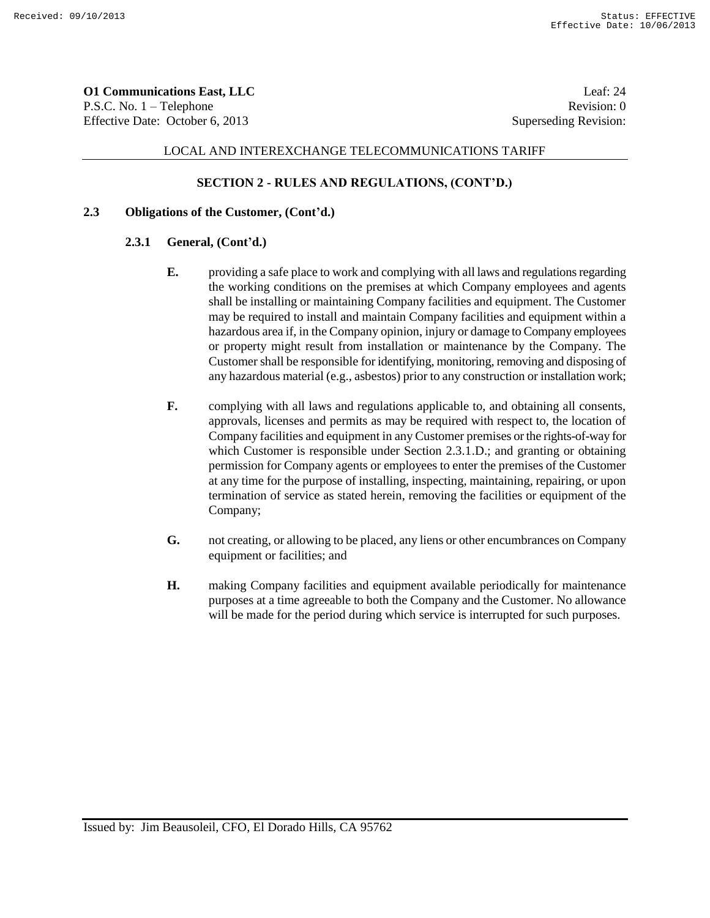**O1 Communications East, LLC** Leaf: 24 P.S.C. No. 1 – Telephone Revision: 0 Effective Date: October 6, 2013 Superseding Revision:

# LOCAL AND INTEREXCHANGE TELECOMMUNICATIONS TARIFF

### **SECTION 2 - RULES AND REGULATIONS, (CONT'D.)**

### **2.3 Obligations of the Customer, (Cont'd.)**

### **2.3.1 General, (Cont'd.)**

- **E.** providing a safe place to work and complying with all laws and regulations regarding the working conditions on the premises at which Company employees and agents shall be installing or maintaining Company facilities and equipment. The Customer may be required to install and maintain Company facilities and equipment within a hazardous area if, in the Company opinion, injury or damage to Company employees or property might result from installation or maintenance by the Company. The Customer shall be responsible for identifying, monitoring, removing and disposing of any hazardous material (e.g., asbestos) prior to any construction or installation work;
- **F.** complying with all laws and regulations applicable to, and obtaining all consents, approvals, licenses and permits as may be required with respect to, the location of Company facilities and equipment in any Customer premises or the rights-of-way for which Customer is responsible under Section 2.3.1.D.; and granting or obtaining permission for Company agents or employees to enter the premises of the Customer at any time for the purpose of installing, inspecting, maintaining, repairing, or upon termination of service as stated herein, removing the facilities or equipment of the Company;
- **G.** not creating, or allowing to be placed, any liens or other encumbrances on Company equipment or facilities; and
- **H.** making Company facilities and equipment available periodically for maintenance purposes at a time agreeable to both the Company and the Customer. No allowance will be made for the period during which service is interrupted for such purposes.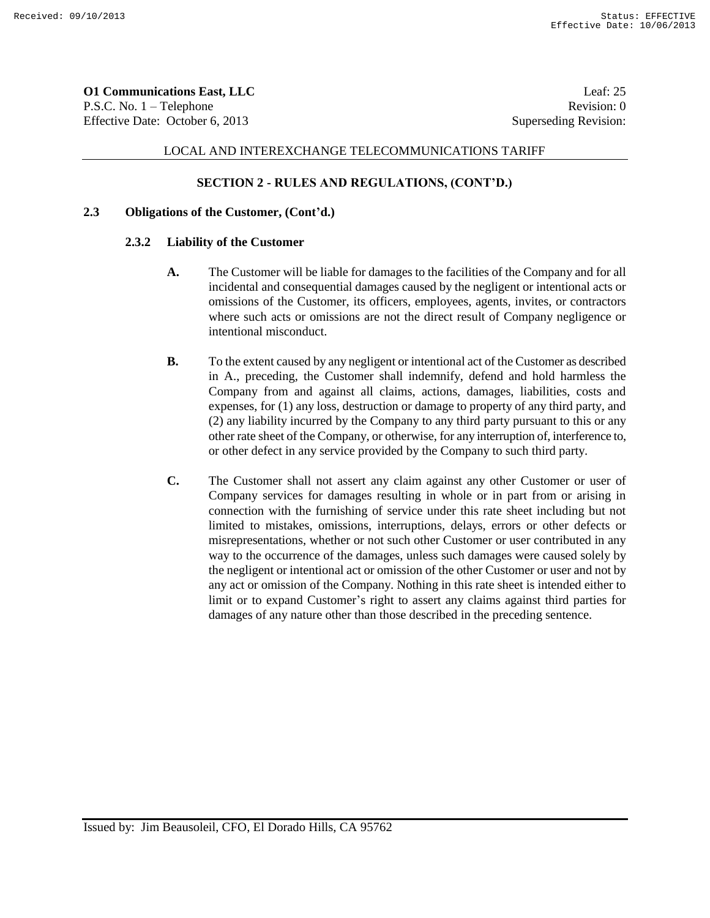**O1 Communications East, LLC** Leaf: 25 P.S.C. No. 1 – Telephone Revision: 0 Effective Date: October 6, 2013 Superseding Revision:

## LOCAL AND INTEREXCHANGE TELECOMMUNICATIONS TARIFF

## **SECTION 2 - RULES AND REGULATIONS, (CONT'D.)**

### **2.3 Obligations of the Customer, (Cont'd.)**

#### **2.3.2 Liability of the Customer**

- **A.** The Customer will be liable for damages to the facilities of the Company and for all incidental and consequential damages caused by the negligent or intentional acts or omissions of the Customer, its officers, employees, agents, invites, or contractors where such acts or omissions are not the direct result of Company negligence or intentional misconduct.
- **B.** To the extent caused by any negligent or intentional act of the Customer as described in A., preceding, the Customer shall indemnify, defend and hold harmless the Company from and against all claims, actions, damages, liabilities, costs and expenses, for (1) any loss, destruction or damage to property of any third party, and (2) any liability incurred by the Company to any third party pursuant to this or any other rate sheet of the Company, or otherwise, for any interruption of, interference to, or other defect in any service provided by the Company to such third party.
- **C.** The Customer shall not assert any claim against any other Customer or user of Company services for damages resulting in whole or in part from or arising in connection with the furnishing of service under this rate sheet including but not limited to mistakes, omissions, interruptions, delays, errors or other defects or misrepresentations, whether or not such other Customer or user contributed in any way to the occurrence of the damages, unless such damages were caused solely by the negligent or intentional act or omission of the other Customer or user and not by any act or omission of the Company. Nothing in this rate sheet is intended either to limit or to expand Customer's right to assert any claims against third parties for damages of any nature other than those described in the preceding sentence.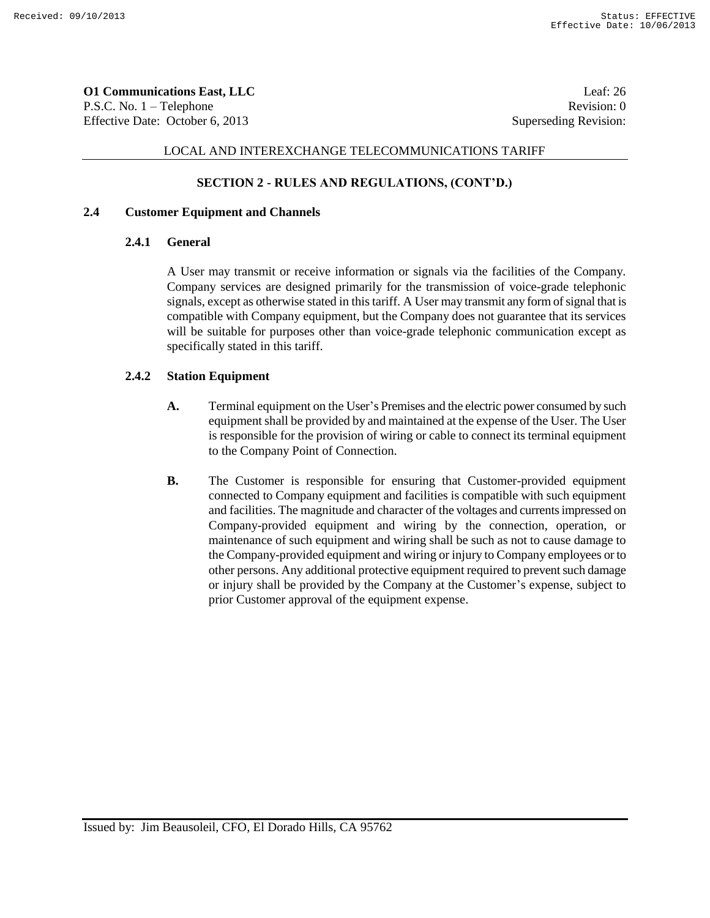**O1 Communications East, LLC** Leaf: 26 P.S.C. No. 1 – Telephone Revision: 0 Effective Date: October 6, 2013 Superseding Revision:

## LOCAL AND INTEREXCHANGE TELECOMMUNICATIONS TARIFF

### **SECTION 2 - RULES AND REGULATIONS, (CONT'D.)**

### **2.4 Customer Equipment and Channels**

### **2.4.1 General**

A User may transmit or receive information or signals via the facilities of the Company. Company services are designed primarily for the transmission of voice-grade telephonic signals, except as otherwise stated in this tariff. A User may transmit any form of signal that is compatible with Company equipment, but the Company does not guarantee that its services will be suitable for purposes other than voice-grade telephonic communication except as specifically stated in this tariff.

### **2.4.2 Station Equipment**

- **A.** Terminal equipment on the User's Premises and the electric power consumed by such equipment shall be provided by and maintained at the expense of the User. The User is responsible for the provision of wiring or cable to connect its terminal equipment to the Company Point of Connection.
- **B.** The Customer is responsible for ensuring that Customer-provided equipment connected to Company equipment and facilities is compatible with such equipment and facilities. The magnitude and character of the voltages and currents impressed on Company-provided equipment and wiring by the connection, operation, or maintenance of such equipment and wiring shall be such as not to cause damage to the Company-provided equipment and wiring or injury to Company employees or to other persons. Any additional protective equipment required to prevent such damage or injury shall be provided by the Company at the Customer's expense, subject to prior Customer approval of the equipment expense.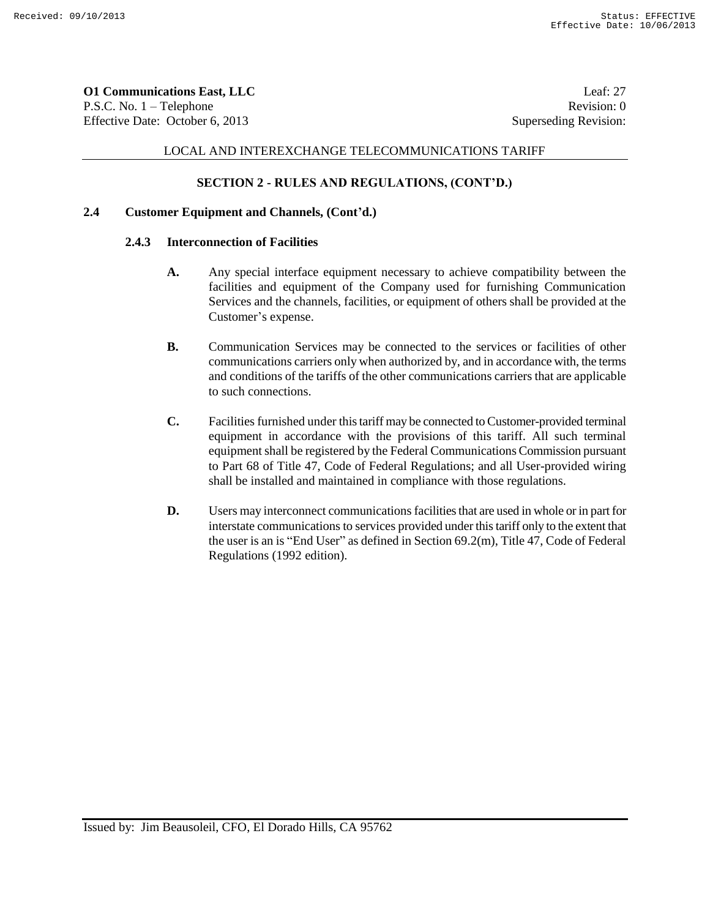**O1 Communications East, LLC** Leaf: 27 P.S.C. No. 1 – Telephone Revision: 0 Effective Date: October 6, 2013 Superseding Revision:

## LOCAL AND INTEREXCHANGE TELECOMMUNICATIONS TARIFF

## **SECTION 2 - RULES AND REGULATIONS, (CONT'D.)**

### **2.4 Customer Equipment and Channels, (Cont'd.)**

#### **2.4.3 Interconnection of Facilities**

- **A.** Any special interface equipment necessary to achieve compatibility between the facilities and equipment of the Company used for furnishing Communication Services and the channels, facilities, or equipment of others shall be provided at the Customer's expense.
- **B.** Communication Services may be connected to the services or facilities of other communications carriers only when authorized by, and in accordance with, the terms and conditions of the tariffs of the other communications carriers that are applicable to such connections.
- **C.** Facilities furnished under this tariff may be connected to Customer-provided terminal equipment in accordance with the provisions of this tariff. All such terminal equipment shall be registered by the Federal Communications Commission pursuant to Part 68 of Title 47, Code of Federal Regulations; and all User-provided wiring shall be installed and maintained in compliance with those regulations.
- **D.** Users may interconnect communications facilities that are used in whole or in part for interstate communications to services provided under this tariff only to the extent that the user is an is "End User" as defined in Section 69.2(m), Title 47, Code of Federal Regulations (1992 edition).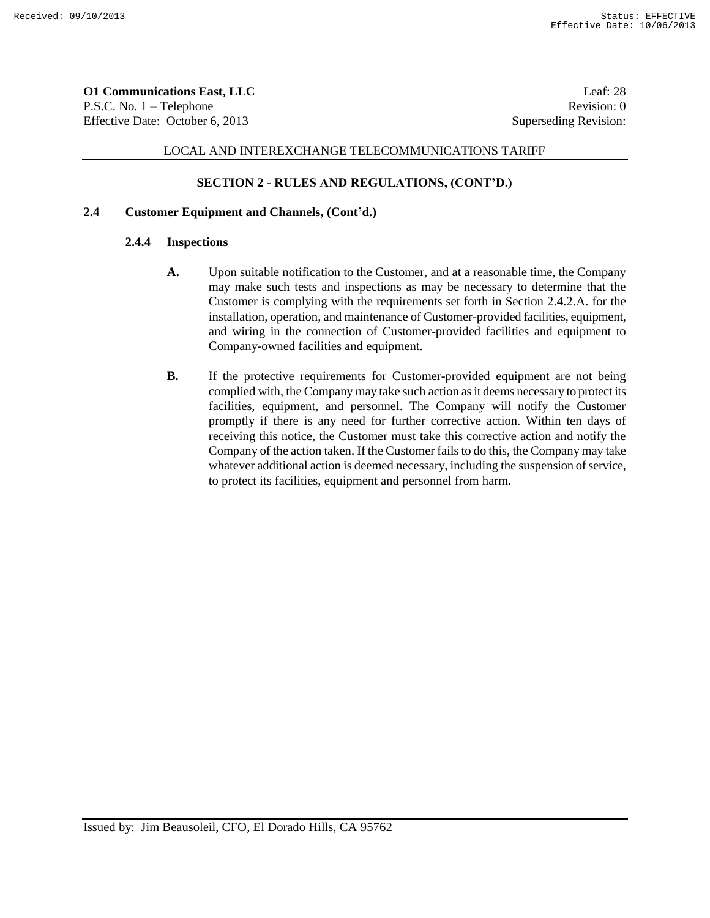**O1 Communications East, LLC** Leaf: 28 P.S.C. No. 1 – Telephone Revision: 0 Effective Date: October 6, 2013 Superseding Revision:

## LOCAL AND INTEREXCHANGE TELECOMMUNICATIONS TARIFF

## **SECTION 2 - RULES AND REGULATIONS, (CONT'D.)**

### **2.4 Customer Equipment and Channels, (Cont'd.)**

## **2.4.4 Inspections**

- **A.** Upon suitable notification to the Customer, and at a reasonable time, the Company may make such tests and inspections as may be necessary to determine that the Customer is complying with the requirements set forth in Section 2.4.2.A. for the installation, operation, and maintenance of Customer-provided facilities, equipment, and wiring in the connection of Customer-provided facilities and equipment to Company-owned facilities and equipment.
- **B.** If the protective requirements for Customer-provided equipment are not being complied with, the Company may take such action as it deems necessary to protect its facilities, equipment, and personnel. The Company will notify the Customer promptly if there is any need for further corrective action. Within ten days of receiving this notice, the Customer must take this corrective action and notify the Company of the action taken. If the Customer fails to do this, the Company may take whatever additional action is deemed necessary, including the suspension of service, to protect its facilities, equipment and personnel from harm.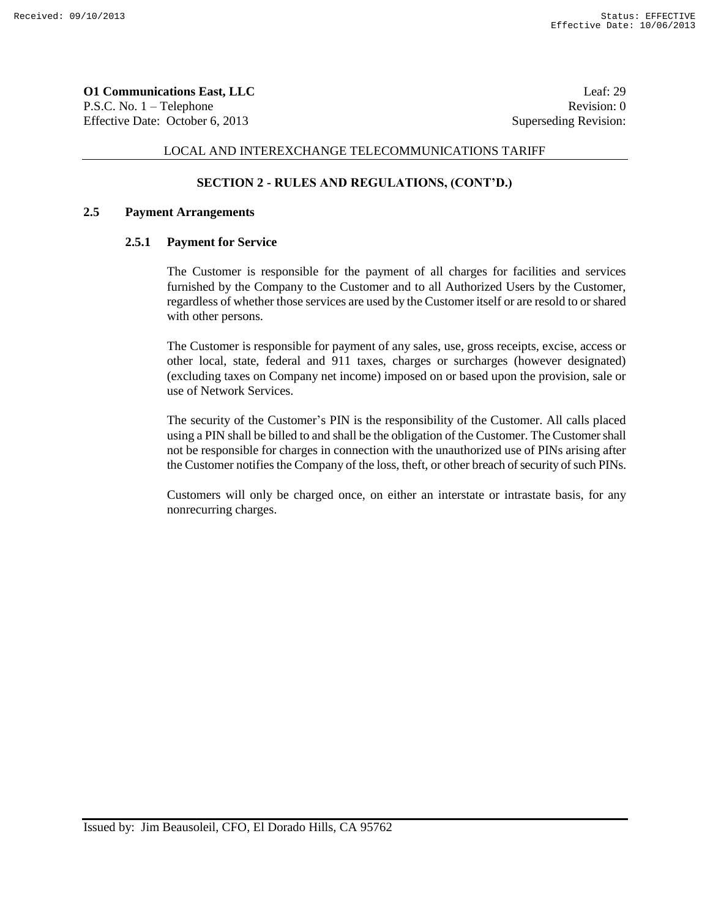**O1 Communications East, LLC** Leaf: 29 P.S.C. No. 1 – Telephone Revision: 0 Effective Date: October 6, 2013 Superseding Revision:

### LOCAL AND INTEREXCHANGE TELECOMMUNICATIONS TARIFF

## **SECTION 2 - RULES AND REGULATIONS, (CONT'D.)**

### **2.5 Payment Arrangements**

### **2.5.1 Payment for Service**

The Customer is responsible for the payment of all charges for facilities and services furnished by the Company to the Customer and to all Authorized Users by the Customer, regardless of whether those services are used by the Customer itself or are resold to or shared with other persons.

The Customer is responsible for payment of any sales, use, gross receipts, excise, access or other local, state, federal and 911 taxes, charges or surcharges (however designated) (excluding taxes on Company net income) imposed on or based upon the provision, sale or use of Network Services.

The security of the Customer's PIN is the responsibility of the Customer. All calls placed using a PIN shall be billed to and shall be the obligation of the Customer. The Customer shall not be responsible for charges in connection with the unauthorized use of PINs arising after the Customer notifies the Company of the loss, theft, or other breach of security of such PINs.

Customers will only be charged once, on either an interstate or intrastate basis, for any nonrecurring charges.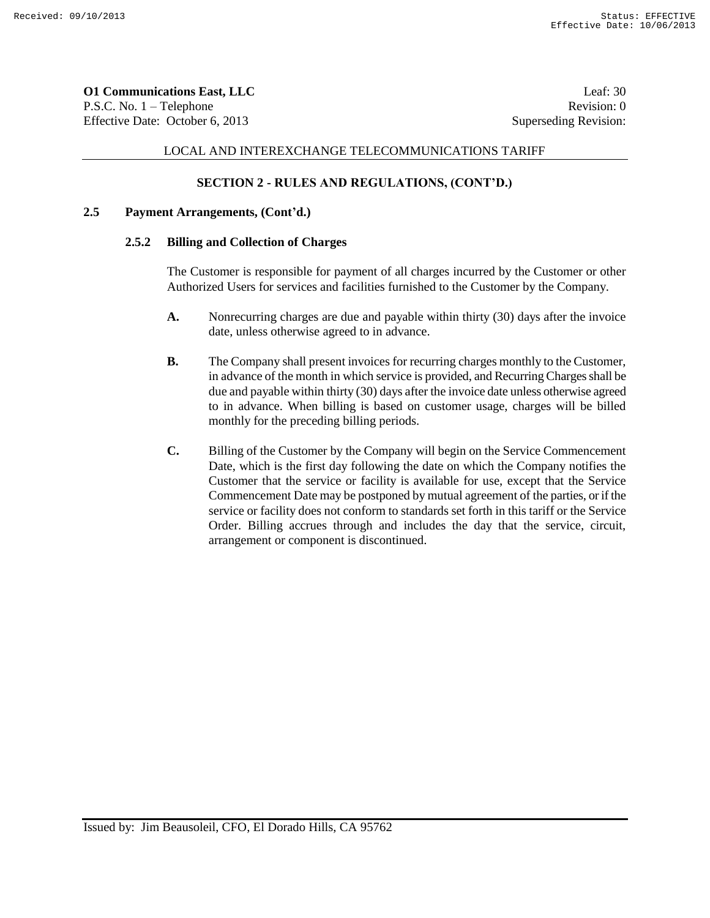**O1 Communications East, LLC** Leaf: 30 P.S.C. No. 1 – Telephone Revision: 0 Effective Date: October 6, 2013 Superseding Revision:

## LOCAL AND INTEREXCHANGE TELECOMMUNICATIONS TARIFF

## **SECTION 2 - RULES AND REGULATIONS, (CONT'D.)**

## **2.5 Payment Arrangements, (Cont'd.)**

## **2.5.2 Billing and Collection of Charges**

The Customer is responsible for payment of all charges incurred by the Customer or other Authorized Users for services and facilities furnished to the Customer by the Company.

- **A.** Nonrecurring charges are due and payable within thirty (30) days after the invoice date, unless otherwise agreed to in advance.
- **B.** The Company shall present invoices for recurring charges monthly to the Customer, in advance of the month in which service is provided, and Recurring Charges shall be due and payable within thirty (30) days after the invoice date unless otherwise agreed to in advance. When billing is based on customer usage, charges will be billed monthly for the preceding billing periods.
- **C.** Billing of the Customer by the Company will begin on the Service Commencement Date, which is the first day following the date on which the Company notifies the Customer that the service or facility is available for use, except that the Service Commencement Date may be postponed by mutual agreement of the parties, or if the service or facility does not conform to standards set forth in this tariff or the Service Order. Billing accrues through and includes the day that the service, circuit, arrangement or component is discontinued.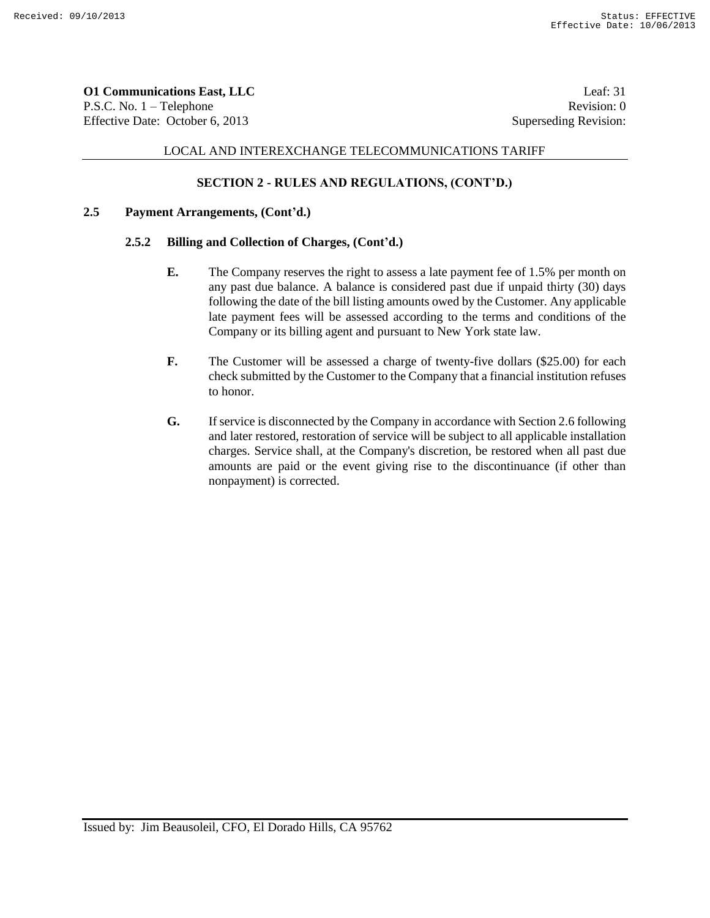**O1 Communications East, LLC** Leaf: 31 P.S.C. No. 1 – Telephone Revision: 0 Effective Date: October 6, 2013 Superseding Revision:

### LOCAL AND INTEREXCHANGE TELECOMMUNICATIONS TARIFF

## **SECTION 2 - RULES AND REGULATIONS, (CONT'D.)**

### **2.5 Payment Arrangements, (Cont'd.)**

## **2.5.2 Billing and Collection of Charges, (Cont'd.)**

- **E.** The Company reserves the right to assess a late payment fee of 1.5% per month on any past due balance. A balance is considered past due if unpaid thirty (30) days following the date of the bill listing amounts owed by the Customer. Any applicable late payment fees will be assessed according to the terms and conditions of the Company or its billing agent and pursuant to New York state law.
- **F.** The Customer will be assessed a charge of twenty-five dollars (\$25.00) for each check submitted by the Customer to the Company that a financial institution refuses to honor.
- **G.** If service is disconnected by the Company in accordance with Section 2.6 following and later restored, restoration of service will be subject to all applicable installation charges. Service shall, at the Company's discretion, be restored when all past due amounts are paid or the event giving rise to the discontinuance (if other than nonpayment) is corrected.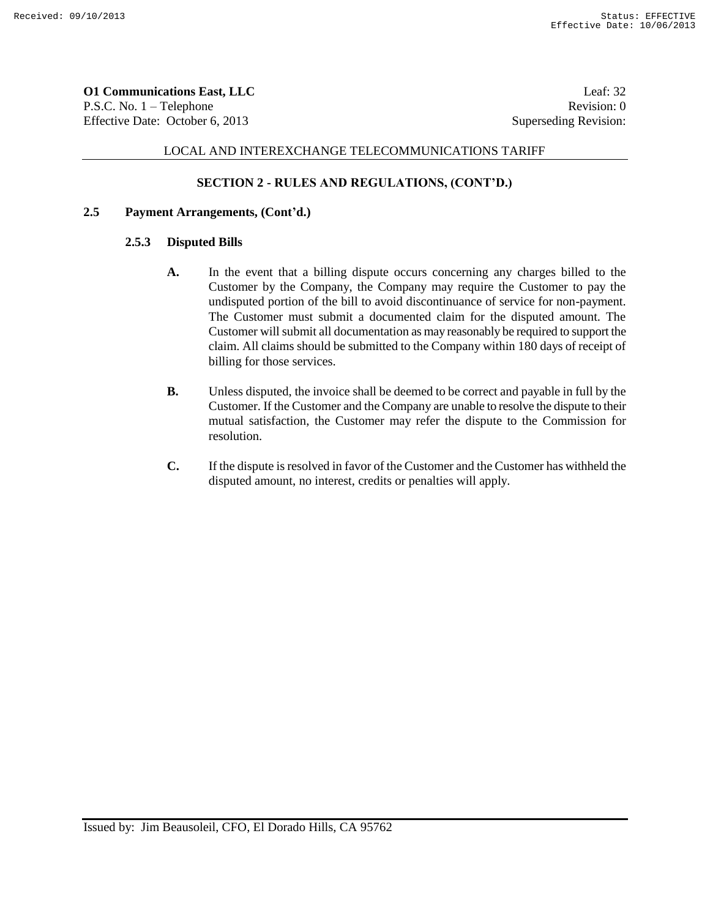**O1 Communications East, LLC** Leaf: 32 P.S.C. No. 1 – Telephone Revision: 0 Effective Date: October 6, 2013 Superseding Revision:

# LOCAL AND INTEREXCHANGE TELECOMMUNICATIONS TARIFF

## **SECTION 2 - RULES AND REGULATIONS, (CONT'D.)**

## **2.5 Payment Arrangements, (Cont'd.)**

### **2.5.3 Disputed Bills**

- **A.** In the event that a billing dispute occurs concerning any charges billed to the Customer by the Company, the Company may require the Customer to pay the undisputed portion of the bill to avoid discontinuance of service for non-payment. The Customer must submit a documented claim for the disputed amount. The Customer will submit all documentation as may reasonably be required to support the claim. All claims should be submitted to the Company within 180 days of receipt of billing for those services.
- **B.** Unless disputed, the invoice shall be deemed to be correct and payable in full by the Customer. If the Customer and the Company are unable to resolve the dispute to their mutual satisfaction, the Customer may refer the dispute to the Commission for resolution.
- **C.** If the dispute is resolved in favor of the Customer and the Customer has withheld the disputed amount, no interest, credits or penalties will apply.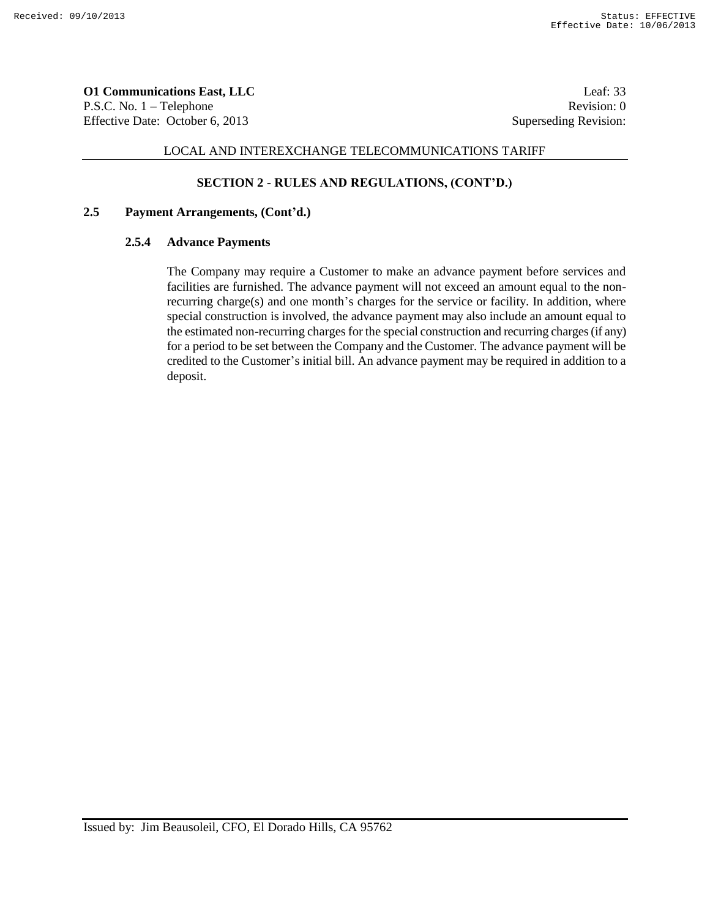**O1 Communications East, LLC** Leaf: 33 P.S.C. No. 1 – Telephone Revision: 0 Effective Date: October 6, 2013 Superseding Revision:

## LOCAL AND INTEREXCHANGE TELECOMMUNICATIONS TARIFF

### **SECTION 2 - RULES AND REGULATIONS, (CONT'D.)**

## **2.5 Payment Arrangements, (Cont'd.)**

## **2.5.4 Advance Payments**

The Company may require a Customer to make an advance payment before services and facilities are furnished. The advance payment will not exceed an amount equal to the nonrecurring charge(s) and one month's charges for the service or facility. In addition, where special construction is involved, the advance payment may also include an amount equal to the estimated non-recurring charges for the special construction and recurring charges (if any) for a period to be set between the Company and the Customer. The advance payment will be credited to the Customer's initial bill. An advance payment may be required in addition to a deposit.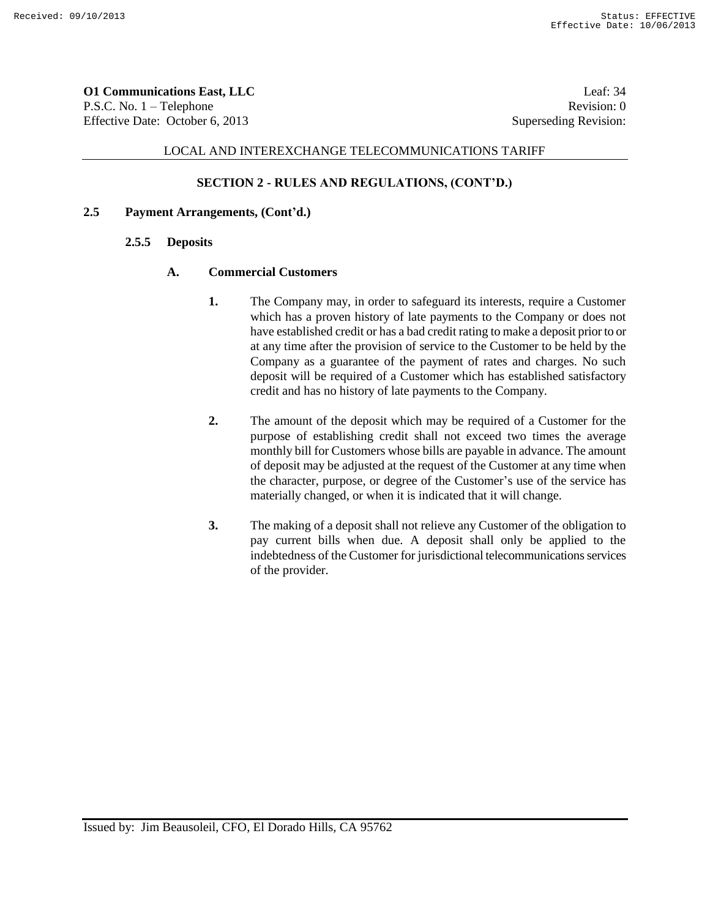**O1 Communications East, LLC** Leaf: 34 P.S.C. No. 1 – Telephone Revision: 0 Effective Date: October 6, 2013 Superseding Revision:

## LOCAL AND INTEREXCHANGE TELECOMMUNICATIONS TARIFF

## **SECTION 2 - RULES AND REGULATIONS, (CONT'D.)**

### **2.5 Payment Arrangements, (Cont'd.)**

#### **2.5.5 Deposits**

#### **A. Commercial Customers**

- **1.** The Company may, in order to safeguard its interests, require a Customer which has a proven history of late payments to the Company or does not have established credit or has a bad credit rating to make a deposit prior to or at any time after the provision of service to the Customer to be held by the Company as a guarantee of the payment of rates and charges. No such deposit will be required of a Customer which has established satisfactory credit and has no history of late payments to the Company.
- **2.** The amount of the deposit which may be required of a Customer for the purpose of establishing credit shall not exceed two times the average monthly bill for Customers whose bills are payable in advance. The amount of deposit may be adjusted at the request of the Customer at any time when the character, purpose, or degree of the Customer's use of the service has materially changed, or when it is indicated that it will change.
- **3.** The making of a deposit shall not relieve any Customer of the obligation to pay current bills when due. A deposit shall only be applied to the indebtedness of the Customer for jurisdictional telecommunications services of the provider.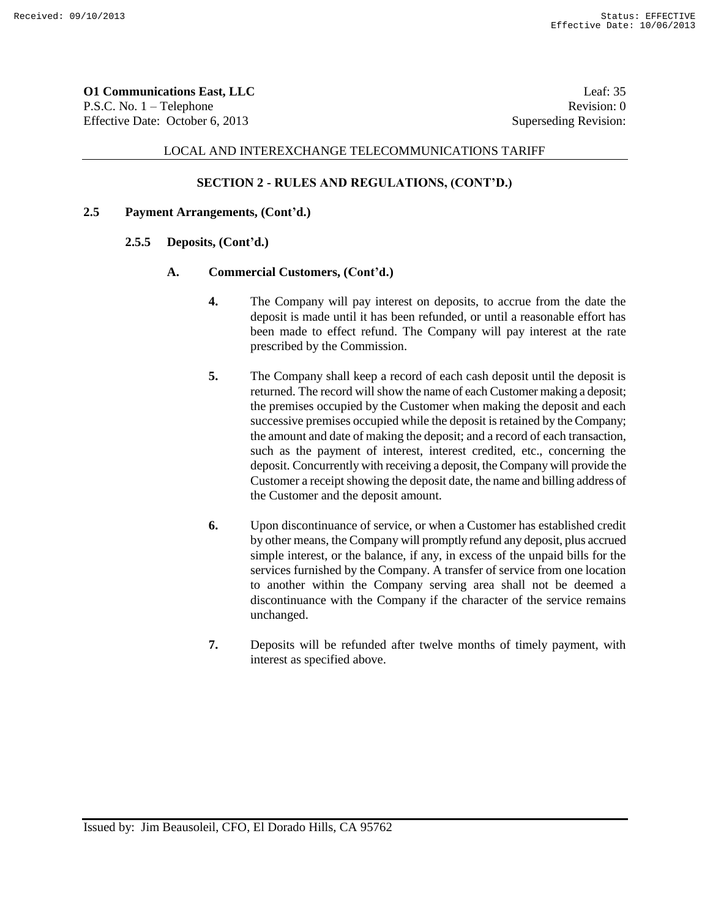**O1 Communications East, LLC** Leaf: 35 P.S.C. No. 1 – Telephone Revision: 0 Effective Date: October 6, 2013 Superseding Revision:

### LOCAL AND INTEREXCHANGE TELECOMMUNICATIONS TARIFF

## **SECTION 2 - RULES AND REGULATIONS, (CONT'D.)**

## **2.5 Payment Arrangements, (Cont'd.)**

### **2.5.5 Deposits, (Cont'd.)**

#### **A. Commercial Customers, (Cont'd.)**

- **4.** The Company will pay interest on deposits, to accrue from the date the deposit is made until it has been refunded, or until a reasonable effort has been made to effect refund. The Company will pay interest at the rate prescribed by the Commission.
- **5.** The Company shall keep a record of each cash deposit until the deposit is returned. The record will show the name of each Customer making a deposit; the premises occupied by the Customer when making the deposit and each successive premises occupied while the deposit is retained by the Company; the amount and date of making the deposit; and a record of each transaction, such as the payment of interest, interest credited, etc., concerning the deposit. Concurrently with receiving a deposit, the Company will provide the Customer a receipt showing the deposit date, the name and billing address of the Customer and the deposit amount.
- **6.** Upon discontinuance of service, or when a Customer has established credit by other means, the Company will promptly refund any deposit, plus accrued simple interest, or the balance, if any, in excess of the unpaid bills for the services furnished by the Company. A transfer of service from one location to another within the Company serving area shall not be deemed a discontinuance with the Company if the character of the service remains unchanged.
- **7.** Deposits will be refunded after twelve months of timely payment, with interest as specified above.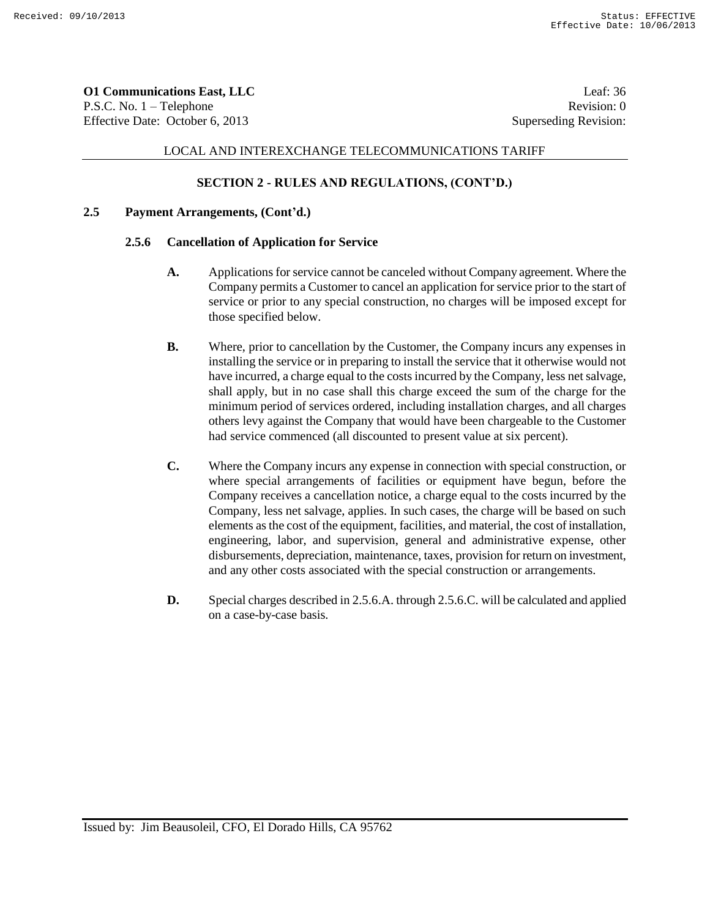**O1 Communications East, LLC** Leaf: 36 P.S.C. No. 1 – Telephone Revision: 0 Effective Date: October 6, 2013 Superseding Revision:

## LOCAL AND INTEREXCHANGE TELECOMMUNICATIONS TARIFF

# **SECTION 2 - RULES AND REGULATIONS, (CONT'D.)**

# **2.5 Payment Arrangements, (Cont'd.)**

## **2.5.6 Cancellation of Application for Service**

- **A.** Applications for service cannot be canceled without Company agreement. Where the Company permits a Customer to cancel an application for service prior to the start of service or prior to any special construction, no charges will be imposed except for those specified below.
- **B.** Where, prior to cancellation by the Customer, the Company incurs any expenses in installing the service or in preparing to install the service that it otherwise would not have incurred, a charge equal to the costs incurred by the Company, less net salvage, shall apply, but in no case shall this charge exceed the sum of the charge for the minimum period of services ordered, including installation charges, and all charges others levy against the Company that would have been chargeable to the Customer had service commenced (all discounted to present value at six percent).
- **C.** Where the Company incurs any expense in connection with special construction, or where special arrangements of facilities or equipment have begun, before the Company receives a cancellation notice, a charge equal to the costs incurred by the Company, less net salvage, applies. In such cases, the charge will be based on such elements as the cost of the equipment, facilities, and material, the cost of installation, engineering, labor, and supervision, general and administrative expense, other disbursements, depreciation, maintenance, taxes, provision for return on investment, and any other costs associated with the special construction or arrangements.
- **D.** Special charges described in 2.5.6.A. through 2.5.6.C. will be calculated and applied on a case-by-case basis.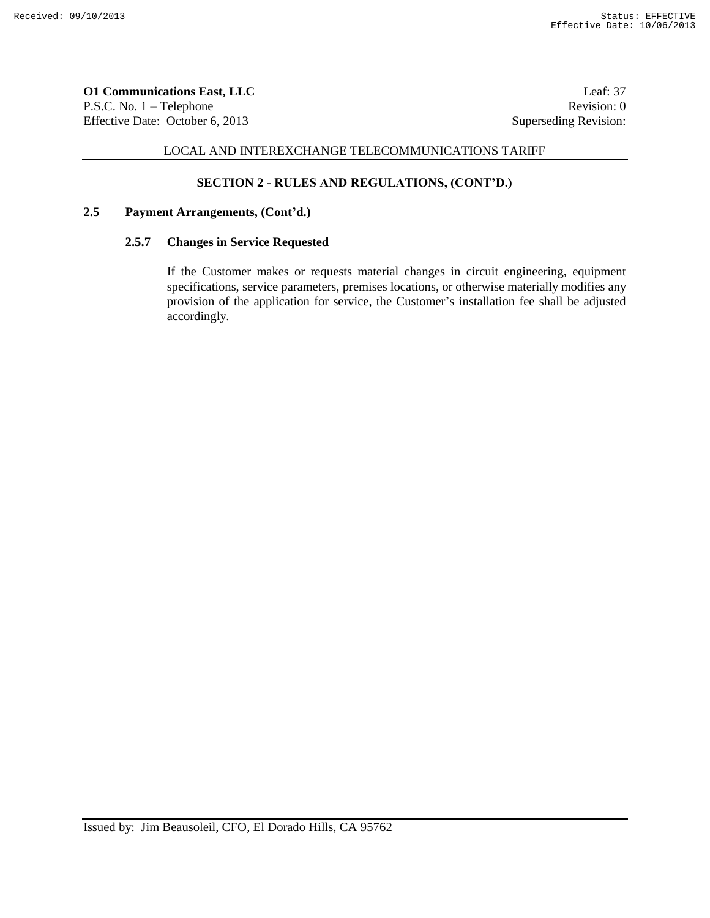**O1 Communications East, LLC** Leaf: 37 P.S.C. No. 1 – Telephone Revision: 0 Effective Date: October 6, 2013 Superseding Revision:

### LOCAL AND INTEREXCHANGE TELECOMMUNICATIONS TARIFF

# **SECTION 2 - RULES AND REGULATIONS, (CONT'D.)**

### **2.5 Payment Arrangements, (Cont'd.)**

# **2.5.7 Changes in Service Requested**

If the Customer makes or requests material changes in circuit engineering, equipment specifications, service parameters, premises locations, or otherwise materially modifies any provision of the application for service, the Customer's installation fee shall be adjusted accordingly.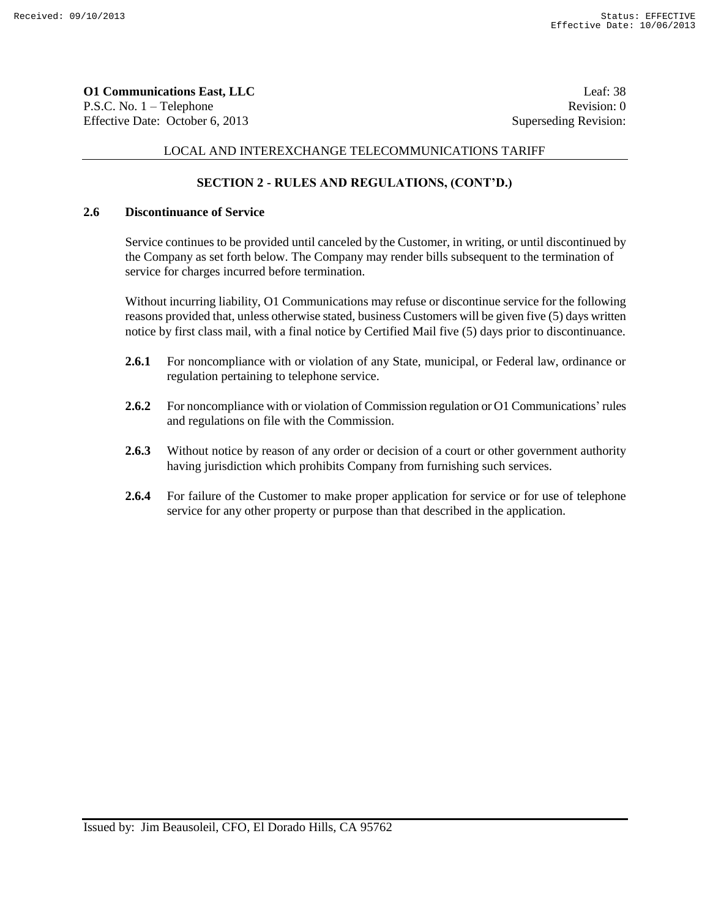**O1 Communications East, LLC** Leaf: 38 P.S.C. No. 1 – Telephone Revision: 0 Effective Date: October 6, 2013 Superseding Revision:

# LOCAL AND INTEREXCHANGE TELECOMMUNICATIONS TARIFF

# **SECTION 2 - RULES AND REGULATIONS, (CONT'D.)**

# **2.6 Discontinuance of Service**

Service continues to be provided until canceled by the Customer, in writing, or until discontinued by the Company as set forth below. The Company may render bills subsequent to the termination of service for charges incurred before termination.

Without incurring liability, O1 Communications may refuse or discontinue service for the following reasons provided that, unless otherwise stated, business Customers will be given five (5) days written notice by first class mail, with a final notice by Certified Mail five (5) days prior to discontinuance.

- **2.6.1** For noncompliance with or violation of any State, municipal, or Federal law, ordinance or regulation pertaining to telephone service.
- **2.6.2** For noncompliance with or violation of Commission regulation or O1 Communications' rules and regulations on file with the Commission.
- **2.6.3** Without notice by reason of any order or decision of a court or other government authority having jurisdiction which prohibits Company from furnishing such services.
- **2.6.4** For failure of the Customer to make proper application for service or for use of telephone service for any other property or purpose than that described in the application.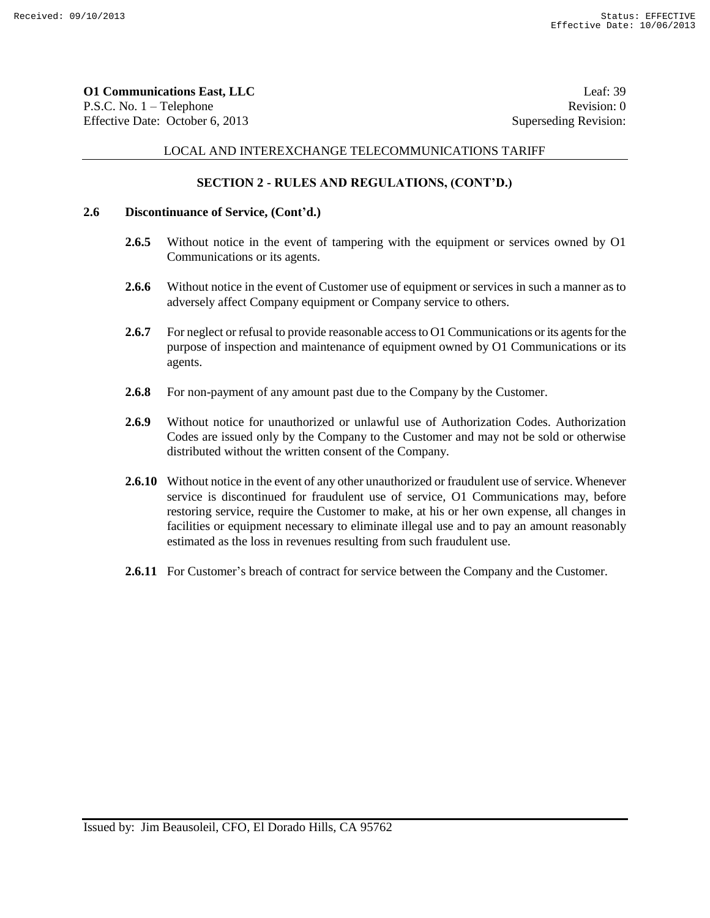**O1 Communications East, LLC** Leaf: 39 P.S.C. No. 1 – Telephone Revision: 0 Effective Date: October 6, 2013 Superseding Revision:

# LOCAL AND INTEREXCHANGE TELECOMMUNICATIONS TARIFF

# **SECTION 2 - RULES AND REGULATIONS, (CONT'D.)**

# **2.6 Discontinuance of Service, (Cont'd.)**

- **2.6.5** Without notice in the event of tampering with the equipment or services owned by O1 Communications or its agents.
- **2.6.6** Without notice in the event of Customer use of equipment or services in such a manner as to adversely affect Company equipment or Company service to others.
- **2.6.7** For neglect or refusal to provide reasonable access to O1 Communications or its agents for the purpose of inspection and maintenance of equipment owned by O1 Communications or its agents.
- **2.6.8** For non-payment of any amount past due to the Company by the Customer.
- **2.6.9** Without notice for unauthorized or unlawful use of Authorization Codes. Authorization Codes are issued only by the Company to the Customer and may not be sold or otherwise distributed without the written consent of the Company.
- **2.6.10** Without notice in the event of any other unauthorized or fraudulent use of service. Whenever service is discontinued for fraudulent use of service, O1 Communications may, before restoring service, require the Customer to make, at his or her own expense, all changes in facilities or equipment necessary to eliminate illegal use and to pay an amount reasonably estimated as the loss in revenues resulting from such fraudulent use.
- **2.6.11** For Customer's breach of contract for service between the Company and the Customer.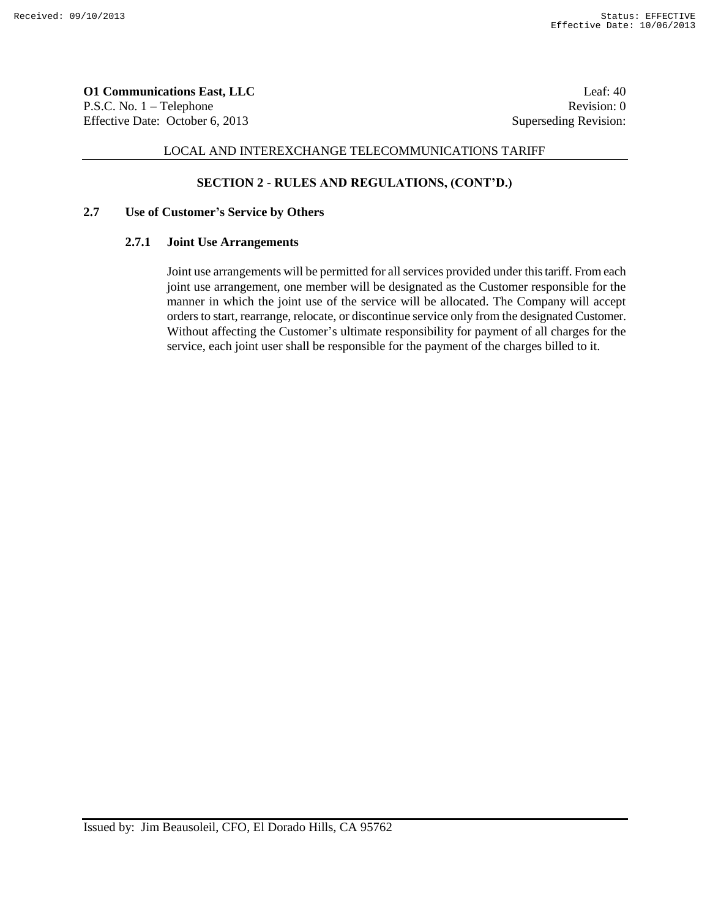**O1 Communications East, LLC** Leaf: 40 P.S.C. No. 1 – Telephone Revision: 0 Effective Date: October 6, 2013 Superseding Revision:

# LOCAL AND INTEREXCHANGE TELECOMMUNICATIONS TARIFF

# **SECTION 2 - RULES AND REGULATIONS, (CONT'D.)**

### **2.7 Use of Customer's Service by Others**

#### **2.7.1 Joint Use Arrangements**

Joint use arrangements will be permitted for all services provided under this tariff. From each joint use arrangement, one member will be designated as the Customer responsible for the manner in which the joint use of the service will be allocated. The Company will accept orders to start, rearrange, relocate, or discontinue service only from the designated Customer. Without affecting the Customer's ultimate responsibility for payment of all charges for the service, each joint user shall be responsible for the payment of the charges billed to it.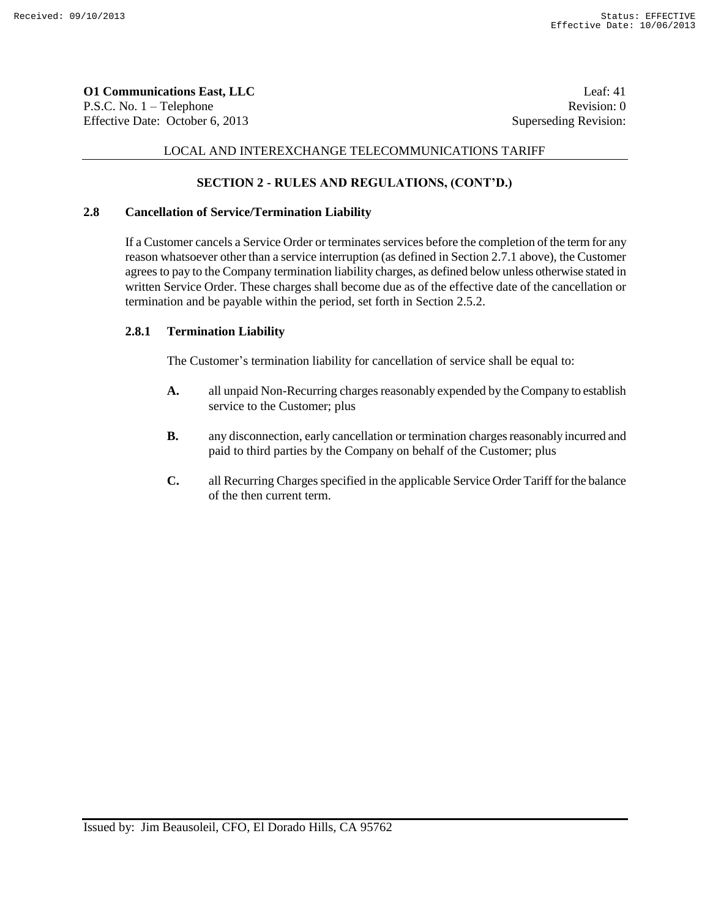**O1 Communications East, LLC** Leaf: 41 P.S.C. No. 1 – Telephone Revision: 0 Effective Date: October 6, 2013 Superseding Revision:

# LOCAL AND INTEREXCHANGE TELECOMMUNICATIONS TARIFF

# **SECTION 2 - RULES AND REGULATIONS, (CONT'D.)**

## **2.8 Cancellation of Service/Termination Liability**

If a Customer cancels a Service Order or terminates services before the completion of the term for any reason whatsoever other than a service interruption (as defined in Section 2.7.1 above), the Customer agrees to pay to the Company termination liability charges, as defined below unless otherwise stated in written Service Order. These charges shall become due as of the effective date of the cancellation or termination and be payable within the period, set forth in Section 2.5.2.

#### **2.8.1 Termination Liability**

The Customer's termination liability for cancellation of service shall be equal to:

- **A.** all unpaid Non-Recurring charges reasonably expended by the Company to establish service to the Customer; plus
- **B.** any disconnection, early cancellation or termination charges reasonably incurred and paid to third parties by the Company on behalf of the Customer; plus
- **C.** all Recurring Charges specified in the applicable Service Order Tariff for the balance of the then current term.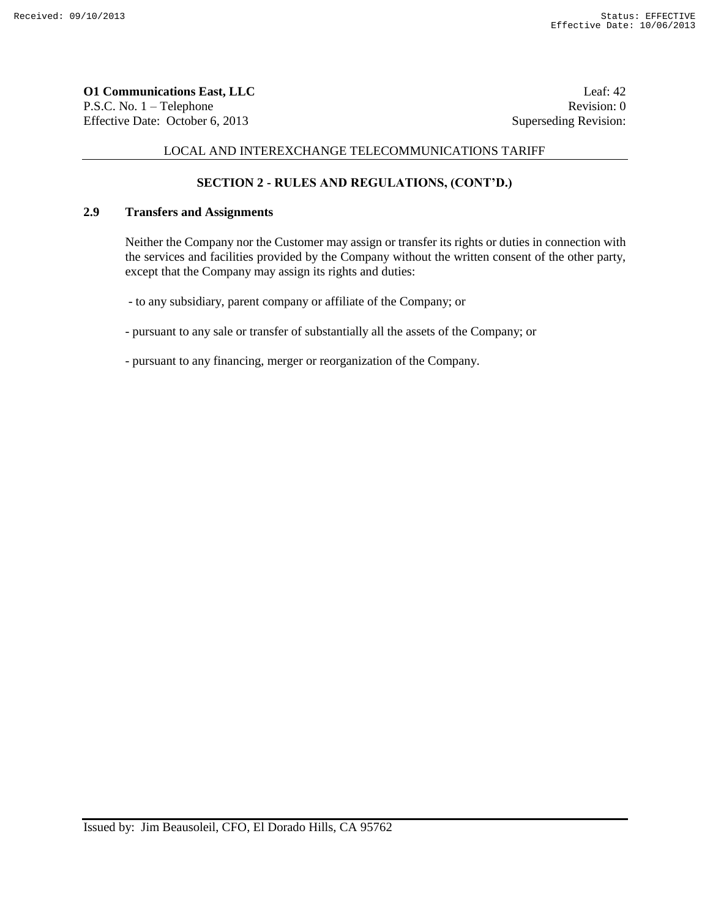**O1 Communications East, LLC** Leaf: 42 P.S.C. No. 1 – Telephone Revision: 0 Effective Date: October 6, 2013 Superseding Revision:

# LOCAL AND INTEREXCHANGE TELECOMMUNICATIONS TARIFF

# **SECTION 2 - RULES AND REGULATIONS, (CONT'D.)**

### **2.9 Transfers and Assignments**

Neither the Company nor the Customer may assign or transfer its rights or duties in connection with the services and facilities provided by the Company without the written consent of the other party, except that the Company may assign its rights and duties:

- to any subsidiary, parent company or affiliate of the Company; or

- pursuant to any sale or transfer of substantially all the assets of the Company; or

- pursuant to any financing, merger or reorganization of the Company.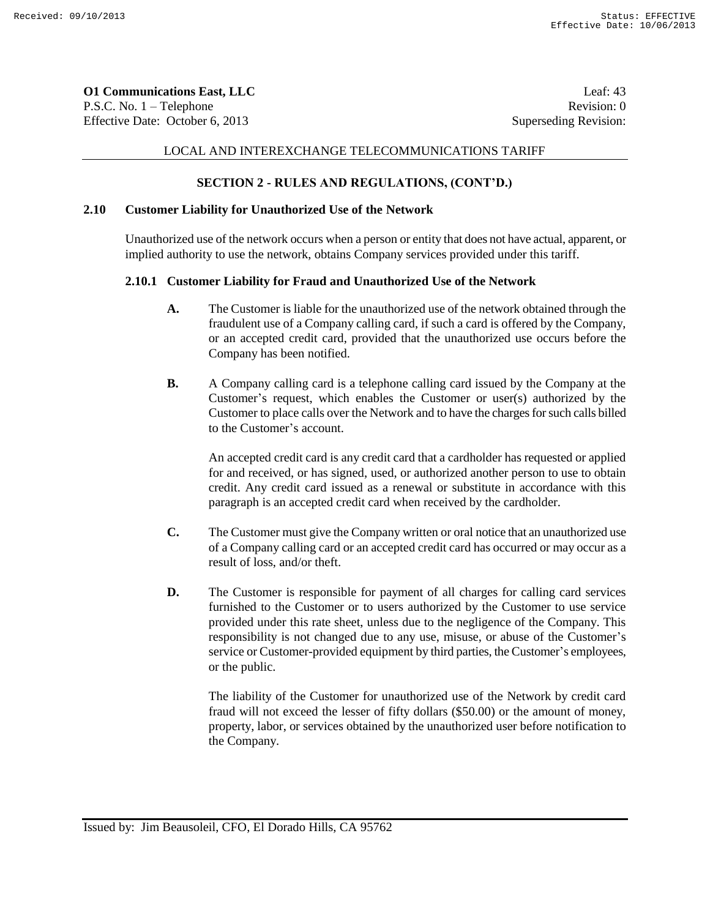**O1 Communications East, LLC** Leaf: 43 P.S.C. No. 1 – Telephone Revision: 0 Effective Date: October 6, 2013 Superseding Revision:

## LOCAL AND INTEREXCHANGE TELECOMMUNICATIONS TARIFF

## **SECTION 2 - RULES AND REGULATIONS, (CONT'D.)**

## **2.10 Customer Liability for Unauthorized Use of the Network**

Unauthorized use of the network occurs when a person or entity that does not have actual, apparent, or implied authority to use the network, obtains Company services provided under this tariff.

#### **2.10.1 Customer Liability for Fraud and Unauthorized Use of the Network**

- **A.** The Customer is liable for the unauthorized use of the network obtained through the fraudulent use of a Company calling card, if such a card is offered by the Company, or an accepted credit card, provided that the unauthorized use occurs before the Company has been notified.
- **B.** A Company calling card is a telephone calling card issued by the Company at the Customer's request, which enables the Customer or user(s) authorized by the Customer to place calls over the Network and to have the charges for such calls billed to the Customer's account.

An accepted credit card is any credit card that a cardholder has requested or applied for and received, or has signed, used, or authorized another person to use to obtain credit. Any credit card issued as a renewal or substitute in accordance with this paragraph is an accepted credit card when received by the cardholder.

- **C.** The Customer must give the Company written or oral notice that an unauthorized use of a Company calling card or an accepted credit card has occurred or may occur as a result of loss, and/or theft.
- **D.** The Customer is responsible for payment of all charges for calling card services furnished to the Customer or to users authorized by the Customer to use service provided under this rate sheet, unless due to the negligence of the Company. This responsibility is not changed due to any use, misuse, or abuse of the Customer's service or Customer-provided equipment by third parties, the Customer's employees, or the public.

The liability of the Customer for unauthorized use of the Network by credit card fraud will not exceed the lesser of fifty dollars (\$50.00) or the amount of money, property, labor, or services obtained by the unauthorized user before notification to the Company.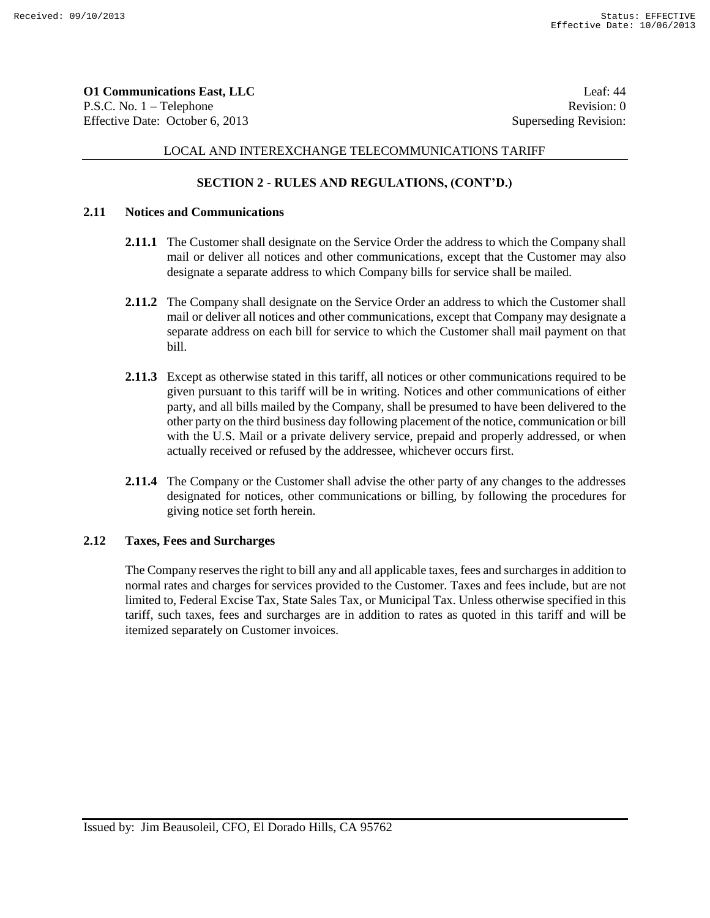**O1 Communications East, LLC** Leaf: 44 P.S.C. No. 1 – Telephone Revision: 0 Effective Date: October 6, 2013 Superseding Revision:

# LOCAL AND INTEREXCHANGE TELECOMMUNICATIONS TARIFF

# **SECTION 2 - RULES AND REGULATIONS, (CONT'D.)**

## **2.11 Notices and Communications**

- **2.11.1** The Customer shall designate on the Service Order the address to which the Company shall mail or deliver all notices and other communications, except that the Customer may also designate a separate address to which Company bills for service shall be mailed.
- **2.11.2** The Company shall designate on the Service Order an address to which the Customer shall mail or deliver all notices and other communications, except that Company may designate a separate address on each bill for service to which the Customer shall mail payment on that bill.
- **2.11.3** Except as otherwise stated in this tariff, all notices or other communications required to be given pursuant to this tariff will be in writing. Notices and other communications of either party, and all bills mailed by the Company, shall be presumed to have been delivered to the other party on the third business day following placement of the notice, communication or bill with the U.S. Mail or a private delivery service, prepaid and properly addressed, or when actually received or refused by the addressee, whichever occurs first.
- **2.11.4** The Company or the Customer shall advise the other party of any changes to the addresses designated for notices, other communications or billing, by following the procedures for giving notice set forth herein.

#### **2.12 Taxes, Fees and Surcharges**

The Company reserves the right to bill any and all applicable taxes, fees and surcharges in addition to normal rates and charges for services provided to the Customer. Taxes and fees include, but are not limited to, Federal Excise Tax, State Sales Tax, or Municipal Tax. Unless otherwise specified in this tariff, such taxes, fees and surcharges are in addition to rates as quoted in this tariff and will be itemized separately on Customer invoices.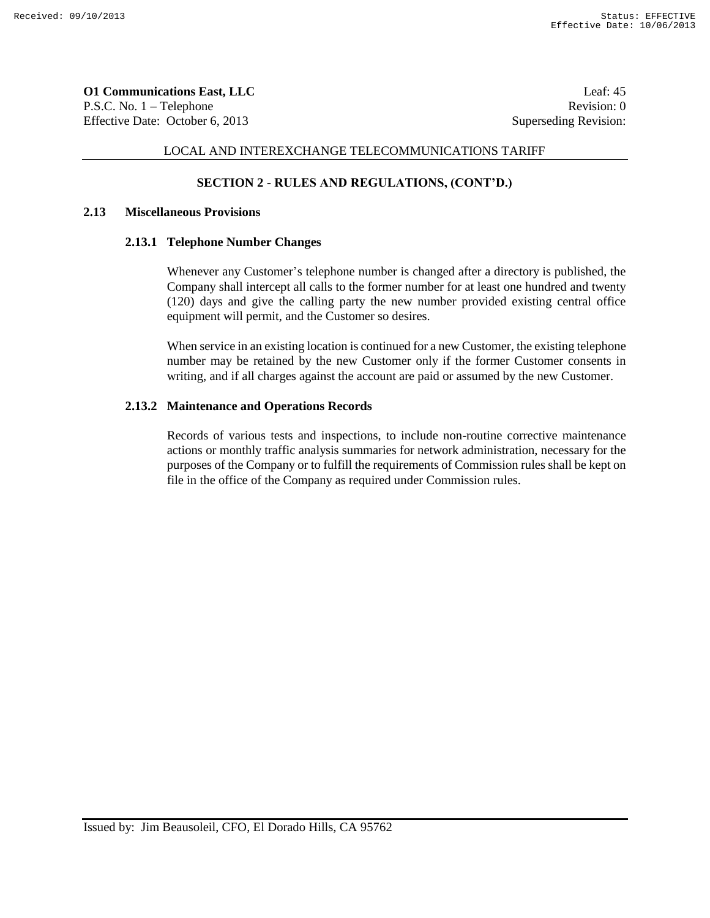**O1 Communications East, LLC** Leaf: 45 P.S.C. No. 1 – Telephone Revision: 0 Effective Date: October 6, 2013 Superseding Revision:

## LOCAL AND INTEREXCHANGE TELECOMMUNICATIONS TARIFF

## **SECTION 2 - RULES AND REGULATIONS, (CONT'D.)**

### **2.13 Miscellaneous Provisions**

#### **2.13.1 Telephone Number Changes**

Whenever any Customer's telephone number is changed after a directory is published, the Company shall intercept all calls to the former number for at least one hundred and twenty (120) days and give the calling party the new number provided existing central office equipment will permit, and the Customer so desires.

When service in an existing location is continued for a new Customer, the existing telephone number may be retained by the new Customer only if the former Customer consents in writing, and if all charges against the account are paid or assumed by the new Customer.

#### **2.13.2 Maintenance and Operations Records**

Records of various tests and inspections, to include non-routine corrective maintenance actions or monthly traffic analysis summaries for network administration, necessary for the purposes of the Company or to fulfill the requirements of Commission rules shall be kept on file in the office of the Company as required under Commission rules.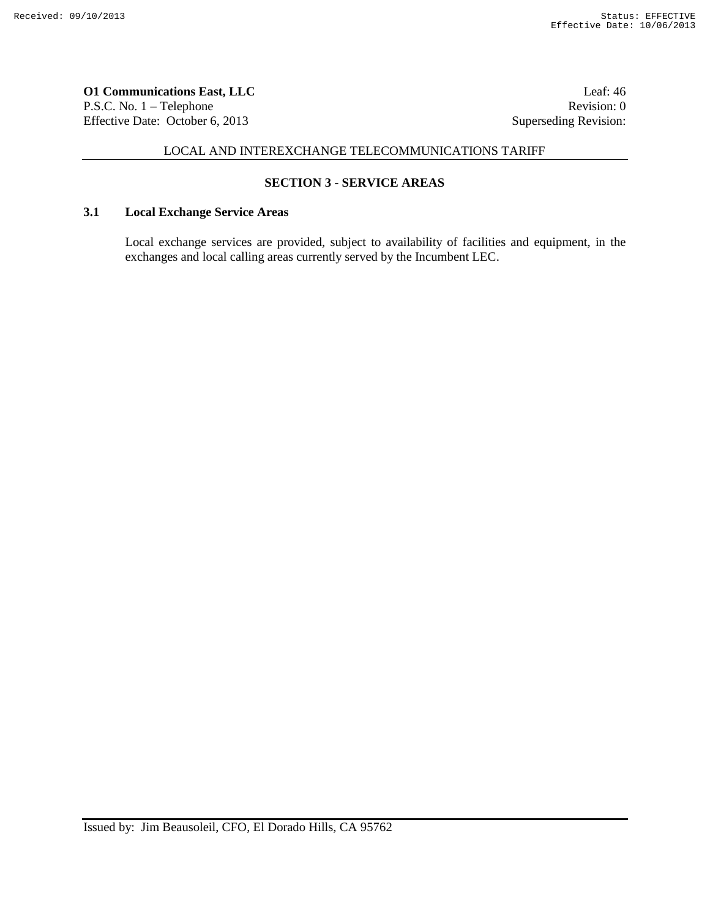**O1 Communications East, LLC** Leaf: 46 P.S.C. No. 1 – Telephone Revision: 0 Effective Date: October 6, 2013 Superseding Revision:

# LOCAL AND INTEREXCHANGE TELECOMMUNICATIONS TARIFF

# **SECTION 3 - SERVICE AREAS**

# **3.1 Local Exchange Service Areas**

Local exchange services are provided, subject to availability of facilities and equipment, in the exchanges and local calling areas currently served by the Incumbent LEC.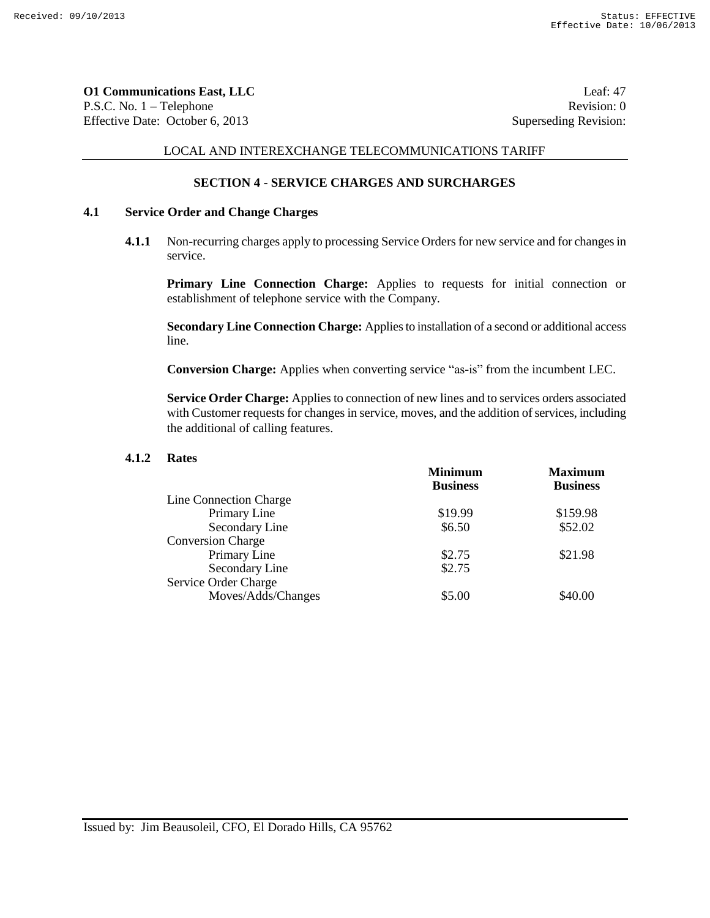**O1 Communications East, LLC** Leaf: 47 P.S.C. No. 1 – Telephone Revision: 0 Effective Date: October 6, 2013 Superseding Revision:

# LOCAL AND INTEREXCHANGE TELECOMMUNICATIONS TARIFF

## **SECTION 4 - SERVICE CHARGES AND SURCHARGES**

# **4.1 Service Order and Change Charges**

**4.1.1** Non-recurring charges apply to processing Service Orders for new service and for changes in service.

**Primary Line Connection Charge:** Applies to requests for initial connection or establishment of telephone service with the Company.

**Secondary Line Connection Charge:** Applies to installation of a second or additional access line.

**Conversion Charge:** Applies when converting service "as-is" from the incumbent LEC.

**Service Order Charge:** Applies to connection of new lines and to services orders associated with Customer requests for changes in service, moves, and the addition of services, including the additional of calling features.

### **4.1.2 Rates**

| <b>Minimum</b>  | <b>Maximum</b>  |
|-----------------|-----------------|
| <b>Business</b> | <b>Business</b> |
|                 |                 |
| \$19.99         | \$159.98        |
| \$6.50          | \$52.02         |
|                 |                 |
| \$2.75          | \$21.98         |
| \$2.75          |                 |
|                 |                 |
| \$5.00          | \$40.00         |
|                 |                 |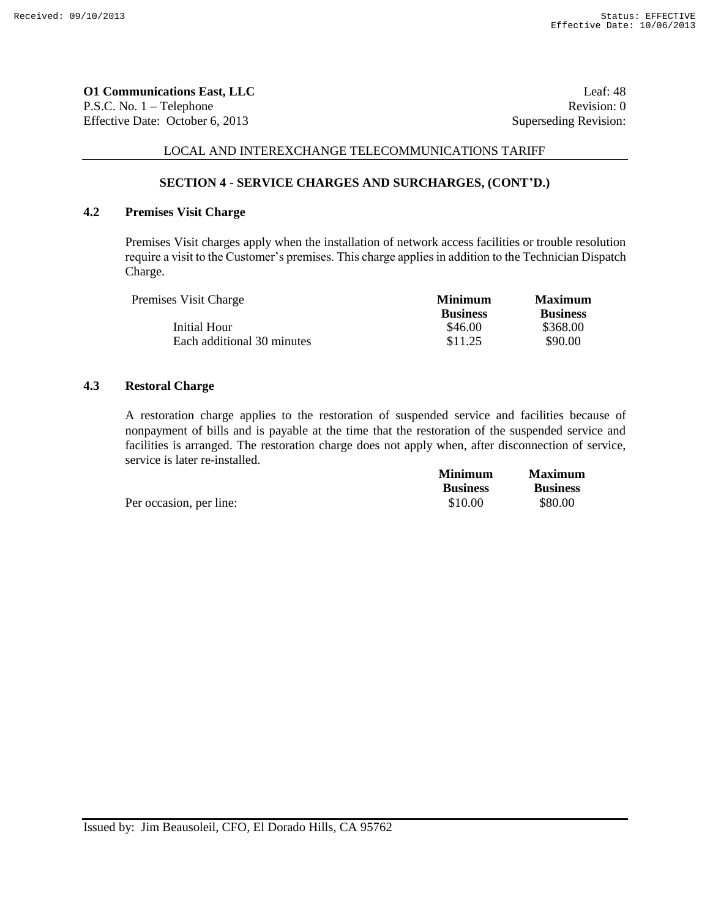**O1 Communications East, LLC** Leaf: 48 P.S.C. No. 1 – Telephone Revision: 0 Effective Date: October 6, 2013 Superseding Revision:

# LOCAL AND INTEREXCHANGE TELECOMMUNICATIONS TARIFF

# **SECTION 4 - SERVICE CHARGES AND SURCHARGES, (CONT'D.)**

## **4.2 Premises Visit Charge**

Premises Visit charges apply when the installation of network access facilities or trouble resolution require a visit to the Customer's premises. This charge applies in addition to the Technician Dispatch Charge.

| Premises Visit Charge      | <b>Minimum</b>  | <b>Maximum</b>  |
|----------------------------|-----------------|-----------------|
|                            | <b>Business</b> | <b>Business</b> |
| Initial Hour               | \$46.00         | \$368.00        |
| Each additional 30 minutes | \$11.25         | \$90.00         |

### **4.3 Restoral Charge**

A restoration charge applies to the restoration of suspended service and facilities because of nonpayment of bills and is payable at the time that the restoration of the suspended service and facilities is arranged. The restoration charge does not apply when, after disconnection of service, service is later re-installed. **Minimum Maximum**

|                         | Minimum         | Maximum         |
|-------------------------|-----------------|-----------------|
|                         | <b>Business</b> | <b>Business</b> |
| Per occasion, per line: | \$10.00         | \$80.00         |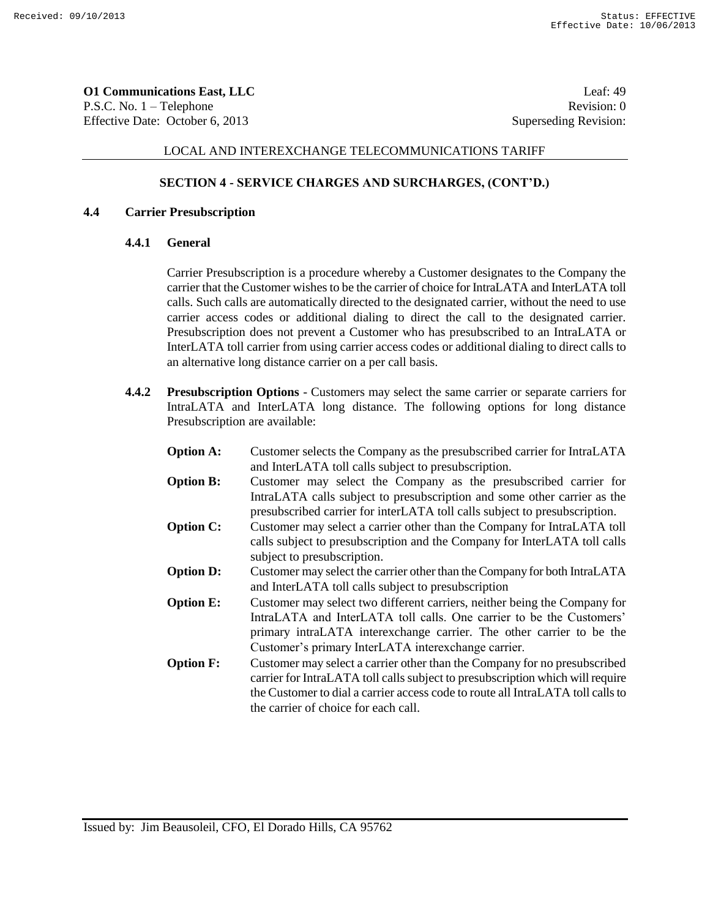**O1 Communications East, LLC** Leaf: 49 P.S.C. No. 1 – Telephone Revision: 0 Effective Date: October 6, 2013 Superseding Revision:

# LOCAL AND INTEREXCHANGE TELECOMMUNICATIONS TARIFF

## **SECTION 4 - SERVICE CHARGES AND SURCHARGES, (CONT'D.)**

### **4.4 Carrier Presubscription**

### **4.4.1 General**

Carrier Presubscription is a procedure whereby a Customer designates to the Company the carrier that the Customer wishes to be the carrier of choice for IntraLATA and InterLATA toll calls. Such calls are automatically directed to the designated carrier, without the need to use carrier access codes or additional dialing to direct the call to the designated carrier. Presubscription does not prevent a Customer who has presubscribed to an IntraLATA or InterLATA toll carrier from using carrier access codes or additional dialing to direct calls to an alternative long distance carrier on a per call basis.

**4.4.2 Presubscription Options** - Customers may select the same carrier or separate carriers for IntraLATA and InterLATA long distance. The following options for long distance Presubscription are available:

| <b>Option A:</b> | Customer selects the Company as the presubscribed carrier for IntraLATA<br>and InterLATA toll calls subject to presubscription.                                                                                                                                                        |
|------------------|----------------------------------------------------------------------------------------------------------------------------------------------------------------------------------------------------------------------------------------------------------------------------------------|
| <b>Option B:</b> | Customer may select the Company as the presubscribed carrier for<br>IntraLATA calls subject to presubscription and some other carrier as the                                                                                                                                           |
| <b>Option C:</b> | presubscribed carrier for interLATA toll calls subject to presubscription.<br>Customer may select a carrier other than the Company for IntraLATA toll<br>calls subject to presubscription and the Company for InterLATA toll calls<br>subject to presubscription.                      |
| <b>Option D:</b> | Customer may select the carrier other than the Company for both IntraLATA<br>and InterLATA toll calls subject to presubscription                                                                                                                                                       |
| <b>Option E:</b> | Customer may select two different carriers, neither being the Company for<br>IntraLATA and InterLATA toll calls. One carrier to be the Customers'<br>primary intraLATA interexchange carrier. The other carrier to be the<br>Customer's primary InterLATA interexchange carrier.       |
| <b>Option F:</b> | Customer may select a carrier other than the Company for no presubscribed<br>carrier for IntraLATA toll calls subject to presubscription which will require<br>the Customer to dial a carrier access code to route all IntraLATA toll calls to<br>the carrier of choice for each call. |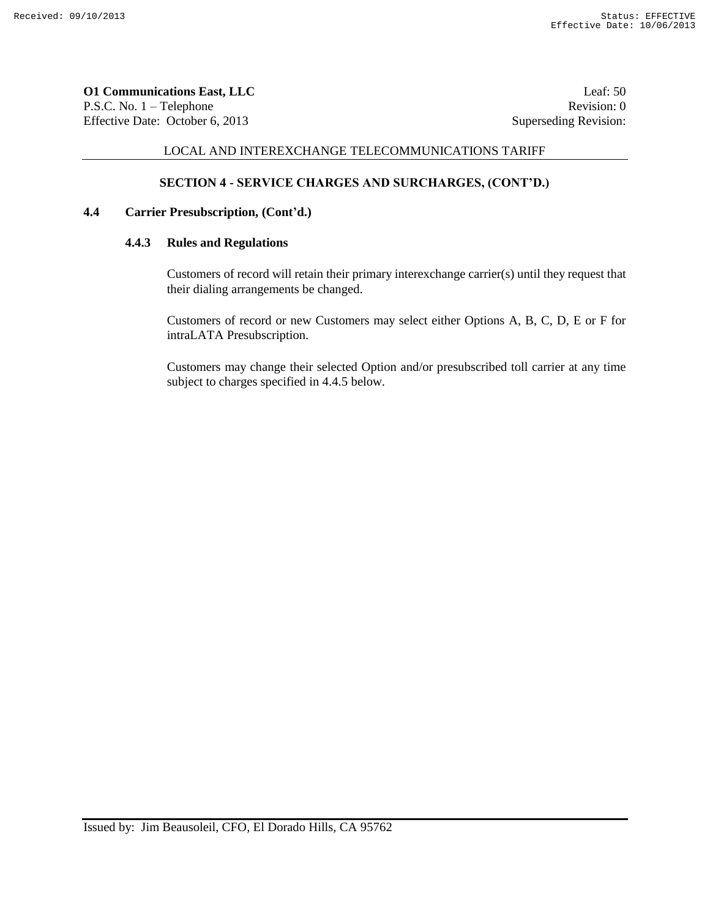**O1 Communications East, LLC** Leaf: 50 P.S.C. No. 1 – Telephone Revision: 0 Effective Date: October 6, 2013 Superseding Revision:

# LOCAL AND INTEREXCHANGE TELECOMMUNICATIONS TARIFF

# **SECTION 4 - SERVICE CHARGES AND SURCHARGES, (CONT'D.)**

# **4.4 Carrier Presubscription, (Cont'd.)**

# **4.4.3 Rules and Regulations**

Customers of record will retain their primary interexchange carrier(s) until they request that their dialing arrangements be changed.

Customers of record or new Customers may select either Options A, B, C, D, E or F for intraLATA Presubscription.

Customers may change their selected Option and/or presubscribed toll carrier at any time subject to charges specified in 4.4.5 below.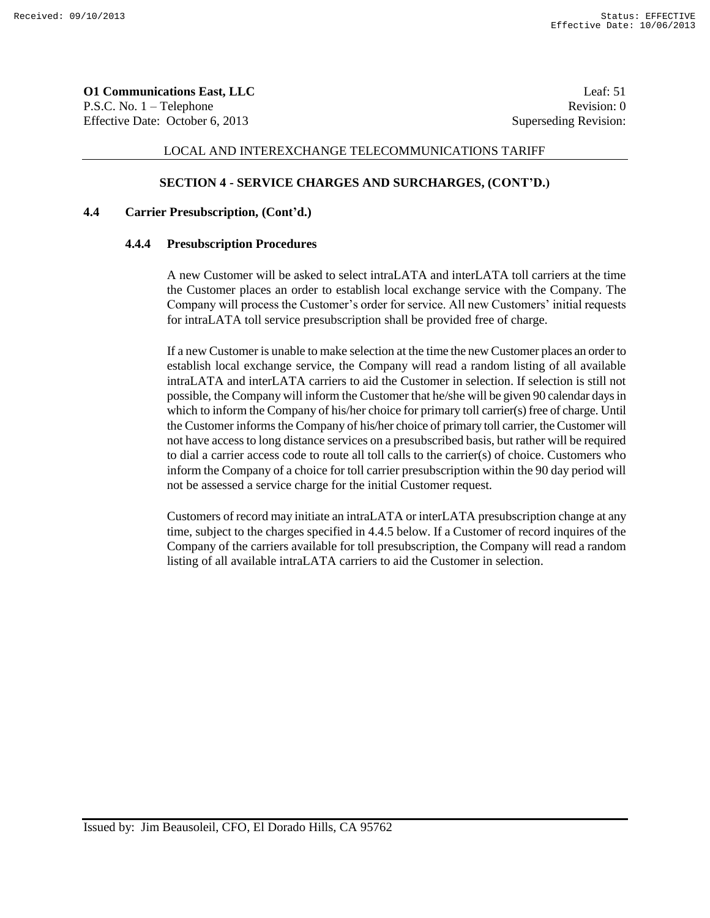**O1 Communications East, LLC** Leaf: 51 P.S.C. No. 1 – Telephone Revision: 0 Effective Date: October 6, 2013 Superseding Revision:

#### LOCAL AND INTEREXCHANGE TELECOMMUNICATIONS TARIFF

# **SECTION 4 - SERVICE CHARGES AND SURCHARGES, (CONT'D.)**

# **4.4 Carrier Presubscription, (Cont'd.)**

#### **4.4.4 Presubscription Procedures**

A new Customer will be asked to select intraLATA and interLATA toll carriers at the time the Customer places an order to establish local exchange service with the Company. The Company will process the Customer's order for service. All new Customers' initial requests for intraLATA toll service presubscription shall be provided free of charge.

If a new Customer is unable to make selection at the time the new Customer places an order to establish local exchange service, the Company will read a random listing of all available intraLATA and interLATA carriers to aid the Customer in selection. If selection is still not possible, the Company will inform the Customer that he/she will be given 90 calendar days in which to inform the Company of his/her choice for primary toll carrier(s) free of charge. Until the Customer informs the Company of his/her choice of primary toll carrier, the Customer will not have access to long distance services on a presubscribed basis, but rather will be required to dial a carrier access code to route all toll calls to the carrier(s) of choice. Customers who inform the Company of a choice for toll carrier presubscription within the 90 day period will not be assessed a service charge for the initial Customer request.

Customers of record may initiate an intraLATA or interLATA presubscription change at any time, subject to the charges specified in 4.4.5 below. If a Customer of record inquires of the Company of the carriers available for toll presubscription, the Company will read a random listing of all available intraLATA carriers to aid the Customer in selection.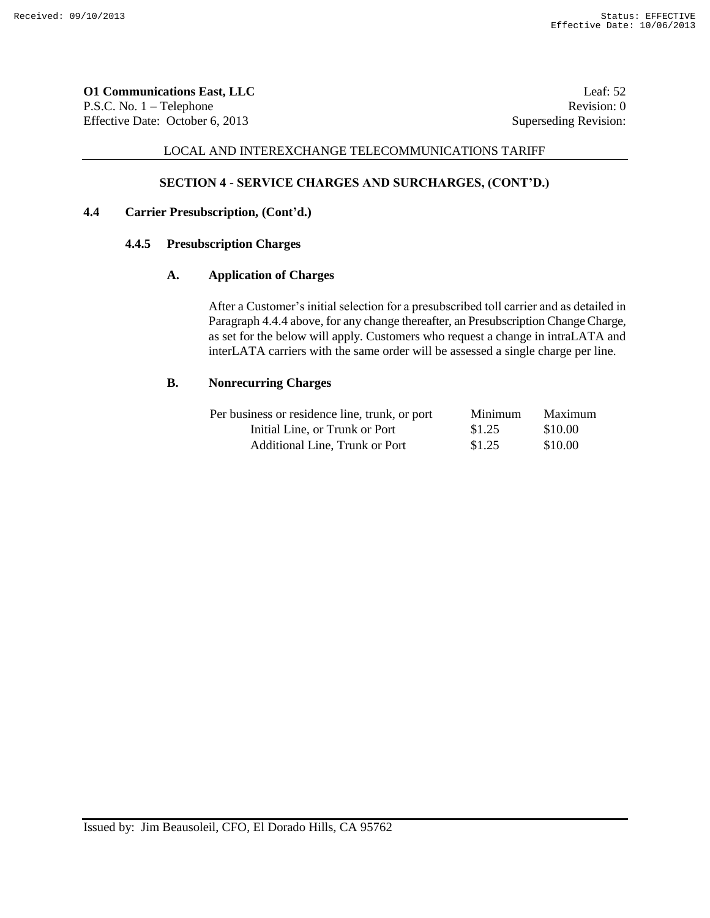**O1 Communications East, LLC** Leaf: 52 P.S.C. No. 1 – Telephone Revision: 0 Effective Date: October 6, 2013 Superseding Revision:

# LOCAL AND INTEREXCHANGE TELECOMMUNICATIONS TARIFF

# **SECTION 4 - SERVICE CHARGES AND SURCHARGES, (CONT'D.)**

# **4.4 Carrier Presubscription, (Cont'd.)**

### **4.4.5 Presubscription Charges**

# **A. Application of Charges**

After a Customer's initial selection for a presubscribed toll carrier and as detailed in Paragraph 4.4.4 above, for any change thereafter, an Presubscription Change Charge, as set for the below will apply. Customers who request a change in intraLATA and interLATA carriers with the same order will be assessed a single charge per line.

#### **B. Nonrecurring Charges**

| Per business or residence line, trunk, or port | Minimum | Maximum |
|------------------------------------------------|---------|---------|
| Initial Line, or Trunk or Port                 | \$1.25  | \$10.00 |
| Additional Line, Trunk or Port                 | \$1.25  | \$10.00 |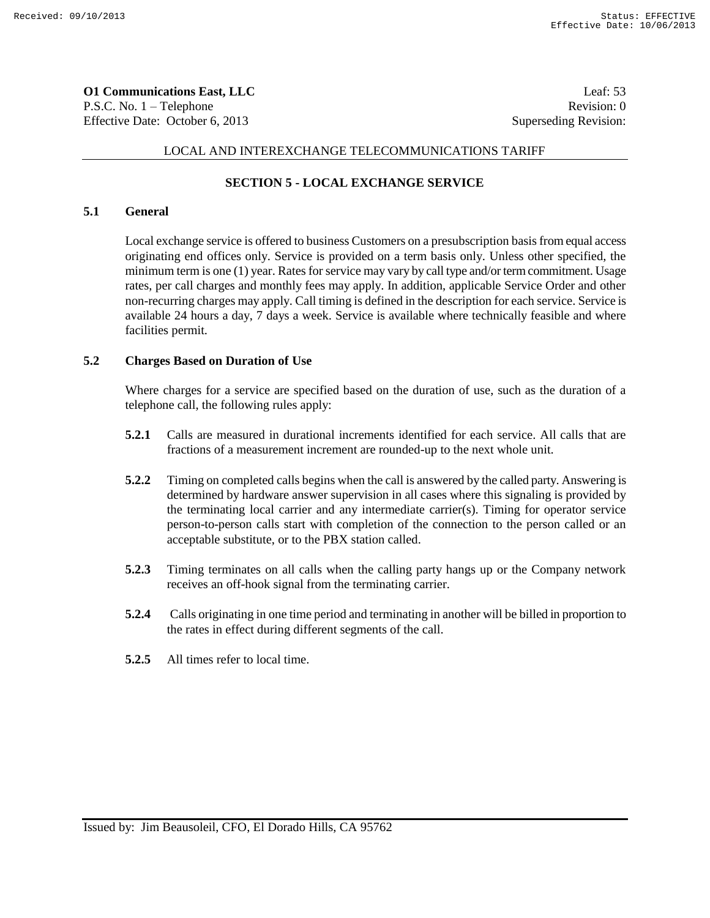**O1 Communications East, LLC** Leaf: 53 P.S.C. No. 1 – Telephone Revision: 0 Effective Date: October 6, 2013 Superseding Revision:

# LOCAL AND INTEREXCHANGE TELECOMMUNICATIONS TARIFF

# **SECTION 5 - LOCAL EXCHANGE SERVICE**

# **5.1 General**

Local exchange service is offered to business Customers on a presubscription basis from equal access originating end offices only. Service is provided on a term basis only. Unless other specified, the minimum term is one (1) year. Rates for service may vary by call type and/or term commitment. Usage rates, per call charges and monthly fees may apply. In addition, applicable Service Order and other non-recurring charges may apply. Call timing is defined in the description for each service. Service is available 24 hours a day, 7 days a week. Service is available where technically feasible and where facilities permit.

# **5.2 Charges Based on Duration of Use**

Where charges for a service are specified based on the duration of use, such as the duration of a telephone call, the following rules apply:

- **5.2.1** Calls are measured in durational increments identified for each service. All calls that are fractions of a measurement increment are rounded-up to the next whole unit.
- **5.2.2** Timing on completed calls begins when the call is answered by the called party. Answering is determined by hardware answer supervision in all cases where this signaling is provided by the terminating local carrier and any intermediate carrier(s). Timing for operator service person-to-person calls start with completion of the connection to the person called or an acceptable substitute, or to the PBX station called.
- **5.2.3** Timing terminates on all calls when the calling party hangs up or the Company network receives an off-hook signal from the terminating carrier.
- **5.2.4** Calls originating in one time period and terminating in another will be billed in proportion to the rates in effect during different segments of the call.
- **5.2.5** All times refer to local time.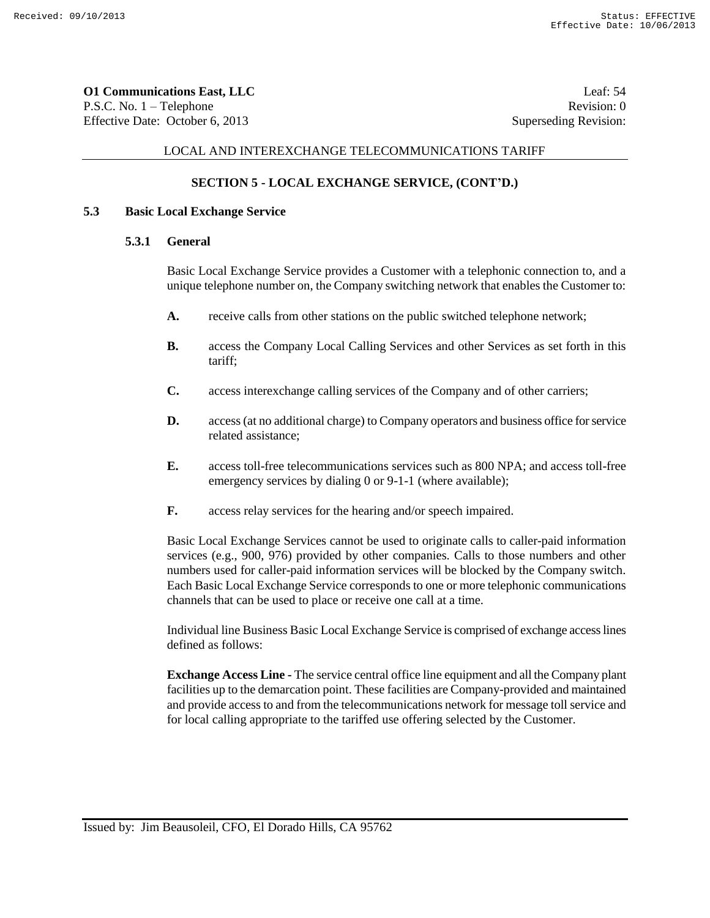**O1 Communications East, LLC** Leaf: 54 P.S.C. No. 1 – Telephone Revision: 0 Effective Date: October 6, 2013 Superseding Revision:

## LOCAL AND INTEREXCHANGE TELECOMMUNICATIONS TARIFF

# **SECTION 5 - LOCAL EXCHANGE SERVICE, (CONT'D.)**

#### **5.3 Basic Local Exchange Service**

#### **5.3.1 General**

Basic Local Exchange Service provides a Customer with a telephonic connection to, and a unique telephone number on, the Company switching network that enables the Customer to:

- **A.** receive calls from other stations on the public switched telephone network;
- **B.** access the Company Local Calling Services and other Services as set forth in this tariff;
- **C.** access interexchange calling services of the Company and of other carriers;
- **D.** access (at no additional charge) to Company operators and business office for service related assistance;
- **E.** access toll-free telecommunications services such as 800 NPA; and access toll-free emergency services by dialing 0 or 9-1-1 (where available);
- **F.** access relay services for the hearing and/or speech impaired.

Basic Local Exchange Services cannot be used to originate calls to caller-paid information services (e.g., 900, 976) provided by other companies. Calls to those numbers and other numbers used for caller-paid information services will be blocked by the Company switch. Each Basic Local Exchange Service corresponds to one or more telephonic communications channels that can be used to place or receive one call at a time.

Individual line Business Basic Local Exchange Service is comprised of exchange access lines defined as follows:

**Exchange Access Line -** The service central office line equipment and all the Company plant facilities up to the demarcation point. These facilities are Company-provided and maintained and provide access to and from the telecommunications network for message toll service and for local calling appropriate to the tariffed use offering selected by the Customer.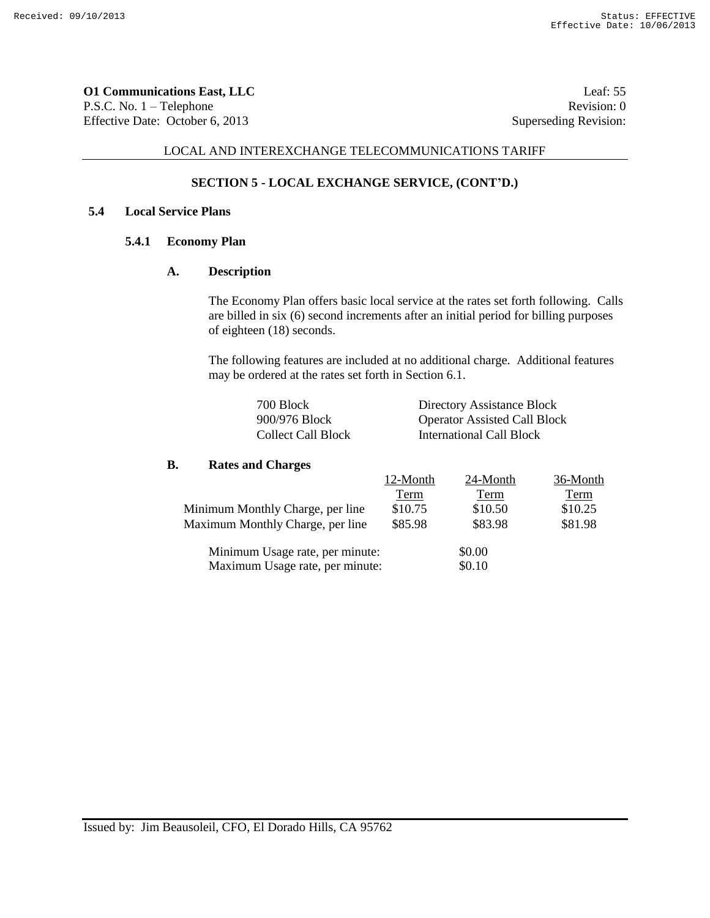**O1 Communications East, LLC** Leaf: 55 P.S.C. No. 1 – Telephone Revision: 0 Effective Date: October 6, 2013 Superseding Revision:

#### LOCAL AND INTEREXCHANGE TELECOMMUNICATIONS TARIFF

# **SECTION 5 - LOCAL EXCHANGE SERVICE, (CONT'D.)**

# **5.4 Local Service Plans**

# **5.4.1 Economy Plan**

# **A. Description**

The Economy Plan offers basic local service at the rates set forth following. Calls are billed in six (6) second increments after an initial period for billing purposes of eighteen (18) seconds.

The following features are included at no additional charge. Additional features may be ordered at the rates set forth in Section 6.1.

| 700 Block                 | Directory Assistance Block          |
|---------------------------|-------------------------------------|
| 900/976 Block             | <b>Operator Assisted Call Block</b> |
| <b>Collect Call Block</b> | International Call Block            |

#### **B. Rates and Charges**

|                                  | 12-Month | 24-Month | 36-Month |
|----------------------------------|----------|----------|----------|
|                                  | Term     | Term     | Term     |
| Minimum Monthly Charge, per line | \$10.75  | \$10.50  | \$10.25  |
| Maximum Monthly Charge, per line | \$85.98  | \$83.98  | \$81.98  |
| Minimum Usage rate, per minute:  |          | \$0.00   |          |
| Maximum Usage rate, per minute:  |          | \$0.10   |          |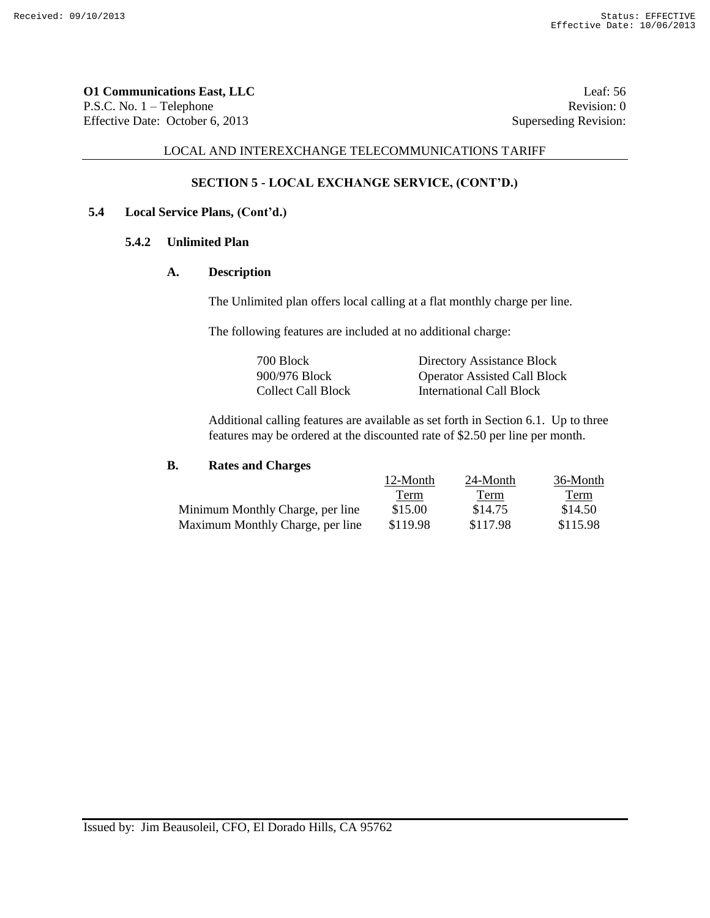**O1 Communications East, LLC** Leaf: 56 P.S.C. No. 1 – Telephone Revision: 0 Effective Date: October 6, 2013 Superseding Revision:

### LOCAL AND INTEREXCHANGE TELECOMMUNICATIONS TARIFF

# **SECTION 5 - LOCAL EXCHANGE SERVICE, (CONT'D.)**

# **5.4 Local Service Plans, (Cont'd.)**

# **5.4.2 Unlimited Plan**

#### **A. Description**

The Unlimited plan offers local calling at a flat monthly charge per line.

The following features are included at no additional charge:

| 700 Block          | Directory Assistance Block          |
|--------------------|-------------------------------------|
| 900/976 Block      | <b>Operator Assisted Call Block</b> |
| Collect Call Block | <b>International Call Block</b>     |

Additional calling features are available as set forth in Section 6.1. Up to three features may be ordered at the discounted rate of \$2.50 per line per month.

# **B. Rates and Charges**

|                                  | 12-Month | 24-Month | 36-Month |
|----------------------------------|----------|----------|----------|
|                                  | Term     | Term     | Term     |
| Minimum Monthly Charge, per line | \$15.00  | \$14.75  | \$14.50  |
| Maximum Monthly Charge, per line | \$119.98 | \$117.98 | \$115.98 |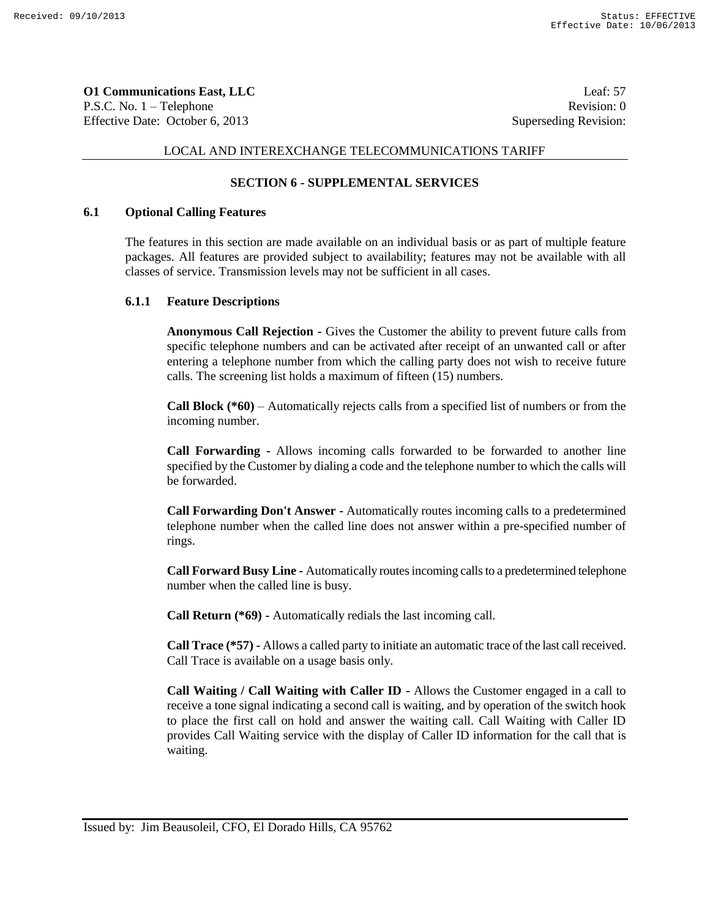**O1 Communications East, LLC** Leaf: 57 P.S.C. No. 1 – Telephone Revision: 0 Effective Date: October 6, 2013 Superseding Revision:

# LOCAL AND INTEREXCHANGE TELECOMMUNICATIONS TARIFF

# **SECTION 6 - SUPPLEMENTAL SERVICES**

#### **6.1 Optional Calling Features**

The features in this section are made available on an individual basis or as part of multiple feature packages. All features are provided subject to availability; features may not be available with all classes of service. Transmission levels may not be sufficient in all cases.

#### **6.1.1 Feature Descriptions**

**Anonymous Call Rejection -** Gives the Customer the ability to prevent future calls from specific telephone numbers and can be activated after receipt of an unwanted call or after entering a telephone number from which the calling party does not wish to receive future calls. The screening list holds a maximum of fifteen (15) numbers.

**Call Block (\*60)** – Automatically rejects calls from a specified list of numbers or from the incoming number.

**Call Forwarding -** Allows incoming calls forwarded to be forwarded to another line specified by the Customer by dialing a code and the telephone number to which the calls will be forwarded.

**Call Forwarding Don't Answer -** Automatically routes incoming calls to a predetermined telephone number when the called line does not answer within a pre-specified number of rings.

**Call Forward Busy Line -** Automatically routes incoming calls to a predetermined telephone number when the called line is busy.

**Call Return (\*69) -** Automatically redials the last incoming call.

**Call Trace (\*57) -** Allows a called party to initiate an automatic trace of the last call received. Call Trace is available on a usage basis only.

**Call Waiting / Call Waiting with Caller ID -** Allows the Customer engaged in a call to receive a tone signal indicating a second call is waiting, and by operation of the switch hook to place the first call on hold and answer the waiting call. Call Waiting with Caller ID provides Call Waiting service with the display of Caller ID information for the call that is waiting.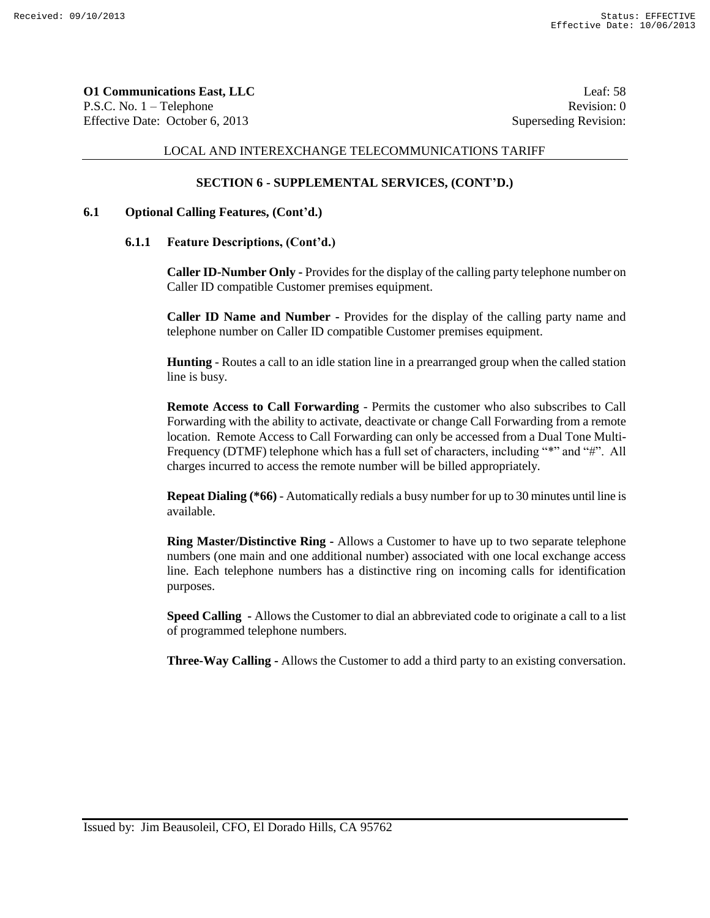**O1 Communications East, LLC** Leaf: 58 P.S.C. No. 1 – Telephone Revision: 0 Effective Date: October 6, 2013 Superseding Revision:

#### LOCAL AND INTEREXCHANGE TELECOMMUNICATIONS TARIFF

# **SECTION 6 - SUPPLEMENTAL SERVICES, (CONT'D.)**

#### **6.1 Optional Calling Features, (Cont'd.)**

#### **6.1.1 Feature Descriptions, (Cont'd.)**

**Caller ID-Number Only -** Provides for the display of the calling party telephone number on Caller ID compatible Customer premises equipment.

**Caller ID Name and Number -** Provides for the display of the calling party name and telephone number on Caller ID compatible Customer premises equipment.

**Hunting** - Routes a call to an idle station line in a prearranged group when the called station line is busy.

**Remote Access to Call Forwarding** - Permits the customer who also subscribes to Call Forwarding with the ability to activate, deactivate or change Call Forwarding from a remote location. Remote Access to Call Forwarding can only be accessed from a Dual Tone Multi-Frequency (DTMF) telephone which has a full set of characters, including "\*" and "#". All charges incurred to access the remote number will be billed appropriately.

**Repeat Dialing (\*66)** - Automatically redials a busy number for up to 30 minutes until line is available.

**Ring Master/Distinctive Ring -** Allows a Customer to have up to two separate telephone numbers (one main and one additional number) associated with one local exchange access line. Each telephone numbers has a distinctive ring on incoming calls for identification purposes.

**Speed Calling -** Allows the Customer to dial an abbreviated code to originate a call to a list of programmed telephone numbers.

**Three-Way Calling -** Allows the Customer to add a third party to an existing conversation.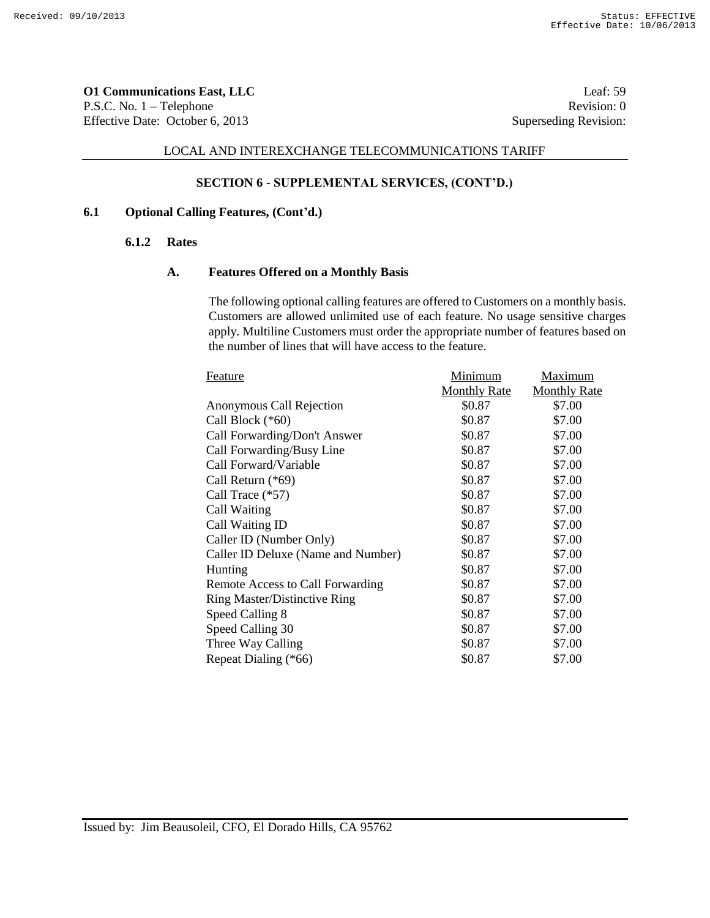**O1 Communications East, LLC** Leaf: 59 P.S.C. No. 1 – Telephone Revision: 0 Effective Date: October 6, 2013 Superseding Revision:

#### LOCAL AND INTEREXCHANGE TELECOMMUNICATIONS TARIFF

# **SECTION 6 - SUPPLEMENTAL SERVICES, (CONT'D.)**

## **6.1 Optional Calling Features, (Cont'd.)**

### **6.1.2 Rates**

#### **A. Features Offered on a Monthly Basis**

The following optional calling features are offered to Customers on a monthly basis. Customers are allowed unlimited use of each feature. No usage sensitive charges apply. Multiline Customers must order the appropriate number of features based on the number of lines that will have access to the feature.

| Feature                             | Minimum             | Maximum             |
|-------------------------------------|---------------------|---------------------|
|                                     | <b>Monthly Rate</b> | <b>Monthly Rate</b> |
| Anonymous Call Rejection            | \$0.87              | \$7.00              |
| Call Block (*60)                    | \$0.87              | \$7.00              |
| Call Forwarding/Don't Answer        | \$0.87              | \$7.00              |
| Call Forwarding/Busy Line           | \$0.87              | \$7.00              |
| Call Forward/Variable               | \$0.87              | \$7.00              |
| Call Return (*69)                   | \$0.87              | \$7.00              |
| Call Trace (*57)                    | \$0.87              | \$7.00              |
| Call Waiting                        | \$0.87              | \$7.00              |
| Call Waiting ID                     | \$0.87              | \$7.00              |
| Caller ID (Number Only)             | \$0.87              | \$7.00              |
| Caller ID Deluxe (Name and Number)  | \$0.87              | \$7.00              |
| Hunting                             | \$0.87              | \$7.00              |
| Remote Access to Call Forwarding    | \$0.87              | \$7.00              |
| <b>Ring Master/Distinctive Ring</b> | \$0.87              | \$7.00              |
| Speed Calling 8                     | \$0.87              | \$7.00              |
| Speed Calling 30                    | \$0.87              | \$7.00              |
| Three Way Calling                   | \$0.87              | \$7.00              |
| Repeat Dialing (*66)                | \$0.87              | \$7.00              |
|                                     |                     |                     |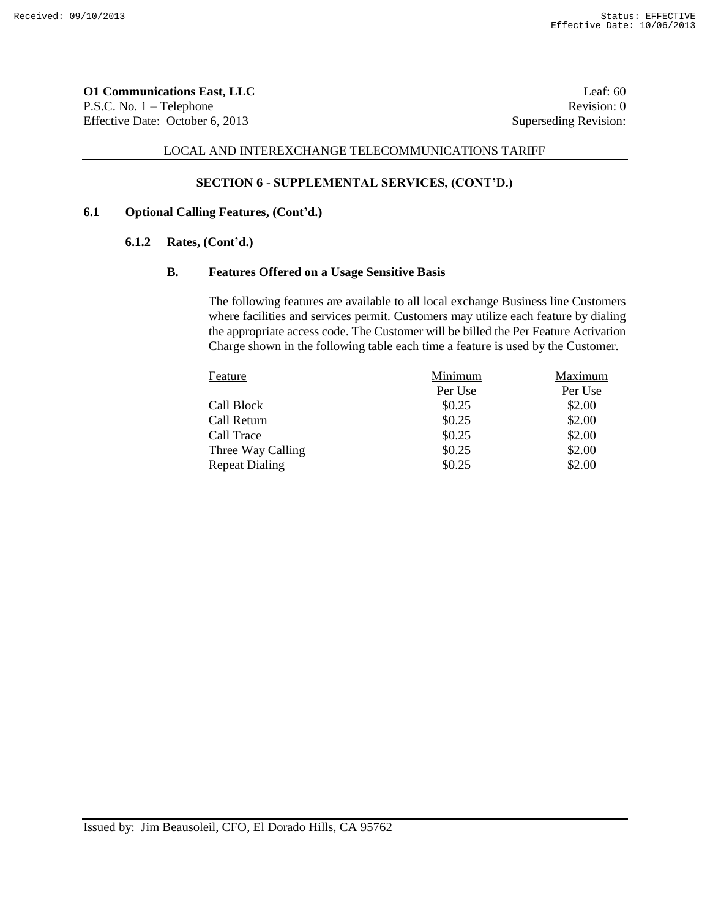**O1 Communications East, LLC** Leaf: 60 P.S.C. No. 1 – Telephone Revision: 0 Effective Date: October 6, 2013 Superseding Revision:

#### LOCAL AND INTEREXCHANGE TELECOMMUNICATIONS TARIFF

# **SECTION 6 - SUPPLEMENTAL SERVICES, (CONT'D.)**

## **6.1 Optional Calling Features, (Cont'd.)**

### **6.1.2 Rates, (Cont'd.)**

#### **B. Features Offered on a Usage Sensitive Basis**

The following features are available to all local exchange Business line Customers where facilities and services permit. Customers may utilize each feature by dialing the appropriate access code. The Customer will be billed the Per Feature Activation Charge shown in the following table each time a feature is used by the Customer.

| Feature               | Minimum | Maximum |
|-----------------------|---------|---------|
|                       | Per Use | Per Use |
| Call Block            | \$0.25  | \$2.00  |
| Call Return           | \$0.25  | \$2.00  |
| Call Trace            | \$0.25  | \$2.00  |
| Three Way Calling     | \$0.25  | \$2.00  |
| <b>Repeat Dialing</b> | \$0.25  | \$2.00  |
|                       |         |         |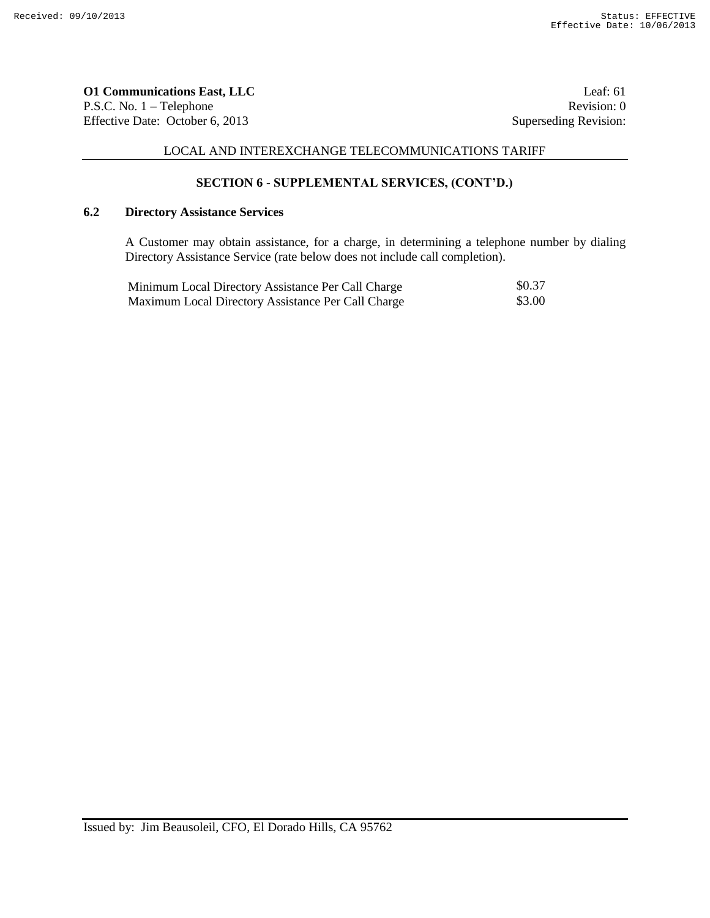**O1 Communications East, LLC** Leaf: 61 P.S.C. No. 1 – Telephone Revision: 0 Effective Date: October 6, 2013 Superseding Revision:

# LOCAL AND INTEREXCHANGE TELECOMMUNICATIONS TARIFF

# **SECTION 6 - SUPPLEMENTAL SERVICES, (CONT'D.)**

# **6.2 Directory Assistance Services**

A Customer may obtain assistance, for a charge, in determining a telephone number by dialing Directory Assistance Service (rate below does not include call completion).

| Minimum Local Directory Assistance Per Call Charge | \$0.37 |
|----------------------------------------------------|--------|
| Maximum Local Directory Assistance Per Call Charge | \$3.00 |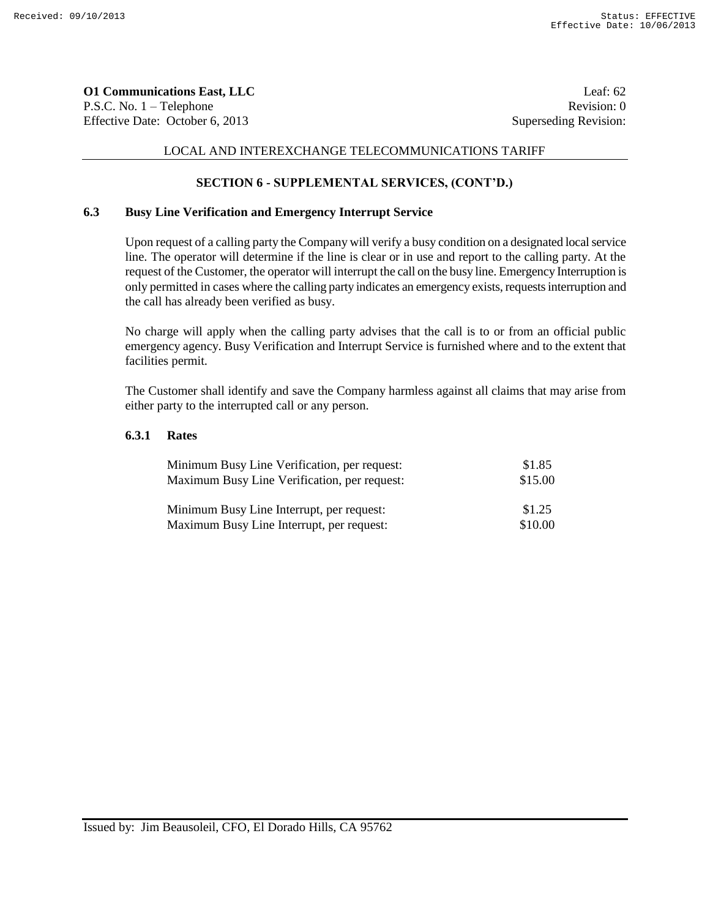**O1 Communications East, LLC** Leaf: 62 P.S.C. No. 1 – Telephone Revision: 0 Effective Date: October 6, 2013 Superseding Revision:

# LOCAL AND INTEREXCHANGE TELECOMMUNICATIONS TARIFF

# **SECTION 6 - SUPPLEMENTAL SERVICES, (CONT'D.)**

# **6.3 Busy Line Verification and Emergency Interrupt Service**

Upon request of a calling party the Company will verify a busy condition on a designated local service line. The operator will determine if the line is clear or in use and report to the calling party. At the request of the Customer, the operator will interrupt the call on the busy line. Emergency Interruption is only permitted in cases where the calling party indicates an emergency exists, requests interruption and the call has already been verified as busy.

No charge will apply when the calling party advises that the call is to or from an official public emergency agency. Busy Verification and Interrupt Service is furnished where and to the extent that facilities permit.

The Customer shall identify and save the Company harmless against all claims that may arise from either party to the interrupted call or any person.

# **6.3.1 Rates**

| Minimum Busy Line Verification, per request: | \$1.85  |
|----------------------------------------------|---------|
| Maximum Busy Line Verification, per request: | \$15.00 |
|                                              |         |
| Minimum Busy Line Interrupt, per request:    | \$1.25  |
| Maximum Busy Line Interrupt, per request:    | \$10.00 |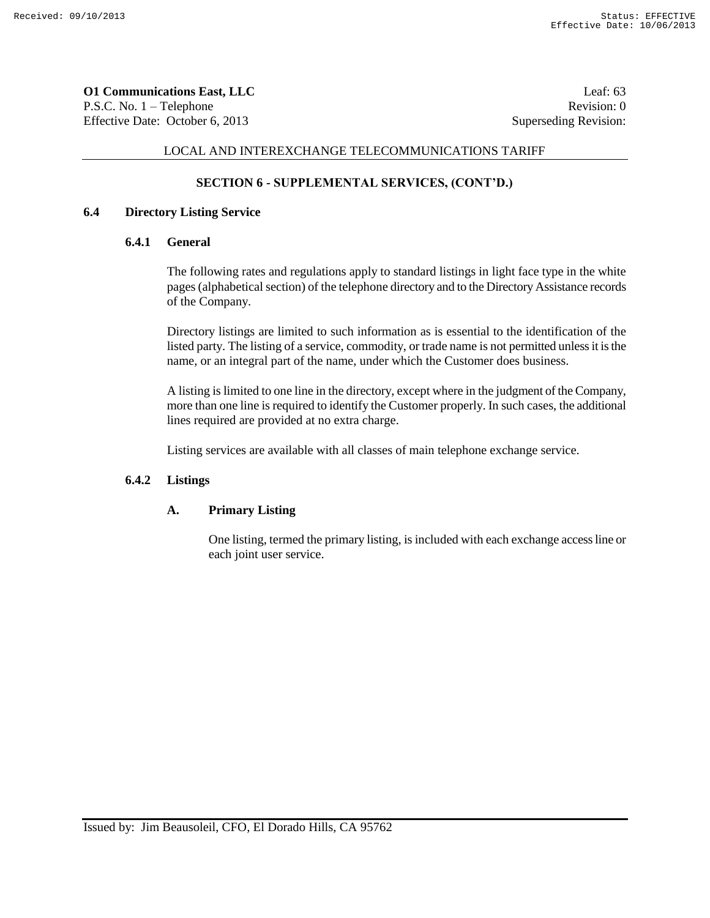**O1 Communications East, LLC** Leaf: 63 P.S.C. No. 1 – Telephone Revision: 0 Effective Date: October 6, 2013 Superseding Revision:

## LOCAL AND INTEREXCHANGE TELECOMMUNICATIONS TARIFF

# **SECTION 6 - SUPPLEMENTAL SERVICES, (CONT'D.)**

## **6.4 Directory Listing Service**

# **6.4.1 General**

The following rates and regulations apply to standard listings in light face type in the white pages (alphabetical section) of the telephone directory and to the Directory Assistance records of the Company.

Directory listings are limited to such information as is essential to the identification of the listed party. The listing of a service, commodity, or trade name is not permitted unless it is the name, or an integral part of the name, under which the Customer does business.

A listing is limited to one line in the directory, except where in the judgment of the Company, more than one line is required to identify the Customer properly. In such cases, the additional lines required are provided at no extra charge.

Listing services are available with all classes of main telephone exchange service.

#### **6.4.2 Listings**

#### **A. Primary Listing**

One listing, termed the primary listing, is included with each exchange access line or each joint user service.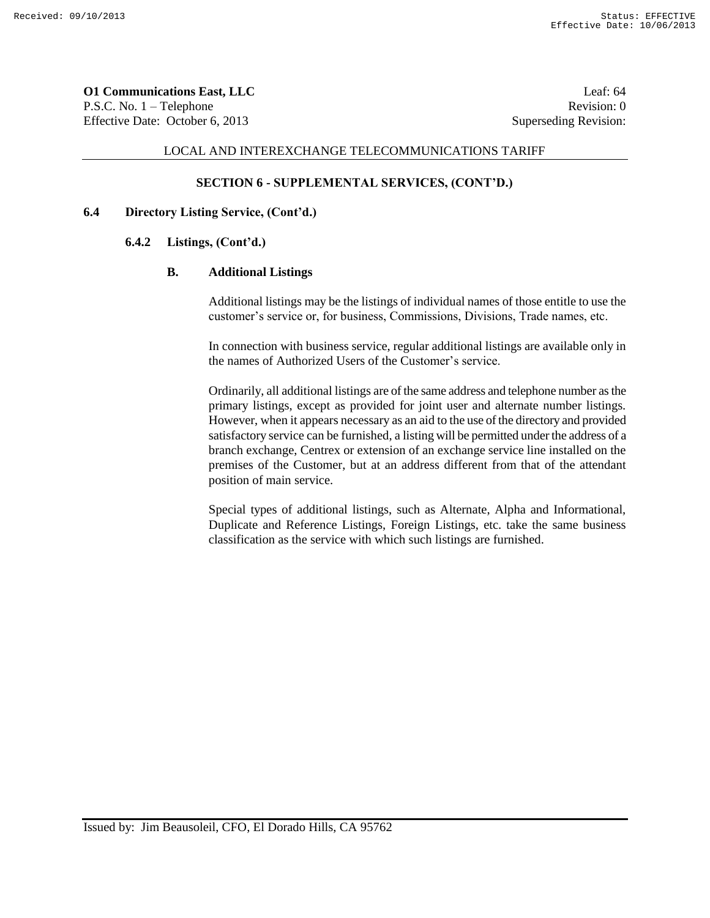**O1 Communications East, LLC** Leaf: 64 P.S.C. No. 1 – Telephone Revision: 0 Effective Date: October 6, 2013 Superseding Revision:

### LOCAL AND INTEREXCHANGE TELECOMMUNICATIONS TARIFF

## **SECTION 6 - SUPPLEMENTAL SERVICES, (CONT'D.)**

# **6.4 Directory Listing Service, (Cont'd.)**

# **6.4.2 Listings, (Cont'd.)**

#### **B. Additional Listings**

Additional listings may be the listings of individual names of those entitle to use the customer's service or, for business, Commissions, Divisions, Trade names, etc.

In connection with business service, regular additional listings are available only in the names of Authorized Users of the Customer's service.

Ordinarily, all additional listings are of the same address and telephone number as the primary listings, except as provided for joint user and alternate number listings. However, when it appears necessary as an aid to the use of the directory and provided satisfactory service can be furnished, a listing will be permitted under the address of a branch exchange, Centrex or extension of an exchange service line installed on the premises of the Customer, but at an address different from that of the attendant position of main service.

Special types of additional listings, such as Alternate, Alpha and Informational, Duplicate and Reference Listings, Foreign Listings, etc. take the same business classification as the service with which such listings are furnished.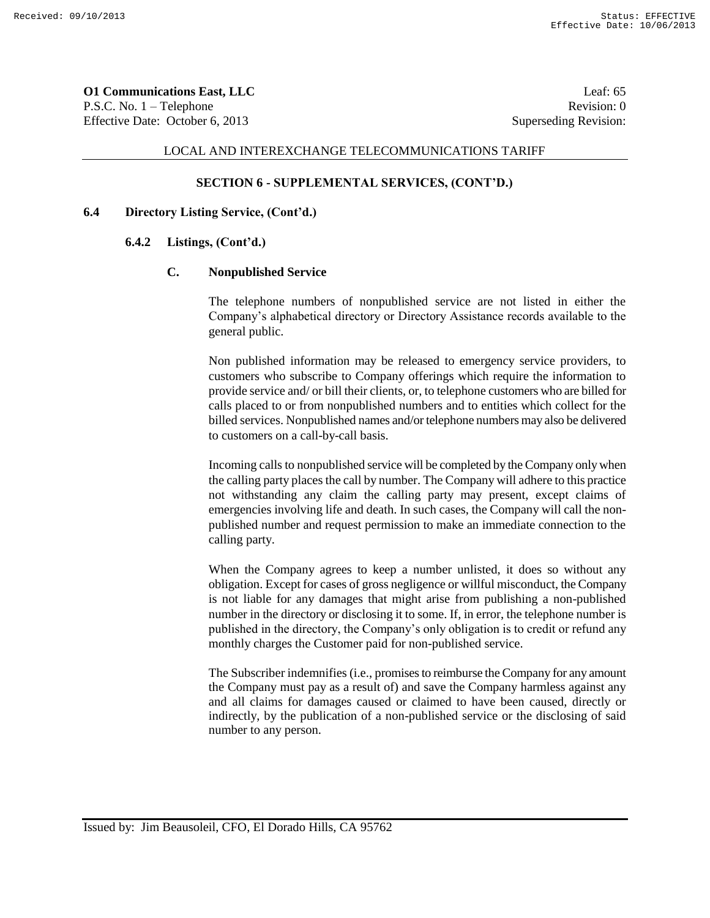**O1 Communications East, LLC** Leaf: 65 P.S.C. No. 1 – Telephone Revision: 0 Effective Date: October 6, 2013 Superseding Revision:

#### LOCAL AND INTEREXCHANGE TELECOMMUNICATIONS TARIFF

## **SECTION 6 - SUPPLEMENTAL SERVICES, (CONT'D.)**

# **6.4 Directory Listing Service, (Cont'd.)**

# **6.4.2 Listings, (Cont'd.)**

#### **C. Nonpublished Service**

The telephone numbers of nonpublished service are not listed in either the Company's alphabetical directory or Directory Assistance records available to the general public.

Non published information may be released to emergency service providers, to customers who subscribe to Company offerings which require the information to provide service and/ or bill their clients, or, to telephone customers who are billed for calls placed to or from nonpublished numbers and to entities which collect for the billed services. Nonpublished names and/or telephone numbers may also be delivered to customers on a call-by-call basis.

Incoming calls to nonpublished service will be completed by the Company only when the calling party places the call by number. The Company will adhere to this practice not withstanding any claim the calling party may present, except claims of emergencies involving life and death. In such cases, the Company will call the nonpublished number and request permission to make an immediate connection to the calling party.

When the Company agrees to keep a number unlisted, it does so without any obligation. Except for cases of gross negligence or willful misconduct, the Company is not liable for any damages that might arise from publishing a non-published number in the directory or disclosing it to some. If, in error, the telephone number is published in the directory, the Company's only obligation is to credit or refund any monthly charges the Customer paid for non-published service.

The Subscriber indemnifies (i.e., promises to reimburse the Company for any amount the Company must pay as a result of) and save the Company harmless against any and all claims for damages caused or claimed to have been caused, directly or indirectly, by the publication of a non-published service or the disclosing of said number to any person.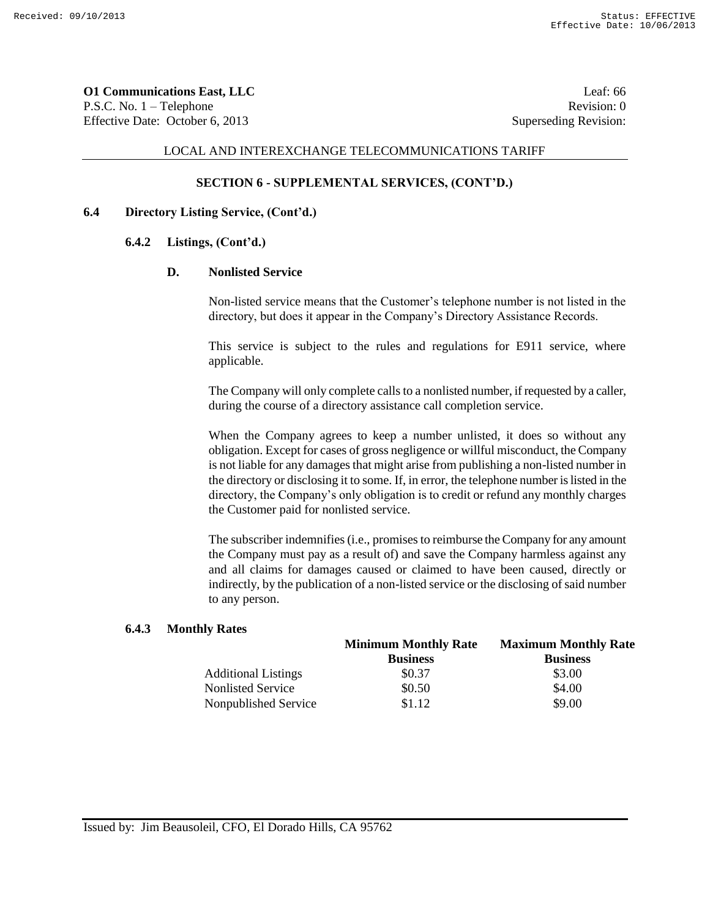**O1 Communications East, LLC** Leaf: 66 P.S.C. No. 1 – Telephone Revision: 0 Effective Date: October 6, 2013 Superseding Revision:

### LOCAL AND INTEREXCHANGE TELECOMMUNICATIONS TARIFF

## **SECTION 6 - SUPPLEMENTAL SERVICES, (CONT'D.)**

# **6.4 Directory Listing Service, (Cont'd.)**

# **6.4.2 Listings, (Cont'd.)**

#### **D. Nonlisted Service**

Non-listed service means that the Customer's telephone number is not listed in the directory, but does it appear in the Company's Directory Assistance Records.

This service is subject to the rules and regulations for E911 service, where applicable.

The Company will only complete calls to a nonlisted number, if requested by a caller, during the course of a directory assistance call completion service.

When the Company agrees to keep a number unlisted, it does so without any obligation. Except for cases of gross negligence or willful misconduct, the Company is not liable for any damages that might arise from publishing a non-listed number in the directory or disclosing it to some. If, in error, the telephone number is listed in the directory, the Company's only obligation is to credit or refund any monthly charges the Customer paid for nonlisted service.

The subscriber indemnifies (i.e., promises to reimburse the Company for any amount the Company must pay as a result of) and save the Company harmless against any and all claims for damages caused or claimed to have been caused, directly or indirectly, by the publication of a non-listed service or the disclosing of said number to any person.

#### **6.4.3 Monthly Rates**

|                            | <b>Minimum Monthly Rate</b> | <b>Maximum Monthly Rate</b> |  |
|----------------------------|-----------------------------|-----------------------------|--|
|                            | <b>Business</b>             | <b>Business</b>             |  |
| <b>Additional Listings</b> | \$0.37                      | \$3.00                      |  |
| Nonlisted Service          | \$0.50                      | \$4.00                      |  |
| Nonpublished Service       | \$1.12                      | \$9.00                      |  |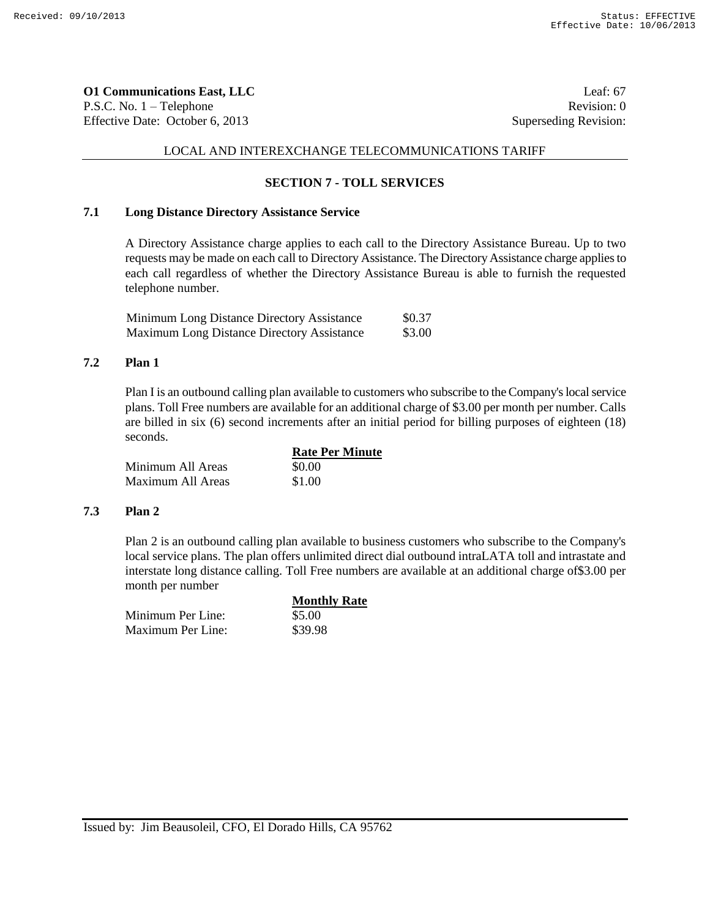**O1 Communications East, LLC** Leaf: 67 P.S.C. No. 1 – Telephone Revision: 0 Effective Date: October 6, 2013 Superseding Revision:

# LOCAL AND INTEREXCHANGE TELECOMMUNICATIONS TARIFF

# **SECTION 7 - TOLL SERVICES**

# **7.1 Long Distance Directory Assistance Service**

A Directory Assistance charge applies to each call to the Directory Assistance Bureau. Up to two requests may be made on each call to Directory Assistance. The Directory Assistance charge applies to each call regardless of whether the Directory Assistance Bureau is able to furnish the requested telephone number.

| <b>Minimum Long Distance Directory Assistance</b> | \$0.37 |
|---------------------------------------------------|--------|
| <b>Maximum Long Distance Directory Assistance</b> | \$3.00 |

# **7.2 Plan 1**

Plan I is an outbound calling plan available to customers who subscribe to the Company's local service plans. Toll Free numbers are available for an additional charge of \$3.00 per month per number. Calls are billed in six (6) second increments after an initial period for billing purposes of eighteen (18) seconds.

|                   | <b>Rate Per Minute</b> |
|-------------------|------------------------|
| Minimum All Areas | \$0.00                 |
| Maximum All Areas | \$1.00                 |

#### **7.3 Plan 2**

Plan 2 is an outbound calling plan available to business customers who subscribe to the Company's local service plans. The plan offers unlimited direct dial outbound intraLATA toll and intrastate and interstate long distance calling. Toll Free numbers are available at an additional charge of\$3.00 per month per number

|                   | <b>Monthly Rate</b> |
|-------------------|---------------------|
| Minimum Per Line: | \$5.00              |
| Maximum Per Line: | \$39.98             |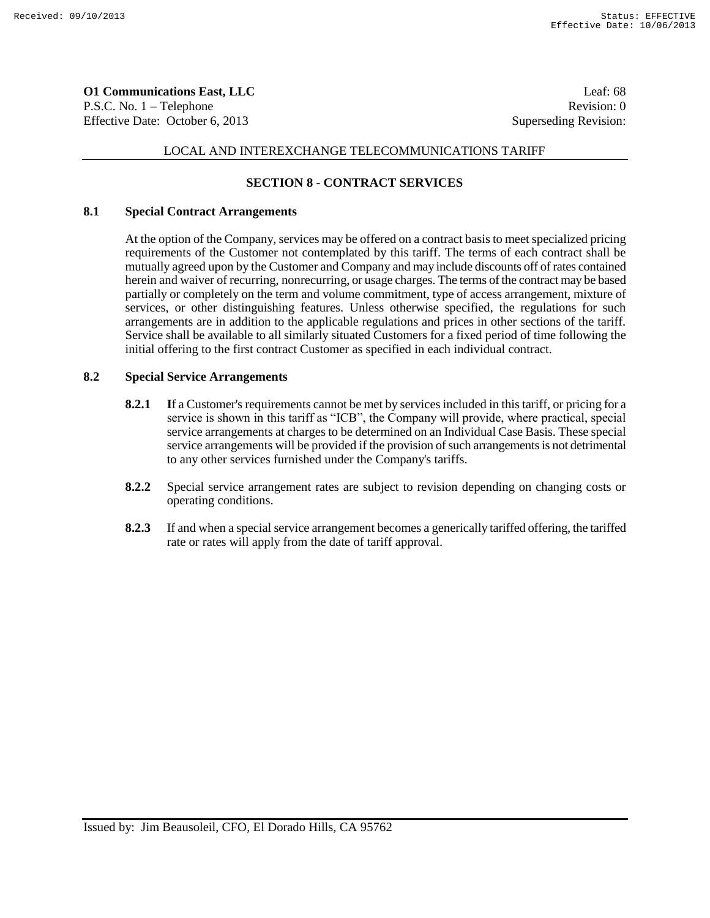**O1 Communications East, LLC** Leaf: 68 P.S.C. No. 1 – Telephone Revision: 0 Effective Date: October 6, 2013 Superseding Revision:

# LOCAL AND INTEREXCHANGE TELECOMMUNICATIONS TARIFF

# **SECTION 8 - CONTRACT SERVICES**

#### **8.1 Special Contract Arrangements**

At the option of the Company, services may be offered on a contract basis to meet specialized pricing requirements of the Customer not contemplated by this tariff. The terms of each contract shall be mutually agreed upon by the Customer and Company and may include discounts off of rates contained herein and waiver of recurring, nonrecurring, or usage charges. The terms of the contract may be based partially or completely on the term and volume commitment, type of access arrangement, mixture of services, or other distinguishing features. Unless otherwise specified, the regulations for such arrangements are in addition to the applicable regulations and prices in other sections of the tariff. Service shall be available to all similarly situated Customers for a fixed period of time following the initial offering to the first contract Customer as specified in each individual contract.

#### **8.2 Special Service Arrangements**

- **8.2.1** If a Customer's requirements cannot be met by services included in this tariff, or pricing for a service is shown in this tariff as "ICB", the Company will provide, where practical, special service arrangements at charges to be determined on an Individual Case Basis. These special service arrangements will be provided if the provision of such arrangements is not detrimental to any other services furnished under the Company's tariffs.
- **8.2.2** Special service arrangement rates are subject to revision depending on changing costs or operating conditions.
- **8.2.3** If and when a special service arrangement becomes a generically tariffed offering, the tariffed rate or rates will apply from the date of tariff approval.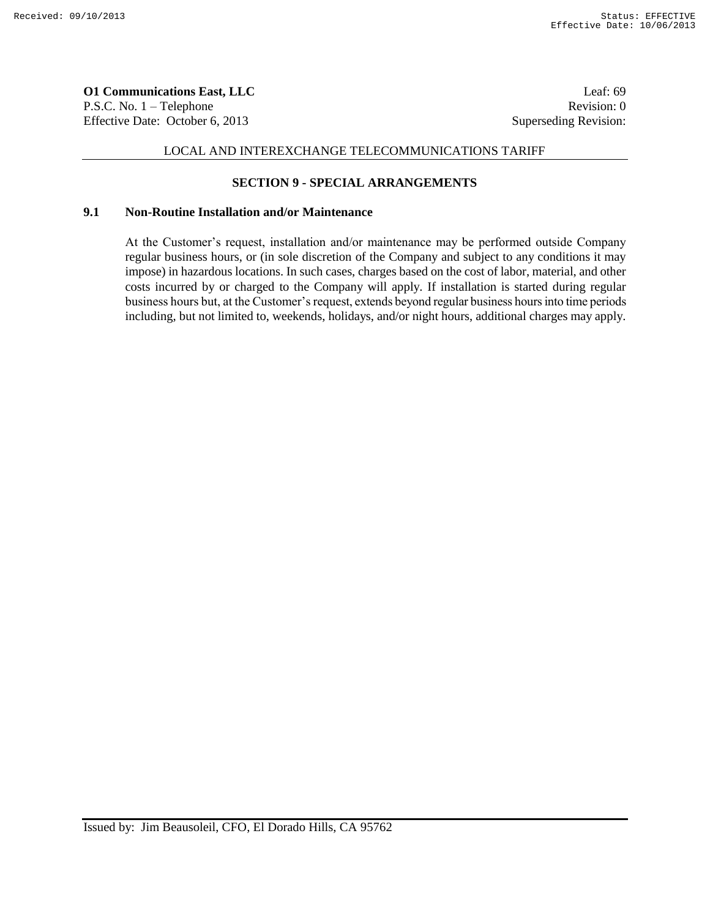**O1 Communications East, LLC** Leaf: 69 P.S.C. No. 1 – Telephone Revision: 0 Effective Date: October 6, 2013 Superseding Revision:

# LOCAL AND INTEREXCHANGE TELECOMMUNICATIONS TARIFF

# **SECTION 9 - SPECIAL ARRANGEMENTS**

## **9.1 Non-Routine Installation and/or Maintenance**

At the Customer's request, installation and/or maintenance may be performed outside Company regular business hours, or (in sole discretion of the Company and subject to any conditions it may impose) in hazardous locations. In such cases, charges based on the cost of labor, material, and other costs incurred by or charged to the Company will apply. If installation is started during regular business hours but, at the Customer's request, extends beyond regular business hours into time periods including, but not limited to, weekends, holidays, and/or night hours, additional charges may apply.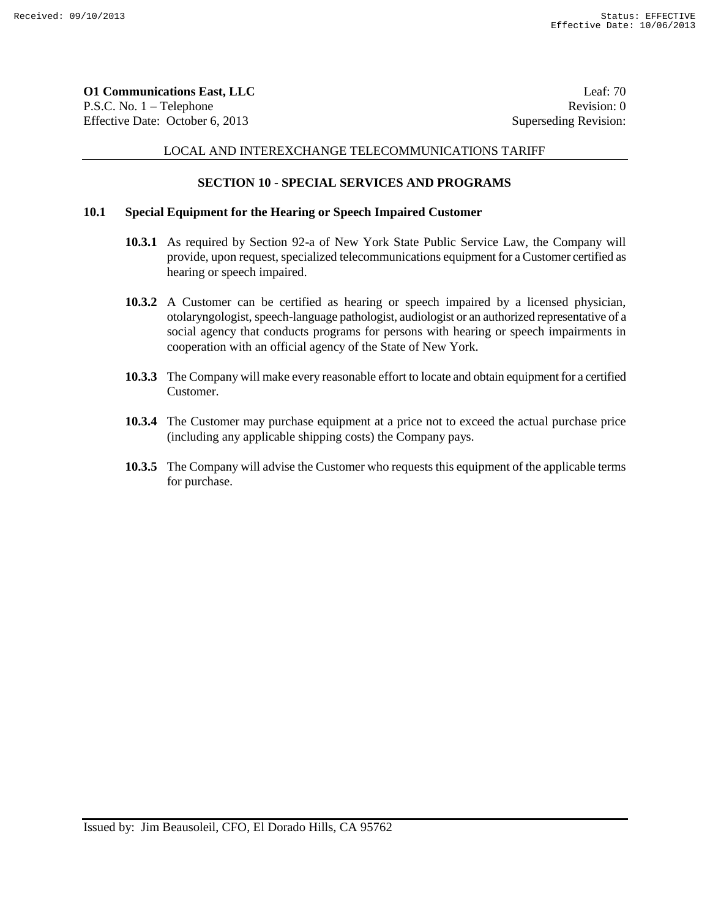**O1 Communications East, LLC** Leaf: 70 P.S.C. No. 1 – Telephone Revision: 0 Effective Date: October 6, 2013 Superseding Revision:

### LOCAL AND INTEREXCHANGE TELECOMMUNICATIONS TARIFF

## **SECTION 10 - SPECIAL SERVICES AND PROGRAMS**

## **10.1 Special Equipment for the Hearing or Speech Impaired Customer**

- **10.3.1** As required by Section 92-a of New York State Public Service Law, the Company will provide, upon request, specialized telecommunications equipment for a Customer certified as hearing or speech impaired.
- **10.3.2** A Customer can be certified as hearing or speech impaired by a licensed physician, otolaryngologist, speech-language pathologist, audiologist or an authorized representative of a social agency that conducts programs for persons with hearing or speech impairments in cooperation with an official agency of the State of New York.
- **10.3.3** The Company will make every reasonable effort to locate and obtain equipment for a certified Customer.
- **10.3.4** The Customer may purchase equipment at a price not to exceed the actual purchase price (including any applicable shipping costs) the Company pays.
- **10.3.5** The Company will advise the Customer who requests this equipment of the applicable terms for purchase.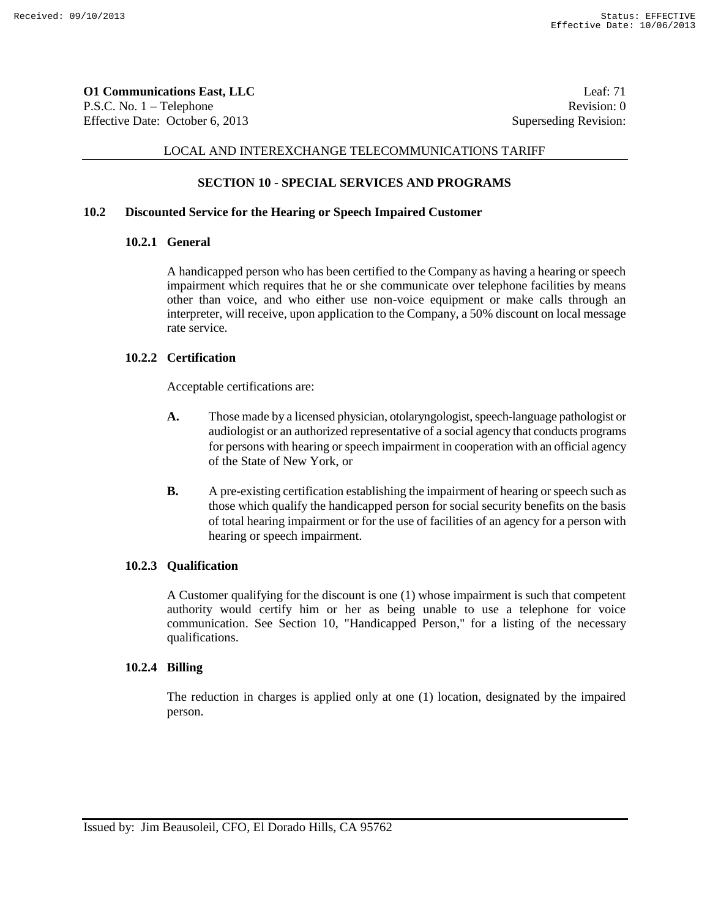**O1 Communications East, LLC** Leaf: 71 P.S.C. No. 1 – Telephone Revision: 0 Effective Date: October 6, 2013 Superseding Revision:

## LOCAL AND INTEREXCHANGE TELECOMMUNICATIONS TARIFF

## **SECTION 10 - SPECIAL SERVICES AND PROGRAMS**

# **10.2 Discounted Service for the Hearing or Speech Impaired Customer**

#### **10.2.1 General**

A handicapped person who has been certified to the Company as having a hearing or speech impairment which requires that he or she communicate over telephone facilities by means other than voice, and who either use non-voice equipment or make calls through an interpreter, will receive, upon application to the Company, a 50% discount on local message rate service.

### **10.2.2 Certification**

Acceptable certifications are:

- **A.** Those made by a licensed physician, otolaryngologist, speech-language pathologist or audiologist or an authorized representative of a social agency that conducts programs for persons with hearing or speech impairment in cooperation with an official agency of the State of New York, or
- **B.** A pre-existing certification establishing the impairment of hearing or speech such as those which qualify the handicapped person for social security benefits on the basis of total hearing impairment or for the use of facilities of an agency for a person with hearing or speech impairment.

#### **10.2.3 Qualification**

A Customer qualifying for the discount is one (1) whose impairment is such that competent authority would certify him or her as being unable to use a telephone for voice communication. See Section 10, "Handicapped Person," for a listing of the necessary qualifications.

#### **10.2.4 Billing**

The reduction in charges is applied only at one (1) location, designated by the impaired person.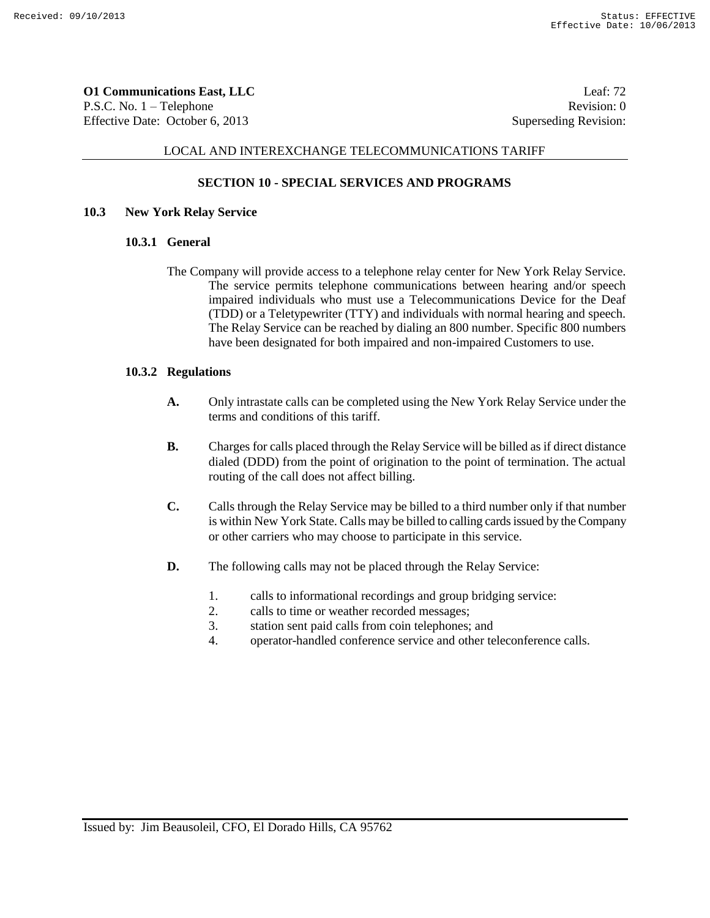**O1 Communications East, LLC** Leaf: 72 P.S.C. No. 1 – Telephone Revision: 0 Effective Date: October 6, 2013 Superseding Revision:

#### LOCAL AND INTEREXCHANGE TELECOMMUNICATIONS TARIFF

# **SECTION 10 - SPECIAL SERVICES AND PROGRAMS**

## **10.3 New York Relay Service**

#### **10.3.1 General**

The Company will provide access to a telephone relay center for New York Relay Service. The service permits telephone communications between hearing and/or speech impaired individuals who must use a Telecommunications Device for the Deaf (TDD) or a Teletypewriter (TTY) and individuals with normal hearing and speech. The Relay Service can be reached by dialing an 800 number. Specific 800 numbers have been designated for both impaired and non-impaired Customers to use.

#### **10.3.2 Regulations**

- **A.** Only intrastate calls can be completed using the New York Relay Service under the terms and conditions of this tariff.
- **B.** Charges for calls placed through the Relay Service will be billed as if direct distance dialed (DDD) from the point of origination to the point of termination. The actual routing of the call does not affect billing.
- **C.** Calls through the Relay Service may be billed to a third number only if that number is within New York State. Calls may be billed to calling cards issued by the Company or other carriers who may choose to participate in this service.
- **D.** The following calls may not be placed through the Relay Service:
	- 1. calls to informational recordings and group bridging service:
	- 2. calls to time or weather recorded messages;
	- 3. station sent paid calls from coin telephones; and
	- 4. operator-handled conference service and other teleconference calls.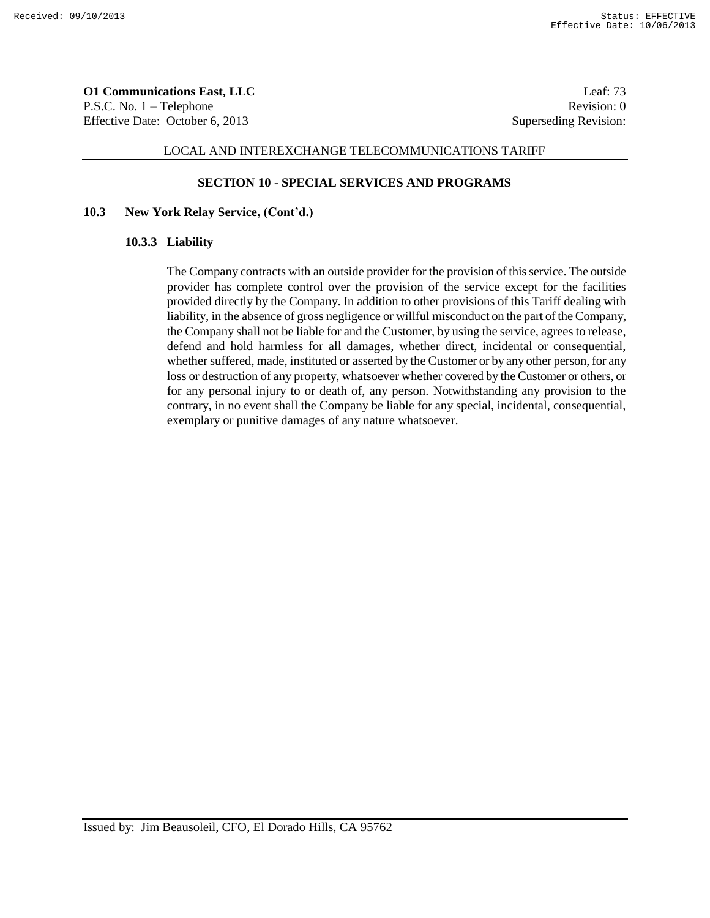**O1 Communications East, LLC** Leaf: 73 P.S.C. No. 1 – Telephone Revision: 0 Effective Date: October 6, 2013 Superseding Revision:

#### LOCAL AND INTEREXCHANGE TELECOMMUNICATIONS TARIFF

#### **SECTION 10 - SPECIAL SERVICES AND PROGRAMS**

#### **10.3 New York Relay Service, (Cont'd.)**

#### **10.3.3 Liability**

The Company contracts with an outside provider for the provision of this service. The outside provider has complete control over the provision of the service except for the facilities provided directly by the Company. In addition to other provisions of this Tariff dealing with liability, in the absence of gross negligence or willful misconduct on the part of the Company, the Company shall not be liable for and the Customer, by using the service, agrees to release, defend and hold harmless for all damages, whether direct, incidental or consequential, whether suffered, made, instituted or asserted by the Customer or by any other person, for any loss or destruction of any property, whatsoever whether covered by the Customer or others, or for any personal injury to or death of, any person. Notwithstanding any provision to the contrary, in no event shall the Company be liable for any special, incidental, consequential, exemplary or punitive damages of any nature whatsoever.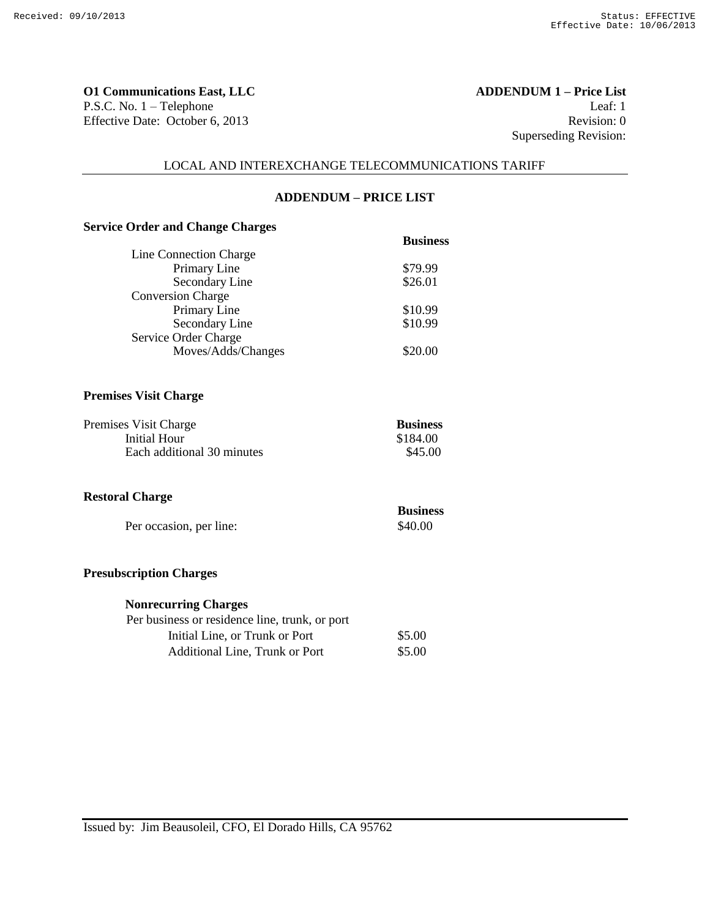**O1 Communications East, LLC ADDENDUM 1 – Price List** P.S.C. No. 1 – Telephone Leaf: 1 Effective Date: October 6, 2013 Revision: 0

Superseding Revision:

#### LOCAL AND INTEREXCHANGE TELECOMMUNICATIONS TARIFF

# **ADDENDUM – PRICE LIST**

# **Service Order and Change Charges**

|                          | <b>Business</b> |
|--------------------------|-----------------|
| Line Connection Charge   |                 |
| Primary Line             | \$79.99         |
| Secondary Line           | \$26.01         |
| <b>Conversion Charge</b> |                 |
| Primary Line             | \$10.99         |
| Secondary Line           | \$10.99         |
| Service Order Charge     |                 |
| Moves/Adds/Changes       | \$20.00         |
|                          |                 |

#### **Premises Visit Charge**

| Premises Visit Charge      | <b>Business</b> |
|----------------------------|-----------------|
| Initial Hour               | \$184.00        |
| Each additional 30 minutes | \$45.00         |

## **Restoral Charge**

| $\cdots$                | <b>Business</b> |
|-------------------------|-----------------|
| Per occasion, per line: | \$40.00         |

#### **Presubscription Charges**

# **Nonrecurring Charges**

| Per business or residence line, trunk, or port |        |
|------------------------------------------------|--------|
| Initial Line, or Trunk or Port                 | \$5.00 |
| Additional Line. Trunk or Port                 | \$5.00 |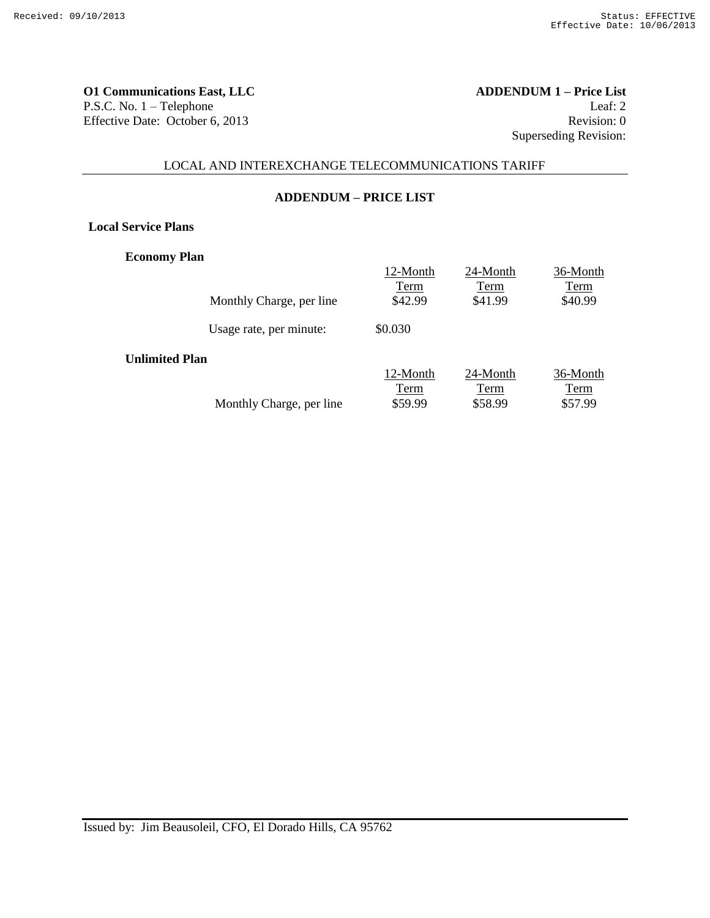**O1 Communications East, LLC ADDENDUM 1 – Price List** P.S.C. No. 1 – Telephone Leaf: 2 Effective Date: October 6, 2013 Revision: 0

Superseding Revision:

# LOCAL AND INTEREXCHANGE TELECOMMUNICATIONS TARIFF

#### **ADDENDUM – PRICE LIST**

**Local Service Plans**

**Economy Plan**

|                          | 12-Month | 24-Month | 36-Month |
|--------------------------|----------|----------|----------|
|                          | Term     | Term     | Term     |
| Monthly Charge, per line | \$42.99  | \$41.99  | \$40.99  |
| Usage rate, per minute:  | \$0.030  |          |          |
| <b>Unlimited Plan</b>    |          |          |          |
|                          | 12-Month | 24-Month | 36-Month |
|                          | Term     | Term     | Term     |
| Monthly Charge, per line | \$59.99  | \$58.99  | \$57.99  |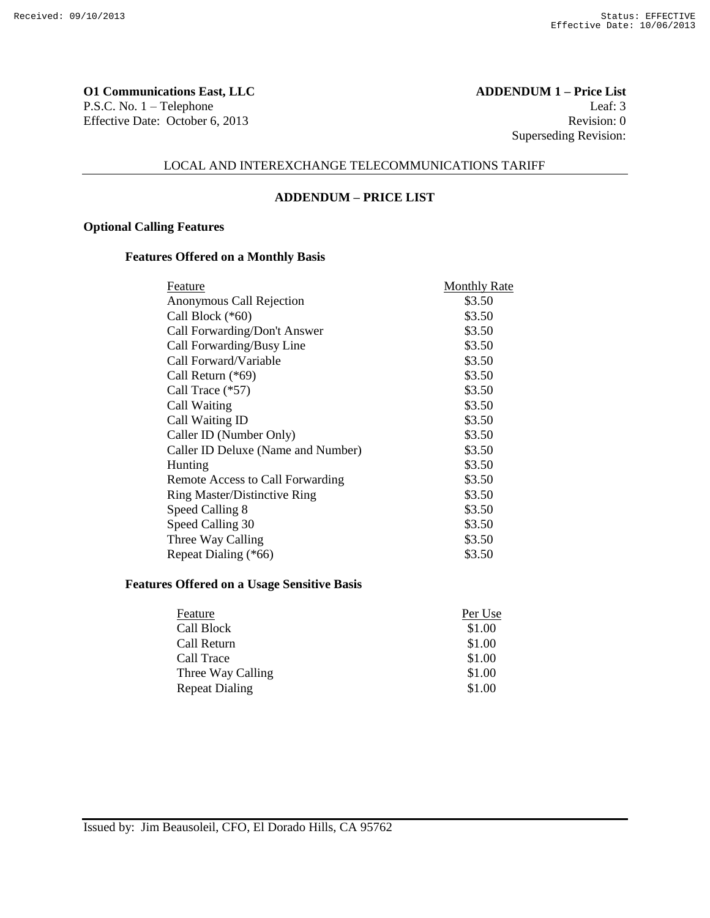**O1 Communications East, LLC ADDENDUM 1 – Price List** P.S.C. No. 1 – Telephone Leaf: 3 Effective Date: October 6, 2013 Revision: 0

Superseding Revision:

# LOCAL AND INTEREXCHANGE TELECOMMUNICATIONS TARIFF

#### **ADDENDUM – PRICE LIST**

### **Optional Calling Features**

# **Features Offered on a Monthly Basis**

| Feature                             | <b>Monthly Rate</b> |
|-------------------------------------|---------------------|
| Anonymous Call Rejection            | \$3.50              |
| Call Block (*60)                    | \$3.50              |
| Call Forwarding/Don't Answer        | \$3.50              |
| Call Forwarding/Busy Line           | \$3.50              |
| Call Forward/Variable               | \$3.50              |
| Call Return (*69)                   | \$3.50              |
| Call Trace (*57)                    | \$3.50              |
| Call Waiting                        | \$3.50              |
| Call Waiting ID                     | \$3.50              |
| Caller ID (Number Only)             | \$3.50              |
| Caller ID Deluxe (Name and Number)  | \$3.50              |
| Hunting                             | \$3.50              |
| Remote Access to Call Forwarding    | \$3.50              |
| <b>Ring Master/Distinctive Ring</b> | \$3.50              |
| Speed Calling 8                     | \$3.50              |
| Speed Calling 30                    | \$3.50              |
| Three Way Calling                   | \$3.50              |
| Repeat Dialing (*66)                | \$3.50              |

#### **Features Offered on a Usage Sensitive Basis**

| Feature           | Per Use |
|-------------------|---------|
| Call Block        | \$1.00  |
| Call Return       | \$1.00  |
| Call Trace        | \$1.00  |
| Three Way Calling | \$1.00  |
| Repeat Dialing    | \$1.00  |